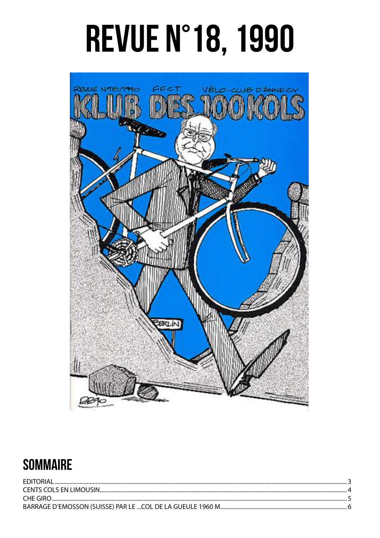# **REVUE N°18, 1990**



#### **SOMMAIRE**

| <b>FDITORIAL</b> |  |
|------------------|--|
|                  |  |
| CHE GIRO.        |  |
|                  |  |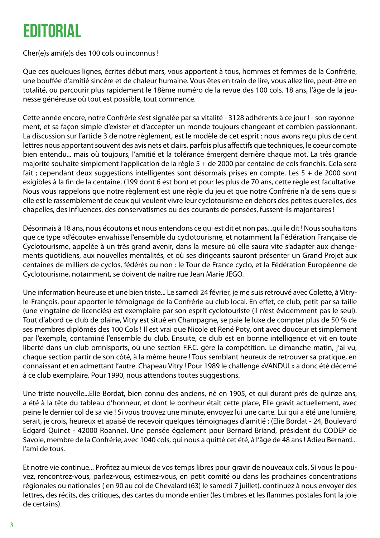### <span id="page-2-0"></span>EDITORIAL

Cher(e)s ami(e)s des 100 cols ou inconnus !

Que ces quelques lignes, écrites début mars, vous apportent à tous, hommes et femmes de la Confrérie, une bouffée d'amitié sincère et de chaleur humaine. Vous êtes en train de lire, vous allez lire, peut-être en totalité, ou parcourir plus rapidement le 18ème numéro de la revue des 100 cols. 18 ans, l'âge de la jeunesse généreuse où tout est possible, tout commence.

Cette année encore, notre Confrérie s'est signalée par sa vitalité - 3128 adhérents à ce jour ! - son rayonnement, et sa façon simple d'exister et d'accepter un monde toujours changeant et combien passionnant. La discussion sur l'article 3 de notre règlement, est le modèle de cet esprit : nous avons reçu plus de cent lettres nous apportant souvent des avis nets et clairs, parfois plus affectifs que techniques, le coeur compte bien entendu... mais où toujours, l'amitié et la tolérance émergent derrière chaque mot. La très grande majorité souhaite simplement l'application de la règle 5 + de 2000 par centaine de cols franchis. Cela sera fait ; cependant deux suggestions intelligentes sont désormais prises en compte. Les 5 + de 2000 sont exigibles à la fin de la centaine. (199 dont 6 est bon) et pour les plus de 70 ans, cette règle est facultative. Nous vous rappelons que notre règlement est une règle du jeu et que notre Confrérie n'a de sens que si elle est le rassemblement de ceux qui veulent vivre leur cyclotourisme en dehors des petites querelles, des chapelles, des influences, des conservatismes ou des courants de pensées, fussent-ils majoritaires !

Désormais à 18 ans, nous écoutons et nous entendons ce qui est dit et non pas...qui le dit ! Nous souhaitons que ce type «d'écoute» envahisse l'ensemble du cyclotourisme, et notamment la Fédération Française de Cyclotourisme, appelée à un très grand avenir, dans la mesure où elle saura vite s'adapter aux changements quotidiens, aux nouvelles mentalités, et où ses dirigeants sauront présenter un Grand Projet aux centaines de milliers de cyclos, fédérés ou non : le Tour de France cyclo, et la Fédération Européenne de Cyclotourisme, notamment, se doivent de naître rue Jean Marie JEGO.

Une information heureuse et une bien triste... Le samedi 24 février, je me suis retrouvé avec Colette, à Vitryle-François, pour apporter le témoignage de la Confrérie au club local. En effet, ce club, petit par sa taille (une vingtaine de licenciés) est exemplaire par son esprit cyclotouriste (il n'est évidemment pas le seul). Tout d'abord ce club de plaine, Vitry est situé en Champagne, se paie le luxe de compter plus de 50 % de ses membres diplômés des 100 Cols ! Il est vrai que Nicole et René Poty, ont avec douceur et simplement par l'exemple, contaminé l'ensemble du club. Ensuite, ce club est en bonne intelligence et vit en toute liberté dans un club omnisports, où une section F.F.C. gère la compétition. Le dimanche matin, j'ai vu, chaque section partir de son côté, à la même heure ! Tous semblant heureux de retrouver sa pratique, en connaissant et en admettant l'autre. Chapeau Vitry ! Pour 1989 le challenge «VANDUL» a donc été décerné à ce club exemplaire. Pour 1990, nous attendons toutes suggestions.

Une triste nouvelle...Elie Bordat, bien connu des anciens, né en 1905, et qui durant prés de quinze ans, a été à la tête du tableau d'honneur, et dont le bonheur était cette place, Elie gravit actuellement, avec peine le dernier col de sa vie ! Si vous trouvez une minute, envoyez lui une carte. Lui qui a été une lumière, serait, je crois, heureux et apaisé de recevoir quelques témoignages d'amitié ; (Elie Bordat - 24, Boulevard Edgard Quinet - 42000 Roanne). Une pensée également pour Bernard Briand, président du CODEP de Savoie, membre de la Confrérie, avec 1040 cols, qui nous a quitté cet été, à l'âge de 48 ans ! Adieu Bernard... l'ami de tous.

Et notre vie continue... Profitez au mieux de vos temps libres pour gravir de nouveaux cols. Si vous le pouvez, rencontrez-vous, parlez-vous, estimez-vous, en petit comité ou dans les prochaines concentrations régionales ou nationales ( en 90 au col de Chevalard (63) le samedi 7 juillet). continuez à nous envoyer des lettres, des récits, des critiques, des cartes du monde entier (les timbres et les flammes postales font la joie de certains).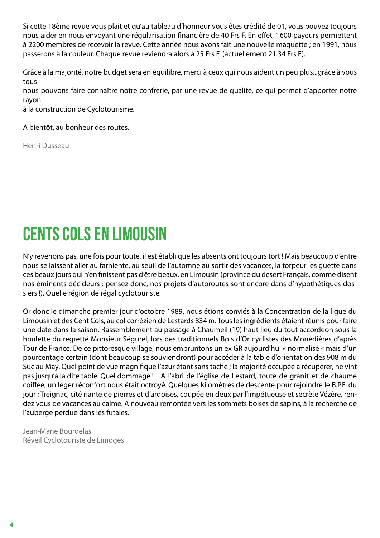<span id="page-3-0"></span>Si cette 18ème revue vous plait et qu'au tableau d'honneur vous êtes crédité de 01, vous pouvez toujours nous aider en nous envoyant une régularisation financière de 40 Frs F. En effet, 1600 payeurs permettent à 2200 membres de recevoir la revue. Cette année nous avons fait une nouvelle maquette ; en 1991, nous passerons à la couleur. Chaque revue reviendra alors à 25 Frs F. (actuellement 21.34 Frs F).

Grâce à la majorité, notre budget sera en équilibre, merci à ceux qui nous aident un peu plus...grâce à vous tous

nous pouvons faire connaître notre confrérie, par une revue de qualité, ce qui permet d'apporter notre rayon

à la construction de Cyclotourisme.

A bientôt, au bonheur des routes.

Henri Dusseau

#### CENTS COLS EN LIMOUSIN

N'y revenons pas, une fois pour toute, il est établi que les absents ont toujours tort ! Mais beaucoup d'entre nous se laissent aller au farniente, au seuil de l'automne au sortir des vacances, la torpeur les guette dans ces beaux jours qui n'en finissent pas d'être beaux, en Limousin (province du désert Français, comme disent nos éminents décideurs : pensez donc, nos projets d'autoroutes sont encore dans d'hypothétiques dossiers !). Quelle région de régal cyclotouriste.

Or donc le dimanche premier jour d'octobre 1989, nous étions conviés à la Concentration de la ligue du Limousin et des Cent Cols, au col corrézien de Lestards 834 m. Tous les ingrédients étaient réunis pour faire une date dans la saison. Rassemblement au passage à Chaumeil (19) haut lieu du tout accordéon sous la houlette du regretté Monsieur Ségurel, lors des traditionnels Bols d'Or cyclistes des Monédières d'après Tour de France. De ce pittoresque village, nous empruntons un ex GR aujourd'hui « normalisé « mais d'un pourcentage certain (dont beaucoup se souviendront) pour accéder à la table d'orientation des 908 m du Suc au May. Quel point de vue magnifique l'azur étant sans tache ; la majorité occupée à récupérer, ne vint pas jusqu'à la dite table. Quel dommage ! A l'abri de l'église de Lestard, toute de granit et de chaume coiffée, un léger réconfort nous était octroyé. Quelques kilomètres de descente pour rejoindre le B.P.F. du jour : Treignac, cité riante de pierres et d'ardoises, coupée en deux par l'impétueuse et secrète Vézère, rendez vous de vacances au calme. A nouveau remontée vers les sommets boisés de sapins, à la recherche de l'auberge perdue dans les futaies.

Jean-Marie Bourdelas Réveil Cyclotouriste de Limoges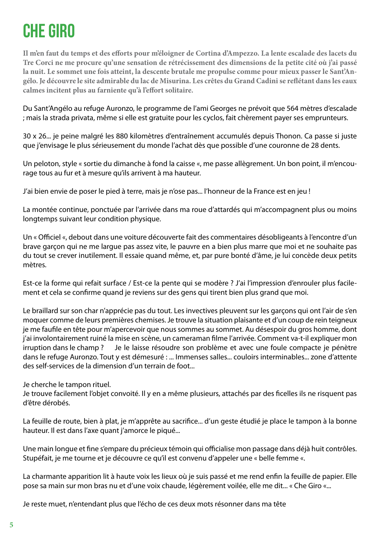## <span id="page-4-0"></span>CHE GIRO

**Il m'en faut du temps et des efforts pour m'éloigner de Cortina d'Ampezzo. La lente escalade des lacets du Tre Corci ne me procure qu'une sensation de rétrécissement des dimensions de la petite cité où j'ai passé la nuit. Le sommet une fois atteint, la descente brutale me propulse comme pour mieux passer le Sant'Angélo. Je découvre le site admirable du lac de Misurina. Les crêtes du Grand Cadini se reflétant dans les eaux calmes incitent plus au farniente qu'à l'effort solitaire.**

Du Sant'Angélo au refuge Auronzo, le programme de l'ami Georges ne prévoit que 564 mètres d'escalade ; mais la strada privata, même si elle est gratuite pour les cyclos, fait chèrement payer ses emprunteurs.

30 x 26... je peine malgré les 880 kilomètres d'entraînement accumulés depuis Thonon. Ca passe si juste que j'envisage le plus sérieusement du monde l'achat dès que possible d'une couronne de 28 dents.

Un peloton, style « sortie du dimanche à fond la caisse «, me passe allègrement. Un bon point, il m'encourage tous au fur et à mesure qu'ils arrivent à ma hauteur.

J'ai bien envie de poser le pied à terre, mais je n'ose pas... l'honneur de la France est en jeu !

La montée continue, ponctuée par l'arrivée dans ma roue d'attardés qui m'accompagnent plus ou moins longtemps suivant leur condition physique.

Un « Officiel «, debout dans une voiture découverte fait des commentaires désobligeants à l'encontre d'un brave garçon qui ne me largue pas assez vite, le pauvre en a bien plus marre que moi et ne souhaite pas du tout se crever inutilement. Il essaie quand même, et, par pure bonté d'âme, je lui concède deux petits mètres.

Est-ce la forme qui refait surface / Est-ce la pente qui se modère ? J'ai l'impression d'enrouler plus facilement et cela se confirme quand je reviens sur des gens qui tirent bien plus grand que moi.

Le braillard sur son char n'apprécie pas du tout. Les invectives pleuvent sur les garçons qui ont l'air de s'en moquer comme de leurs premières chemises. Je trouve la situation plaisante et d'un coup de rein teigneux je me faufile en tête pour m'apercevoir que nous sommes au sommet. Au désespoir du gros homme, dont j'ai involontairement ruiné la mise en scène, un cameraman filme l'arrivée. Comment va-t-il expliquer mon irruption dans le champ ? Je le laisse résoudre son problème et avec une foule compacte je pénètre dans le refuge Auronzo. Tout y est démesuré : ... Immenses salles... couloirs interminables... zone d'attente des self-services de la dimension d'un terrain de foot...

Je cherche le tampon rituel.

Je trouve facilement l'objet convoité. Il y en a même plusieurs, attachés par des ficelles ils ne risquent pas d'être dérobés.

La feuille de route, bien à plat, je m'apprête au sacrifice... d'un geste étudié je place le tampon à la bonne hauteur. Il est dans l'axe quant j'amorce le piqué...

Une main longue et fine s'empare du précieux témoin qui officialise mon passage dans déjà huit contrôles. Stupéfait, je me tourne et je découvre ce qu'il est convenu d'appeler une « belle femme «.

La charmante apparition lit à haute voix les lieux où je suis passé et me rend enfin la feuille de papier. Elle pose sa main sur mon bras nu et d'une voix chaude, légèrement voilée, elle me dit... « Che Giro «...

Je reste muet, n'entendant plus que l'écho de ces deux mots résonner dans ma tête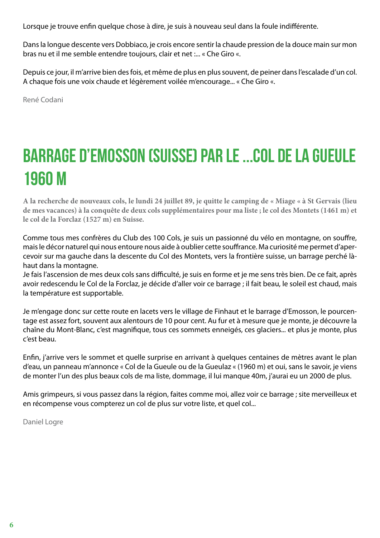<span id="page-5-0"></span>Lorsque je trouve enfin quelque chose à dire, je suis à nouveau seul dans la foule indifférente.

Dans la longue descente vers Dobbiaco, je crois encore sentir la chaude pression de la douce main sur mon bras nu et il me semble entendre toujours, clair et net :... « Che Giro «.

Depuis ce jour, il m'arrive bien des fois, et même de plus en plus souvent, de peiner dans l'escalade d'un col. A chaque fois une voix chaude et légèrement voilée m'encourage... « Che Giro «.

René Codani

## BARRAGE D'EMOSSON (SUISSE) PAR LE ...COL DE LA GUEULE 1960 M

**A la recherche de nouveaux cols, le lundi 24 juillet 89, je quitte le camping de « Miage « à St Gervais (lieu de mes vacances) à la conquête de deux cols supplémentaires pour ma liste ; le col des Montets (1461 m) et le col de la Forclaz (1527 m) en Suisse.**

Comme tous mes confrères du Club des 100 Cols, je suis un passionné du vélo en montagne, on souffre, mais le décor naturel qui nous entoure nous aide à oublier cette souffrance. Ma curiosité me permet d'apercevoir sur ma gauche dans la descente du Col des Montets, vers la frontière suisse, un barrage perché làhaut dans la montagne.

Je fais l'ascension de mes deux cols sans difficulté, je suis en forme et je me sens très bien. De ce fait, après avoir redescendu le Col de la Forclaz, je décide d'aller voir ce barrage ; il fait beau, le soleil est chaud, mais la température est supportable.

Je m'engage donc sur cette route en lacets vers le village de Finhaut et le barrage d'Emosson, le pourcentage est assez fort, souvent aux alentours de 10 pour cent. Au fur et à mesure que je monte, je découvre la chaîne du Mont-Blanc, c'est magnifique, tous ces sommets enneigés, ces glaciers... et plus je monte, plus c'est beau.

Enfin, j'arrive vers le sommet et quelle surprise en arrivant à quelques centaines de mètres avant le plan d'eau, un panneau m'annonce « Col de la Gueule ou de la Gueulaz « (1960 m) et oui, sans le savoir, je viens de monter l'un des plus beaux cols de ma liste, dommage, il lui manque 40m, j'aurai eu un 2000 de plus.

Amis grimpeurs, si vous passez dans la région, faites comme moi, allez voir ce barrage ; site merveilleux et en récompense vous compterez un col de plus sur votre liste, et quel col...

Daniel Logre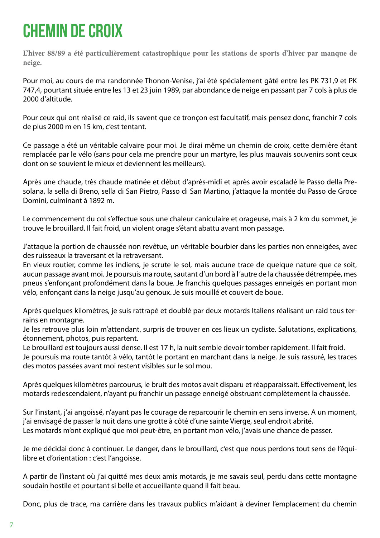## <span id="page-6-0"></span>CHEMIN DE CROIX

**L'hiver 88/89 a été particulièrement catastrophique pour les stations de sports d'hiver par manque de neige.**

Pour moi, au cours de ma randonnée Thonon-Venise, j'ai été spécialement gâté entre les PK 731,9 et PK 747,4, pourtant située entre les 13 et 23 juin 1989, par abondance de neige en passant par 7 cols à plus de 2000 d'altitude.

Pour ceux qui ont réalisé ce raid, ils savent que ce tronçon est facultatif, mais pensez donc, franchir 7 cols de plus 2000 m en 15 km, c'est tentant.

Ce passage a été un véritable calvaire pour moi. Je dirai même un chemin de croix, cette dernière étant remplacée par le vélo (sans pour cela me prendre pour un martyre, les plus mauvais souvenirs sont ceux dont on se souvient le mieux et deviennent les meilleurs).

Après une chaude, très chaude matinée et début d'après-midi et après avoir escaladé le Passo della Presolana, la sella di Breno, sella di San Pietro, Passo di San Martino, j'attaque la montée du Passo de Groce Domini, culminant à 1892 m.

Le commencement du col s'effectue sous une chaleur caniculaire et orageuse, mais à 2 km du sommet, je trouve le brouillard. Il fait froid, un violent orage s'étant abattu avant mon passage.

J'attaque la portion de chaussée non revêtue, un véritable bourbier dans les parties non enneigées, avec des ruisseaux la traversant et la retraversant.

En vieux routier, comme les indiens, je scrute le sol, mais aucune trace de quelque nature que ce soit, aucun passage avant moi. Je poursuis ma route, sautant d'un bord à l 'autre de la chaussée détrempée, mes pneus s'enfonçant profondément dans la boue. Je franchis quelques passages enneigés en portant mon vélo, enfonçant dans la neige jusqu'au genoux. Je suis mouillé et couvert de boue.

Après quelques kilomètres, je suis rattrapé et doublé par deux motards Italiens réalisant un raid tous terrains en montagne.

Je les retrouve plus loin m'attendant, surpris de trouver en ces lieux un cycliste. Salutations, explications, étonnement, photos, puis repartent.

Le brouillard est toujours aussi dense. Il est 17 h, la nuit semble devoir tomber rapidement. Il fait froid. Je poursuis ma route tantôt à vélo, tantôt le portant en marchant dans la neige. Je suis rassuré, les traces des motos passées avant moi restent visibles sur le sol mou.

Après quelques kilomètres parcourus, le bruit des motos avait disparu et réapparaissait. Effectivement, les motards redescendaient, n'ayant pu franchir un passage enneigé obstruant complètement la chaussée.

Sur l'instant, j'ai angoissé, n'ayant pas le courage de reparcourir le chemin en sens inverse. A un moment, j'ai envisagé de passer la nuit dans une grotte à côté d'une sainte Vierge, seul endroit abrité. Les motards m'ont expliqué que moi peut-être, en portant mon vélo, j'avais une chance de passer.

Je me décidai donc à continuer. Le danger, dans le brouillard, c'est que nous perdons tout sens de l'équilibre et d'orientation : c'est l'angoisse.

A partir de l'instant où j'ai quitté mes deux amis motards, je me savais seul, perdu dans cette montagne soudain hostile et pourtant si belle et accueillante quand il fait beau.

Donc, plus de trace, ma carrière dans les travaux publics m'aidant à deviner l'emplacement du chemin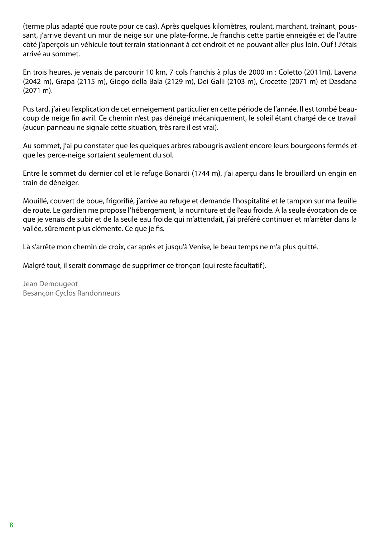(terme plus adapté que route pour ce cas). Après quelques kilomètres, roulant, marchant, traînant, poussant, j'arrive devant un mur de neige sur une plate-forme. Je franchis cette partie enneigée et de l'autre côté j'aperçois un véhicule tout terrain stationnant à cet endroit et ne pouvant aller plus loin. Ouf ! J'étais arrivé au sommet.

En trois heures, je venais de parcourir 10 km, 7 cols franchis à plus de 2000 m : Coletto (2011m), Lavena (2042 m), Grapa (2115 m), Giogo della Bala (2129 m), Dei Galli (2103 m), Crocette (2071 m) et Dasdana (2071 m).

Pus tard, j'ai eu l'explication de cet enneigement particulier en cette période de l'année. Il est tombé beaucoup de neige fin avril. Ce chemin n'est pas déneigé mécaniquement, le soleil étant chargé de ce travail (aucun panneau ne signale cette situation, très rare il est vrai).

Au sommet, j'ai pu constater que les quelques arbres rabougris avaient encore leurs bourgeons fermés et que les perce-neige sortaient seulement du sol.

Entre le sommet du dernier col et le refuge Bonardi (1744 m), j'ai aperçu dans le brouillard un engin en train de déneiger.

Mouillé, couvert de boue, frigorifié, j'arrive au refuge et demande l'hospitalité et le tampon sur ma feuille de route. Le gardien me propose l'hébergement, la nourriture et de l'eau froide. A la seule évocation de ce que je venais de subir et de la seule eau froide qui m'attendait, j'ai préféré continuer et m'arrêter dans la vallée, sûrement plus clémente. Ce que je fis.

Là s'arrête mon chemin de croix, car après et jusqu'à Venise, le beau temps ne m'a plus quitté.

Malgré tout, il serait dommage de supprimer ce tronçon (qui reste facultatif).

Jean Demougeot Besançon Cyclos Randonneurs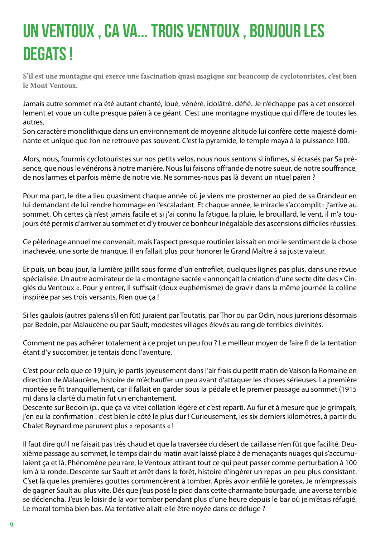## <span id="page-8-0"></span>UN VENTOUX , CA VA... TROIS VENTOUX , BONJOUR LES DEGATS !

**S'il est une montagne qui exerce une fascination quasi magique sur beaucoup de cyclotouristes, c'est bien le Mont Ventoux.**

Jamais autre sommet n'a été autant chanté, loué, vénéré, idolâtré, défié. Je n'échappe pas à cet ensorcellement et voue un culte presque païen à ce géant. C'est une montagne mystique qui diffère de toutes les autres.

Son caractère monolithique dans un environnement de moyenne altitude lui confère cette majesté dominante et unique que l'on ne retrouve pas souvent. C'est la pyramide, le temple maya à la puissance 100.

Alors, nous, fourmis cyclotouristes sur nos petits vélos, nous nous sentons si infimes, si écrasés par Sa présence, que nous le vénérons à notre manière. Nous lui faisons offrande de notre sueur, de notre souffrance, de nos larmes et parfois même de notre vie. Ne sommes-nous pas là devant un rituel païen ?

Pour ma part, le rite a lieu quasiment chaque année où je viens me prosterner au pied de sa Grandeur en lui demandant de lui rendre hommage en l'escaladant. Et chaque année, le miracle s'accomplit : j'arrive au sommet. Oh certes çà n'est jamais facile et si j'ai connu la fatigue, la pluie, le brouillard, le vent, il m'a toujours été permis d'arriver au sommet et d'y trouver ce bonheur inégalable des ascensions difficiles réussies.

Ce pèlerinage annuel me convenait, mais l'aspect presque routinier laissait en moi le sentiment de la chose inachevée, une sorte de manque. Il en fallait plus pour honorer le Grand Maître à sa juste valeur.

Et puis, un beau jour, la lumière jaillit sous forme d'un entrefilet, quelques lignes pas plus, dans une revue spécialisée. Un autre admirateur de la « montagne sacrée « annonçait la création d'une secte dite des « Cinglés du Ventoux «. Pour y entrer, il suffisait (doux euphémisme) de gravir dans la même journée la colline inspirée par ses trois versants. Rien que ça !

Si les gaulois (autres païens s'il en fût) juraient par Toutatis, par Thor ou par Odin, nous jurerions désormais par Bedoin, par Malaucène ou par Sault, modestes villages élevés au rang de terribles divinités.

Comment ne pas adhérer totalement à ce projet un peu fou ? Le meilleur moyen de faire fi de la tentation étant d'y succomber, je tentais donc l'aventure.

C'est pour cela que ce 19 juin, je partis joyeusement dans l'air frais du petit matin de Vaison la Romaine en direction de Malaucène, histoire de m'échauffer un peu avant d'attaquer les choses sérieuses. La première montée se fit tranquillement, car il fallait en garder sous la pédale et le premier passage au sommet (1915 m) dans la clarté du matin fut un enchantement.

Descente sur Bedoin (p.. que ça va vite) collation légère et c'est reparti. Au fur et à mesure que je grimpais, j'en eu la confirmation : c'est bien le côté le plus dur ! Curieusement, les six derniers kilomètres, à partir du Chalet Reynard me parurent plus « reposants « !

Il faut dire qu'il ne faisait pas très chaud et que la traversée du désert de caillasse n'en fût que facilité. Deuxième passage au sommet, le temps clair du matin avait laissé place à de menaçants nuages qui s'accumulaient ça et là. Phénomène peu rare, le Ventoux attirant tout ce qui peut passer comme perturbation à 100 km à la ronde. Descente sur Sault et arrêt dans la forêt, histoire d'ingérer un repas un peu plus consistant. C'set là que les premières gouttes commencèrent à tomber. Après avoir enfilé le goretex, Je m'empressais de gagner Sault au plus vite. Dés que j'eus posé le pied dans cette charmante bourgade, une averse terrible se déclencha. J'eus le loisir de la voir tomber pendant plus d'une heure depuis le bar où je m'étais réfugié. Le moral tomba bien bas. Ma tentative allait-elle être noyée dans ce déluge ?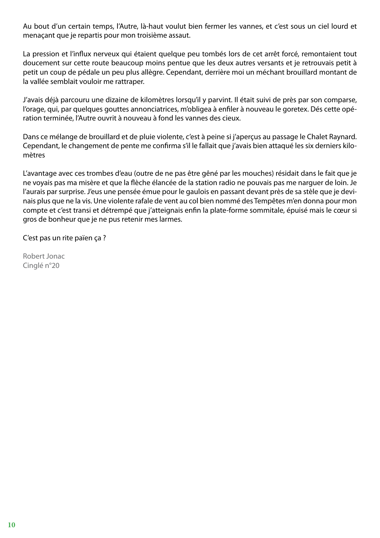Au bout d'un certain temps, l'Autre, là-haut voulut bien fermer les vannes, et c'est sous un ciel lourd et menaçant que je repartis pour mon troisième assaut.

La pression et l'influx nerveux qui étaient quelque peu tombés lors de cet arrêt forcé, remontaient tout doucement sur cette route beaucoup moins pentue que les deux autres versants et je retrouvais petit à petit un coup de pédale un peu plus allègre. Cependant, derrière moi un méchant brouillard montant de la vallée semblait vouloir me rattraper.

J'avais déjà parcouru une dizaine de kilomètres lorsqu'il y parvint. Il était suivi de près par son comparse, l'orage, qui, par quelques gouttes annonciatrices, m'obligea à enfiler à nouveau le goretex. Dés cette opération terminée, l'Autre ouvrit à nouveau à fond les vannes des cieux.

Dans ce mélange de brouillard et de pluie violente, c'est à peine si j'aperçus au passage le Chalet Raynard. Cependant, le changement de pente me confirma s'il le fallait que j'avais bien attaqué les six derniers kilomètres

L'avantage avec ces trombes d'eau (outre de ne pas être gêné par les mouches) résidait dans le fait que je ne voyais pas ma misère et que la flèche élancée de la station radio ne pouvais pas me narguer de loin. Je l'aurais par surprise. J'eus une pensée émue pour le gaulois en passant devant près de sa stèle que je devinais plus que ne la vis. Une violente rafale de vent au col bien nommé des Tempêtes m'en donna pour mon compte et c'est transi et détrempé que j'atteignais enfin la plate-forme sommitale, épuisé mais le cœur si gros de bonheur que je ne pus retenir mes larmes.

C'est pas un rite païen ça ?

Robert Jonac Cinglé n°20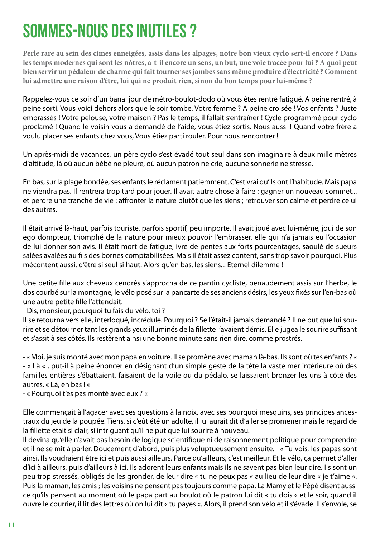#### <span id="page-10-0"></span>SOMMES-NOUS DES INUTILES ?

**Perle rare au sein des cimes enneigées, assis dans les alpages, notre bon vieux cyclo sert-il encore ? Dans les temps modernes qui sont les nôtres, a-t-il encore un sens, un but, une voie tracée pour lui ? A quoi peut bien servir un pédaleur de charme qui fait tourner ses jambes sans même produire d'électricité ? Comment lui admettre une raison d'être, lui qui ne produit rien, sinon du bon temps pour lui-même ?**

Rappelez-vous ce soir d'un banal jour de métro-boulot-dodo où vous êtes rentré fatigué. A peine rentré, à peine sorti. Vous voici dehors alors que le soir tombe. Votre femme ? A peine croisée ! Vos enfants ? Juste embrassés ! Votre pelouse, votre maison ? Pas le temps, il fallait s'entraîner ! Cycle programmé pour cyclo proclamé ! Quand le voisin vous a demandé de l'aide, vous étiez sortis. Nous aussi ! Quand votre frère a voulu placer ses enfants chez vous, Vous étiez parti rouler. Pour nous rencontrer !

Un après-midi de vacances, un père cyclo s'est évadé tout seul dans son imaginaire à deux mille mètres d'altitude, là où aucun bébé ne pleure, où aucun patron ne crie, aucune sonnerie ne stresse.

En bas, sur la plage bondée, ses enfants le réclament patiemment. C'est vrai qu'ils ont l'habitude. Mais papa ne viendra pas. Il rentrera trop tard pour jouer. Il avait autre chose à faire : gagner un nouveau sommet... et perdre une tranche de vie : affronter la nature plutôt que les siens ; retrouver son calme et perdre celui des autres.

Il était arrivé là-haut, parfois touriste, parfois sportif, peu importe. Il avait joué avec lui-même, joui de son ego dompteur, triomphé de la nature pour mieux pouvoir l'embrasser, elle qui n'a jamais eu l'occasion de lui donner son avis. Il était mort de fatigue, ivre de pentes aux forts pourcentages, saoulé de sueurs salées avalées au fils des bornes comptabilisées. Mais il était assez content, sans trop savoir pourquoi. Plus mécontent aussi, d'être si seul si haut. Alors qu'en bas, les siens... Eternel dilemme !

Une petite fille aux cheveux cendrés s'approcha de ce pantin cycliste, penaudement assis sur l'herbe, le dos courbé sur la montagne, le vélo posé sur la pancarte de ses anciens désirs, les yeux fixés sur l'en-bas où une autre petite fille l'attendait.

- Dis, monsieur, pourquoi tu fais du vélo, toi ?

Il se retourna vers elle, interloqué, incrédule. Pourquoi ? Se l'était-il jamais demandé ? Il ne put que lui sourire et se détourner tant les grands yeux illuminés de la fillette l'avaient démis. Elle jugea le sourire suffisant et s'assit à ses côtés. Ils restèrent ainsi une bonne minute sans rien dire, comme prostrés.

- « Moi, je suis monté avec mon papa en voiture. Il se promène avec maman là-bas. Ils sont où tes enfants ? « - « Là « , put-il à peine énoncer en désignant d'un simple geste de la tête la vaste mer intérieure où des familles entières s'ébattaient, faisaient de la voile ou du pédalo, se laissaient bronzer les uns à côté des autres. « Là, en bas ! «

- « Pourquoi t'es pas monté avec eux ? «

Elle commençait à l'agacer avec ses questions à la noix, avec ses pourquoi mesquins, ses principes ancestraux du jeu de la poupée. Tiens, si c'eût été un adulte, il lui aurait dit d'aller se promener mais le regard de la fillette était si clair, si intriguant qu'il ne put que lui sourire à nouveau.

Il devina qu'elle n'avait pas besoin de logique scientifique ni de raisonnement politique pour comprendre et il ne se mit à parler. Doucement d'abord, puis plus voluptueusement ensuite. - « Tu vois, les papas sont ainsi. Ils voudraient être ici et puis aussi ailleurs. Parce qu'ailleurs, c'est meilleur. Et le vélo, ça permet d'aller d'ici à ailleurs, puis d'ailleurs à ici. Ils adorent leurs enfants mais ils ne savent pas bien leur dire. Ils sont un peu trop stressés, obligés de les gronder, de leur dire « tu ne peux pas « au lieu de leur dire « je t'aime «. Puis la maman, les amis ; les voisins ne pensent pas toujours comme papa. La Mamy et le Pépé disent aussi ce qu'ils pensent au moment où le papa part au boulot où le patron lui dit « tu dois « et le soir, quand il ouvre le courrier, il lit des lettres où on lui dit « tu payes «. Alors, il prend son vélo et il s'évade. Il s'envole, se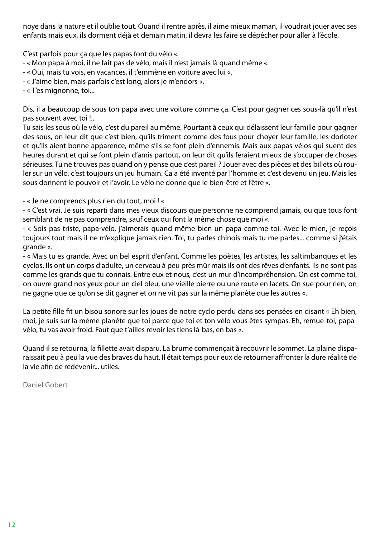noye dans la nature et il oublie tout. Quand il rentre après, il aime mieux maman, il voudrait jouer avec ses enfants mais eux, ils dorment déjà et demain matin, il devra les faire se dépêcher pour aller à l'école.

C'est parfois pour ça que les papas font du vélo «.

- « Mon papa à moi, il ne fait pas de vélo, mais il n'est jamais là quand même «.
- « Oui, mais tu vois, en vacances, il t'emmène en voiture avec lui «.
- « J'aime bien, mais parfois c'est long, alors je m'endors «.
- « T'es mignonne, toi...

Dis, il a beaucoup de sous ton papa avec une voiture comme ça. C'est pour gagner ces sous-là qu'il n'est pas souvent avec toi !...

Tu sais les sous où le vélo, c'est du pareil au même. Pourtant à ceux qui délaissent leur famille pour gagner des sous, on leur dit que c'est bien, qu'ils triment comme des fous pour choyer leur famille, les dorloter et qu'ils aient bonne apparence, même s'ils se font plein d'ennemis. Mais aux papas-vélos qui suent des heures durant et qui se font plein d'amis partout, on leur dit qu'ils feraient mieux de s'occuper de choses sérieuses. Tu ne trouves pas quand on y pense que c'est pareil ? Jouer avec des pièces et des billets où rouler sur un vélo, c'est toujours un jeu humain. Ca a été inventé par l'homme et c'est devenu un jeu. Mais les sous donnent le pouvoir et l'avoir. Le vélo ne donne que le bien-être et l'être «.

- « Je ne comprends plus rien du tout, moi ! «

- « C'est vrai. Je suis reparti dans mes vieux discours que personne ne comprend jamais, ou que tous font semblant de ne pas comprendre, sauf ceux qui font la même chose que moi «.

- « Sois pas triste, papa-vélo, j'aimerais quand même bien un papa comme toi. Avec le mien, je reçois toujours tout mais il ne m'explique jamais rien. Toi, tu parles chinois mais tu me parles... comme si j'étais grande «.

- « Mais tu es grande. Avec un bel esprit d'enfant. Comme les poètes, les artistes, les saltimbanques et les cyclos. Ils ont un corps d'adulte, un cerveau à peu près mûr mais ils ont des rêves d'enfants. Ils ne sont pas comme les grands que tu connais. Entre eux et nous, c'est un mur d'incompréhension. On est comme toi, on ouvre grand nos yeux pour un ciel bleu, une vieille pierre ou une route en lacets. On sue pour rien, on ne gagne que ce qu'on se dit gagner et on ne vit pas sur la même planète que les autres «.

La petite fille fit un bisou sonore sur les joues de notre cyclo perdu dans ses pensées en disant « Eh bien, moi, je suis sur la même planète que toi parce que toi et ton vélo vous êtes sympas. Eh, remue-toi, papavélo, tu vas avoir froid. Faut que t'ailles revoir les tiens là-bas, en bas «.

Quand il se retourna, la fillette avait disparu. La brume commençait à recouvrir le sommet. La plaine disparaissait peu à peu la vue des braves du haut. Il était temps pour eux de retourner affronter la dure réalité de la vie afin de redevenir... utiles.

Daniel Gobert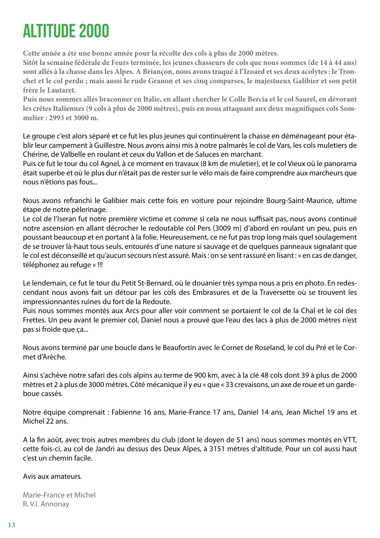## <span id="page-12-0"></span>ALTITUDE 2000

**Cette année a été une bonne année pour la récolte des cols à plus de 2000 mètres.**

**Sitôt la semaine fédérale de Feurs terminée, les jeunes chasseurs de cols que nous sommes (de 14 à 44 ans) sont allés à la chasse dans les Alpes. A Briançon, nous avons traqué à l'Izoard et ses deux acolytes : le Tronchet et le col perdu ; mais aussi le rude Granon et ses cinq comparses, le majestueux Galibier et son petit frère le Lautaret.**

**Puis nous sommes allés braconner en Italie, en allant chercher le Colle Bercia et le col Saurel, en dévorant les crêtes Italiennes (9 cols à plus de 2000 mètres), puis en nous attaquant aux deux magnifiques cols Sommelier : 2993 et 3000 m.**

Le groupe c'est alors séparé et ce fut les plus jeunes qui continuèrent la chasse en déménageant pour établir leur campement à Guillestre. Nous avons ainsi mis à notre palmarès le col de Vars, les cols muletiers de Chérine, de Valbelle en roulant et ceux du Vallon et de Saluces en marchant.

Puis ce fut le tour du col Agnel, à ce moment en travaux (8 km de muletier), et le col Vieux où le panorama était superbe et où le plus dur n'était pas de rester sur le vélo mais de faire comprendre aux marcheurs que nous n'étions pas fous...

Nous avons refranchi le Galibier mais cette fois en voiture pour rejoindre Bourg-Saint-Maurice, ultime étape de notre pèlerinage.

Le col de l'Iseran fut notre première victime et comme si cela ne nous suffisait pas, nous avons continué notre ascension en allant décrocher le redoutable col Pers (3009 m) d'abord en roulant un peu, puis en poussant beaucoup et en portant à la folie. Heureusement, ce ne fut pas trop long mais quel soulagement de se trouver là-haut tous seuls, entourés d'une nature si sauvage et de quelques panneaux signalant que le col est déconseillé et qu'aucun secours n'est assuré. Mais : on se sent rassuré en lisant : « en cas de danger, téléphonez au refuge « !!!

Le lendemain, ce fut le tour du Petit St-Bernard, où le douanier très sympa nous a pris en photo. En redescendant nous avons fait un détour par les cols des Embrasures et de la Traversette où se trouvent les impressionnantes ruines du fort de la Redoute.

Puis nous sommes montés aux Arcs pour aller voir comment se portaient le col de la Chal et le col des Frettes. Un peu avant le premier col, Daniel nous a prouvé que l'eau des lacs à plus de 2000 mètres n'est pas si froide que ça...

Nous avons terminé par une boucle dans le Beaufortin avec le Cornet de Roseland, le col du Pré et le Cormet d'Arèche.

Ainsi s'achève notre safari des cols alpins au terme de 900 km, avec à la clé 48 cols dont 39 à plus de 2000 mètres et 2 à plus de 3000 mètres. Côté mécanique il y eu « que « 33 crevaisons, un axe de roue et un gardeboue cassés.

Notre équipe comprenait : Fabienne 16 ans, Marie-France 17 ans, Daniel 14 ans, Jean Michel 19 ans et Michel 22 ans.

A la fin août, avec trois autres membres du club (dont le doyen de 51 ans) nous sommes montés en VTT, cette fois-ci, au col de Jandri au dessus des Deux Alpes, à 3151 mètres d'altitude. Pour un col aussi haut c'est un chemin facile.

#### Avis aux amateurs.

Marie-France et Michel R. V.I. Annonay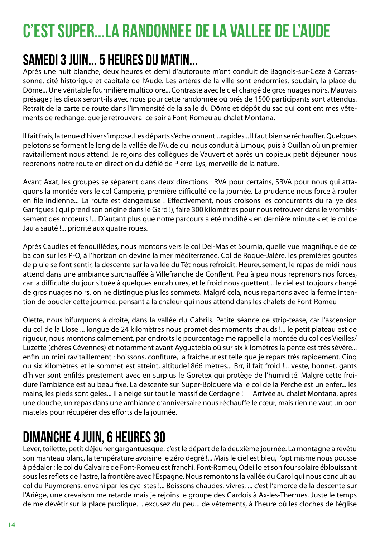## <span id="page-13-0"></span>C'EST SUPER...LA RANDONNEE DE LA VALLEE DE L'AUDE

#### Samedi 3 juin... 5 heures du Matin...

Après une nuit blanche, deux heures et demi d'autoroute m'ont conduit de Bagnols-sur-Ceze à Carcassonne, cité historique et capitale de l'Aude. Les artères de la ville sont endormies, soudain, la place du Dôme... Une véritable fourmilière multicolore... Contraste avec le ciel chargé de gros nuages noirs. Mauvais présage ; les dieux seront-ils avec nous pour cette randonnée où prés de 1500 participants sont attendus. Retrait de la carte de route dans l'immensité de la salle du Dôme et dépôt du sac qui contient mes vêtements de rechange, que je retrouverai ce soir à Font-Romeu au chalet Montana.

Il fait frais, la tenue d'hiver s'impose. Les départs s'échelonnent... rapides... Il faut bien se réchauffer. Quelques pelotons se forment le long de la vallée de l'Aude qui nous conduit à Limoux, puis à Quillan où un premier ravitaillement nous attend. Je rejoins des collègues de Vauvert et après un copieux petit déjeuner nous reprenons notre route en direction du défilé de Pierre-Lys, merveille de la nature.

Avant Axat, les groupes se séparent dans deux directions : RVA pour certains, SRVA pour nous qui attaquons la montée vers le col Camperie, première difficulté de la journée. La prudence nous force à rouler en file indienne... La route est dangereuse ! Effectivement, nous croisons les concurrents du rallye des Garrigues ( qui prend son origine dans le Gard !), faire 300 kilomètres pour nous retrouver dans le vrombissement des moteurs !... D'autant plus que notre parcours a été modifié « en dernière minute « et le col de Jau a sauté !... priorité aux quatre roues.

Après Caudies et fenouillèdes, nous montons vers le col Del-Mas et Sournia, quelle vue magnifique de ce balcon sur les P-O, à l'horizon on devine la mer méditerranée. Col de Roque-Jalère, les premières gouttes de pluie se font sentir, la descente sur la vallée du Têt nous refroidit. Heureusement, le repas de midi nous attend dans une ambiance surchauffée à Villefranche de Conflent. Peu à peu nous reprenons nos forces, car la difficulté du jour située à quelques encablures, et le froid nous guettent... le ciel est toujours chargé de gros nuages noirs, on ne distingue plus les sommets. Malgré cela, nous repartons avec la ferme intention de boucler cette journée, pensant à la chaleur qui nous attend dans les chalets de Font-Romeu

Olette, nous bifurquons à droite, dans la vallée du Gabrils. Petite séance de strip-tease, car l'ascension du col de la Llose ... longue de 24 kilomètres nous promet des moments chauds !... le petit plateau est de rigueur, nous montons calmement, par endroits le pourcentage me rappelle la montée du col des Vieilles/ Luzette (chères Cévennes) et notamment avant Ayguatebia où sur six kilomètres la pente est très sévère... enfin un mini ravitaillement : boissons, confiture, la fraîcheur est telle que je repars très rapidement. Cinq ou six kilomètres et le sommet est atteint, altitude1866 mètres... Brr, il fait froid !... veste, bonnet, gants d'hiver sont enfilés prestement avec en surplus le Goretex qui protège de l'humidité. Malgré cette froidure l'ambiance est au beau fixe. La descente sur Super-Bolquere via le col de la Perche est un enfer... les mains, les pieds sont gelés... Il a neigé sur tout le massif de Cerdagne ! Arrivée au chalet Montana, après une douche, un repas dans une ambiance d'anniversaire nous réchauffe le cœur, mais rien ne vaut un bon matelas pour récupérer des efforts de la journée.

#### Dimanche 4 juin, 6 heures 30

Lever, toilette, petit déjeuner gargantuesque, c'est le départ de la deuxième journée. La montagne a revêtu son manteau blanc, la température avoisine le zéro degré !... Mais le ciel est bleu, l'optimisme nous pousse à pédaler ; le col du Calvaire de Font-Romeu est franchi, Font-Romeu, Odeillo et son four solaire éblouissant sous les reflets de l'astre, la frontière avec l'Espagne. Nous remontons la vallée du Carol qui nous conduit au col du Puymorens, envahi par les cyclistes !... Boissons chaudes, vivres, ... c'est l'amorce de la descente sur l'Ariège, une crevaison me retarde mais je rejoins le groupe des Gardois à Ax-les-Thermes. Juste le temps de me dévêtir sur la place publique.. . excusez du peu... de vêtements, à l'heure où les cloches de l'église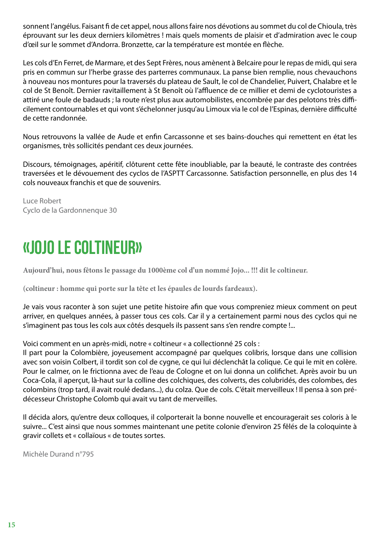<span id="page-14-0"></span>sonnent l'angélus. Faisant fi de cet appel, nous allons faire nos dévotions au sommet du col de Chioula, très éprouvant sur les deux derniers kilomètres ! mais quels moments de plaisir et d'admiration avec le coup d'œil sur le sommet d'Andorra. Bronzette, car la température est montée en flèche.

Les cols d'En Ferret, de Marmare, et des Sept Frères, nous amènent à Belcaire pour le repas de midi, qui sera pris en commun sur l'herbe grasse des parterres communaux. La panse bien remplie, nous chevauchons à nouveau nos montures pour la traversés du plateau de Sault, le col de Chandelier, Puivert, Chalabre et le col de St Benoît. Dernier ravitaillement à St Benoît où l'affluence de ce millier et demi de cyclotouristes a attiré une foule de badauds ; la route n'est plus aux automobilistes, encombrée par des pelotons très difficilement contournables et qui vont s'échelonner jusqu'au Limoux via le col de l'Espinas, dernière difficulté de cette randonnée.

Nous retrouvons la vallée de Aude et enfin Carcassonne et ses bains-douches qui remettent en état les organismes, très sollicités pendant ces deux journées.

Discours, témoignages, apéritif, clôturent cette fête inoubliable, par la beauté, le contraste des contrées traversées et le dévouement des cyclos de l'ASPTT Carcassonne. Satisfaction personnelle, en plus des 14 cols nouveaux franchis et que de souvenirs.

Luce Robert Cyclo de la Gardonnenque 30

#### «JOJO LE COLTINEUR»

**Aujourd'hui, nous fêtons le passage du 1000ème col d'un nommé Jojo... !!! dit le coltineur.**

**(coltineur : homme qui porte sur la tête et les épaules de lourds fardeaux).**

Je vais vous raconter à son sujet une petite histoire afin que vous compreniez mieux comment on peut arriver, en quelques années, à passer tous ces cols. Car il y a certainement parmi nous des cyclos qui ne s'imaginent pas tous les cols aux côtés desquels ils passent sans s'en rendre compte !...

Voici comment en un après-midi, notre « coltineur « a collectionné 25 cols :

Il part pour la Colombière, joyeusement accompagné par quelques colibris, lorsque dans une collision avec son voisin Colbert, il tordit son col de cygne, ce qui lui déclenchât la colique. Ce qui le mit en colère. Pour le calmer, on le frictionna avec de l'eau de Cologne et on lui donna un colifichet. Après avoir bu un Coca-Cola, il aperçut, là-haut sur la colline des colchiques, des colverts, des colubridés, des colombes, des colombins (trop tard, il avait roulé dedans...), du colza. Que de cols. C'était merveilleux ! Il pensa à son prédécesseur Christophe Colomb qui avait vu tant de merveilles.

Il décida alors, qu'entre deux colloques, il colporterait la bonne nouvelle et encouragerait ses coloris à le suivre... C'est ainsi que nous sommes maintenant une petite colonie d'environ 25 fêlés de la coloquinte à gravir collets et « collaïous « de toutes sortes.

Michèle Durand n°795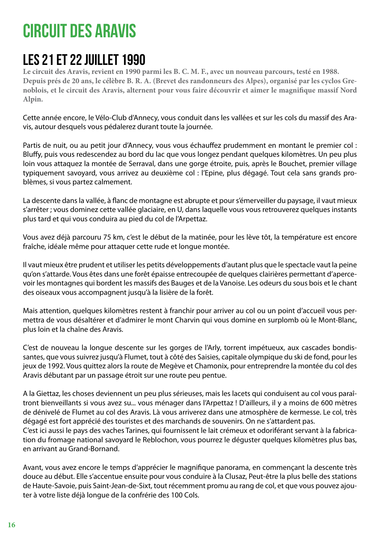#### <span id="page-15-0"></span>CIRCUIT DES ARAVIS

#### LES 21 ET 22 JUILLET 1990

**Le circuit des Aravis, revient en 1990 parmi les B. C. M. F., avec un nouveau parcours, testé en 1988. Depuis prés de 20 ans, le célèbre B. R. A. (Brevet des randonneurs des Alpes), organisé par les cyclos Grenoblois, et le circuit des Aravis, alternent pour vous faire découvrir et aimer le magnifique massif Nord Alpin.**

Cette année encore, le Vélo-Club d'Annecy, vous conduit dans les vallées et sur les cols du massif des Aravis, autour desquels vous pédalerez durant toute la journée.

Partis de nuit, ou au petit jour d'Annecy, vous vous échauffez prudemment en montant le premier col : Bluffy, puis vous redescendez au bord du lac que vous longez pendant quelques kilomètres. Un peu plus loin vous attaquez la montée de Serraval, dans une gorge étroite, puis, après le Bouchet, premier village typiquement savoyard, vous arrivez au deuxième col : l'Epine, plus dégagé. Tout cela sans grands problèmes, si vous partez calmement.

La descente dans la vallée, à flanc de montagne est abrupte et pour s'émerveiller du paysage, il vaut mieux s'arrêter ; vous dominez cette vallée glaciaire, en U, dans laquelle vous vous retrouverez quelques instants plus tard et qui vous conduira au pied du col de l'Arpettaz.

Vous avez déjà parcouru 75 km, c'est le début de la matinée, pour les lève tôt, la température est encore fraîche, idéale même pour attaquer cette rude et longue montée.

Il vaut mieux être prudent et utiliser les petits développements d'autant plus que le spectacle vaut la peine qu'on s'attarde. Vous êtes dans une forêt épaisse entrecoupée de quelques clairières permettant d'apercevoir les montagnes qui bordent les massifs des Bauges et de la Vanoise. Les odeurs du sous bois et le chant des oiseaux vous accompagnent jusqu'à la lisière de la forêt.

Mais attention, quelques kilomètres restent à franchir pour arriver au col ou un point d'accueil vous permettra de vous désaltérer et d'admirer le mont Charvin qui vous domine en surplomb où le Mont-Blanc, plus loin et la chaîne des Aravis.

C'est de nouveau la longue descente sur les gorges de l'Arly, torrent impétueux, aux cascades bondissantes, que vous suivrez jusqu'à Flumet, tout à côté des Saisies, capitale olympique du ski de fond, pour les jeux de 1992. Vous quittez alors la route de Megève et Chamonix, pour entreprendre la montée du col des Aravis débutant par un passage étroit sur une route peu pentue.

A la Giettaz, les choses deviennent un peu plus sérieuses, mais les lacets qui conduisent au col vous paraîtront bienveillants si vous avez su... vous ménager dans l'Arpettaz ! D'ailleurs, il y a moins de 600 mètres de dénivelé de Flumet au col des Aravis. Là vous arriverez dans une atmosphère de kermesse. Le col, très dégagé est fort apprécié des touristes et des marchands de souvenirs. On ne s'attardent pas.

C'est ici aussi le pays des vaches Tarines, qui fournissent le lait crémeux et odoriférant servant à la fabrication du fromage national savoyard le Reblochon, vous pourrez le déguster quelques kilomètres plus bas, en arrivant au Grand-Bornand.

Avant, vous avez encore le temps d'apprécier le magnifique panorama, en commençant la descente très douce au début. Elle s'accentue ensuite pour vous conduire à la Clusaz, Peut-être la plus belle des stations de Haute-Savoie, puis Saint-Jean-de-Sixt, tout récemment promu au rang de col, et que vous pouvez ajouter à votre liste déjà longue de la confrérie des 100 Cols.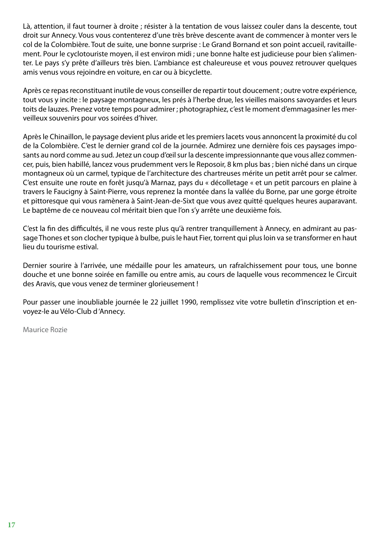Là, attention, il faut tourner à droite ; résister à la tentation de vous laissez couler dans la descente, tout droit sur Annecy. Vous vous contenterez d'une très brève descente avant de commencer à monter vers le col de la Colombière. Tout de suite, une bonne surprise : Le Grand Bornand et son point accueil, ravitaillement. Pour le cyclotouriste moyen, il est environ midi ; une bonne halte est judicieuse pour bien s'alimenter. Le pays s'y prête d'ailleurs très bien. L'ambiance est chaleureuse et vous pouvez retrouver quelques amis venus vous rejoindre en voiture, en car ou à bicyclette.

Après ce repas reconstituant inutile de vous conseiller de repartir tout doucement ; outre votre expérience, tout vous y incite : le paysage montagneux, les prés à l'herbe drue, les vieilles maisons savoyardes et leurs toits de lauzes. Prenez votre temps pour admirer ; photographiez, c'est le moment d'emmagasiner les merveilleux souvenirs pour vos soirées d'hiver.

Après le Chinaillon, le paysage devient plus aride et les premiers lacets vous annoncent la proximité du col de la Colombière. C'est le dernier grand col de la journée. Admirez une dernière fois ces paysages imposants au nord comme au sud. Jetez un coup d'œil sur la descente impressionnante que vous allez commencer, puis, bien habillé, lancez vous prudemment vers le Reposoir, 8 km plus bas ; bien niché dans un cirque montagneux où un carmel, typique de l'architecture des chartreuses mérite un petit arrêt pour se calmer. C'est ensuite une route en forêt jusqu'à Marnaz, pays du « décolletage « et un petit parcours en plaine à travers le Faucigny à Saint-Pierre, vous reprenez la montée dans la vallée du Borne, par une gorge étroite et pittoresque qui vous ramènera à Saint-Jean-de-Sixt que vous avez quitté quelques heures auparavant. Le baptême de ce nouveau col méritait bien que l'on s'y arrête une deuxième fois.

C'est la fin des difficultés, il ne vous reste plus qu'à rentrer tranquillement à Annecy, en admirant au passage Thones et son clocher typique à bulbe, puis le haut Fier, torrent qui plus loin va se transformer en haut lieu du tourisme estival.

Dernier sourire à l'arrivée, une médaille pour les amateurs, un rafraîchissement pour tous, une bonne douche et une bonne soirée en famille ou entre amis, au cours de laquelle vous recommencez le Circuit des Aravis, que vous venez de terminer glorieusement !

Pour passer une inoubliable journée le 22 juillet 1990, remplissez vite votre bulletin d'inscription et envoyez-le au Vélo-Club d 'Annecy.

Maurice Rozie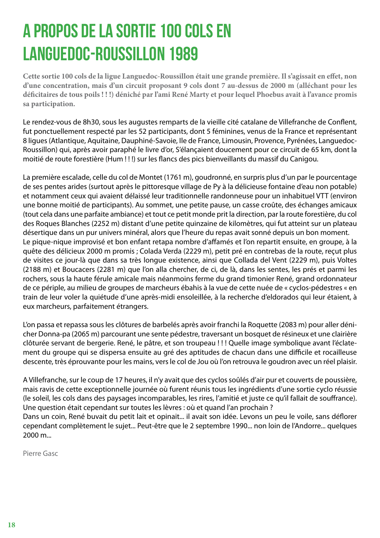## <span id="page-17-0"></span>A PROPOS DE LA SORTIE 100 COLS EN LANGUEDOC-ROUSSILLON 1989

**Cette sortie 100 cols de la ligue Languedoc-Roussillon était une grande première. Il s'agissait en effet, non d'une concentration, mais d'un circuit proposant 9 cols dont 7 au-dessus de 2000 m (alléchant pour les déficitaires de tous poils ! ! !) déniché par l'ami René Marty et pour lequel Phoebus avait à l'avance promis sa participation.**

Le rendez-vous de 8h30, sous les augustes remparts de la vieille cité catalane de Villefranche de Conflent, fut ponctuellement respecté par les 52 participants, dont 5 féminines, venus de la France et représentant 8 ligues (Atlantique, Aquitaine, Dauphiné-Savoie, Ile de France, Limousin, Provence, Pyrénées, Languedoc-Roussillon) qui, après avoir paraphé le livre d'or, S'élançaient doucement pour ce circuit de 65 km, dont la moitié de route forestière (Hum ! ! !) sur les flancs des pics bienveillants du massif du Canigou.

La première escalade, celle du col de Montet (1761 m), goudronné, en surpris plus d'un par le pourcentage de ses pentes arides (surtout après le pittoresque village de Py à la délicieuse fontaine d'eau non potable) et notamment ceux qui avaient délaissé leur traditionnelle randonneuse pour un inhabituel VTT (environ une bonne moitié de participants). Au sommet, une petite pause, un casse croûte, des échanges amicaux (tout cela dans une parfaite ambiance) et tout ce petit monde prit la direction, par la route forestière, du col des Roques Blanches (2252 m) distant d'une petite quinzaine de kilomètres, qui fut atteint sur un plateau désertique dans un pur univers minéral, alors que l'heure du repas avait sonné depuis un bon moment. Le pique-nique improvisé et bon enfant retapa nombre d'affamés et l'on repartit ensuite, en groupe, à la quête des délicieux 2000 m promis ; Colada Verda (2229 m), petit pré en contrebas de la route, reçut plus de visites ce jour-là que dans sa très longue existence, ainsi que Collada del Vent (2229 m), puis Voltes (2188 m) et Boucacers (2281 m) que l'on alla chercher, de ci, de là, dans les sentes, les prés et parmi les rochers, sous la haute férule amicale mais néanmoins ferme du grand timonier René, grand ordonnateur de ce périple, au milieu de groupes de marcheurs ébahis à la vue de cette nuée de « cyclos-pédestres « en train de leur voler la quiétude d'une après-midi ensoleillée, à la recherche d'eldorados qui leur étaient, à eux marcheurs, parfaitement étrangers.

L'on passa et repassa sous les clôtures de barbelés après avoir franchi la Roquette (2083 m) pour aller dénicher Donna-pa (2065 m) parcourant une sente pédestre, traversant un bosquet de résineux et une clairière clôturée servant de bergerie. René, le pâtre, et son troupeau ! ! ! Quelle image symbolique avant l'éclatement du groupe qui se dispersa ensuite au gré des aptitudes de chacun dans une difficile et rocailleuse descente, très éprouvante pour les mains, vers le col de Jou où l'on retrouva le goudron avec un réel plaisir.

A Villefranche, sur le coup de 17 heures, il n'y avait que des cyclos soûlés d'air pur et couverts de poussière, mais ravis de cette exceptionnelle journée où furent réunis tous les ingrédients d'une sortie cyclo réussie (le soleil, les cols dans des paysages incomparables, les rires, l'amitié et juste ce qu'il fallait de souffrance). Une question était cependant sur toutes les lèvres : où et quand l'an prochain ?

Dans un coin, René buvait du petit lait et opinait... il avait son idée. Levons un peu le voile, sans déflorer cependant complètement le sujet... Peut-être que le 2 septembre 1990... non loin de l'Andorre... quelques 2000 m...

Pierre Gasc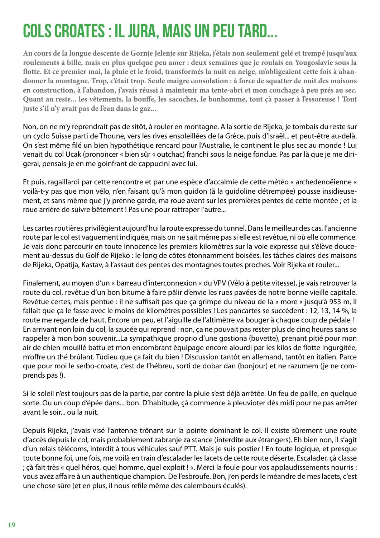#### <span id="page-18-0"></span>COLS CROATES : IL JURA, MAIS UN PEU TARD...

**Au cours de la longue descente de Gornje Jelenje sur Rijeka, j'étais non seulement gelé et trempé jusqu'aux roulements à bille, mais en plus quelque peu amer : deux semaines que je roulais en Yougoslavie sous la flotte. Et ce premier mai, la pluie et le froid, transformés la nuit en neige, m'obligeaient cette fois à abandonner la montagne. Trop, c'était trop. Seule maigre consolation : à force de squatter de nuit des maisons en construction, à l'abandon, j'avais réussi à maintenir ma tente-abri et mon couchage à peu prés au sec. Quant au reste... les vêtements, la bouffe, les sacoches, le bonhomme, tout çà passer à l'essoreuse ! Tout juste s'il n'y avait pas de l'eau dans le gaz...**

Non, on ne m'y reprendrait pas de sitôt, à rouler en montagne. A la sortie de Rijeka, je tombais du reste sur un cyclo Suisse parti de Thoune, vers les rives ensoleillées de la Grèce, puis d'Israël... et peut-être au-delà. On s'est même filé un bien hypothétique rencard pour l'Australie, le continent le plus sec au monde ! Lui venait du col Ucak (prononcer « bien sûr « outchac) franchi sous la neige fondue. Pas par là que je me dirigerai, pensais-je en me goinfrant de cappucini avec lui.

Et puis, ragaillardi par cette rencontre et par une espèce d'accalmie de cette météo « archedenoëienne « voilà-t-y pas que mon vélo, n'en faisant qu'à mon guidon (à la guidoline détrempée) pousse insidieusement, et sans même que j'y prenne garde, ma roue avant sur les premières pentes de cette montée ; et la roue arrière de suivre bêtement ! Pas une pour rattraper l'autre...

Les cartes routières privilégient aujourd'hui la route expresse du tunnel. Dans le meilleur des cas, l'ancienne route par le col est vaguement indiquée, mais on ne sait même pas si elle est revêtue, ni où elle commence. Je vais donc parcourir en toute innocence les premiers kilomètres sur la voie expresse qui s'élève doucement au-dessus du Golf de Rijeko : le long de côtes étonnamment boisées, les tâches claires des maisons de Rijeka, Opatija, Kastav, à l'assaut des pentes des montagnes toutes proches. Voir Rijeka et rouler...

Finalement, au moyen d'un « barreau d'interconnexion « du VPV (Vélo à petite vitesse), je vais retrouver la route du col, revêtue d'un bon bitume à faire pâlir d'envie les rues pavées de notre bonne vieille capitale. Revêtue certes, mais pentue : il ne suffisait pas que ça grimpe du niveau de la « more « jusqu'à 953 m, il fallait que ça le fasse avec le moins de kilomètres possibles ! Les pancartes se succèdent : 12, 13, 14 %, la route me regarde de haut. Encore un peu, et l'aiguille de l'altimètre va bouger à chaque coup de pédale ! En arrivant non loin du col, la saucée qui reprend : non, ça ne pouvait pas rester plus de cinq heures sans se rappeler à mon bon souvenir...La sympathique proprio d'une gostiona (buvette), prenant pitié pour mon air de chien mouillé battu et mon encombrant équipage encore alourdi par les kilos de flotte ingurgitée, m'offre un thé brûlant. Tudieu que ça fait du bien ! Discussion tantôt en allemand, tantôt en italien. Parce que pour moi le serbo-croate, c'est de l'hébreu, sorti de dobar dan (bonjour) et ne razumem (je ne comprends pas !).

Si le soleil n'est toujours pas de la partie, par contre la pluie s'est déjà arrêtée. Un feu de paille, en quelque sorte. Ou un coup d'épée dans... bon. D'habitude, çà commence à pleuvioter dés midi pour ne pas arrêter avant le soir... ou la nuit.

Depuis Rijeka, j'avais visé l'antenne trônant sur la pointe dominant le col. Il existe sûrement une route d'accès depuis le col, mais probablement zabranje za stance (interdite aux étrangers). Eh bien non, il s'agit d'un relais télécoms, interdit à tous véhicules sauf PTT. Mais je suis postier ! En toute logique, et presque toute bonne foi, une fois, me voilà en train d'escalader les lacets de cette route déserte. Escalader, çà classe ; çà fait très « quel héros, quel homme, quel exploit ! «. Merci la foule pour vos applaudissements nourris : vous avez affaire à un authentique champion. De l'esbroufe. Bon, j'en perds le méandre de mes lacets, c'est une chose sûre (et en plus, il nous refile même des calembours éculés).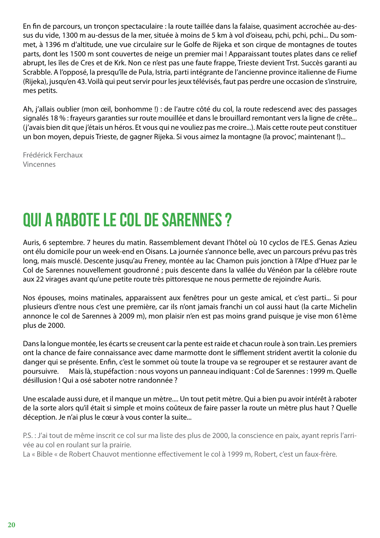<span id="page-19-0"></span>En fin de parcours, un tronçon spectaculaire : la route taillée dans la falaise, quasiment accrochée au-dessus du vide, 1300 m au-dessus de la mer, située à moins de 5 km à vol d'oiseau, pchi, pchi, pchi... Du sommet, à 1396 m d'altitude, une vue circulaire sur le Golfe de Rijeka et son cirque de montagnes de toutes parts, dont les 1500 m sont couvertes de neige un premier mai ! Apparaissant toutes plates dans ce relief abrupt, les îles de Cres et de Krk. Non ce n'est pas une faute frappe, Trieste devient Trst. Succès garanti au Scrabble. A l'opposé, la presqu'île de Pula, Istria, parti intégrante de l'ancienne province italienne de Fiume (Rijeka), jusqu'en 43. Voilà qui peut servir pour les jeux télévisés, faut pas perdre une occasion de s'instruire, mes petits.

Ah, j'allais oublier (mon œil, bonhomme !) : de l'autre côté du col, la route redescend avec des passages signalés 18 % : frayeurs garanties sur route mouillée et dans le brouillard remontant vers la ligne de crête... (j'avais bien dit que j'étais un héros. Et vous qui ne vouliez pas me croire...). Mais cette route peut constituer un bon moyen, depuis Trieste, de gagner Rijeka. Si vous aimez la montagne (la provoc', maintenant !)...

Frédérick Ferchaux Vincennes

#### QUI A RABOTE LE COL DE SARENNES ?

Auris, 6 septembre. 7 heures du matin. Rassemblement devant l'hôtel où 10 cyclos de l'E.S. Genas Azieu ont élu domicile pour un week-end en Oisans. La journée s'annonce belle, avec un parcours prévu pas très long, mais musclé. Descente jusqu'au Freney, montée au lac Chamon puis jonction à l'Alpe d'Huez par le Col de Sarennes nouvellement goudronné ; puis descente dans la vallée du Vénéon par la célèbre route aux 22 virages avant qu'une petite route très pittoresque ne nous permette de rejoindre Auris.

Nos épouses, moins matinales, apparaissent aux fenêtres pour un geste amical, et c'est parti... Si pour plusieurs d'entre nous c'est une première, car ils n'ont jamais franchi un col aussi haut (la carte Michelin annonce le col de Sarennes à 2009 m), mon plaisir n'en est pas moins grand puisque je vise mon 61ème plus de 2000.

Dans la longue montée, les écarts se creusent car la pente est raide et chacun roule à son train. Les premiers ont la chance de faire connaissance avec dame marmotte dont le sifflement strident avertit la colonie du danger qui se présente. Enfin, c'est le sommet où toute la troupe va se regrouper et se restaurer avant de poursuivre. Mais là, stupéfaction : nous voyons un panneau indiquant : Col de Sarennes : 1999 m. Quelle désillusion ! Qui a osé saboter notre randonnée ?

Une escalade aussi dure, et il manque un mètre.... Un tout petit mètre. Qui a bien pu avoir intérêt à raboter de la sorte alors qu'il était si simple et moins coûteux de faire passer la route un mètre plus haut ? Quelle déception. Je n'ai plus le cœur à vous conter la suite...

P.S. : J'ai tout de même inscrit ce col sur ma liste des plus de 2000, la conscience en paix, ayant repris l'arrivée au col en roulant sur la prairie.

La « Bible « de Robert Chauvot mentionne effectivement le col à 1999 m, Robert, c'est un faux-frère.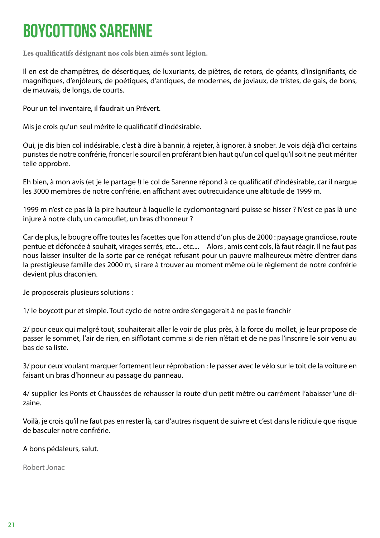#### <span id="page-20-0"></span>BOYCOTTONS SARENNE

**Les qualificatifs désignant nos cols bien aimés sont légion.**

Il en est de champêtres, de désertiques, de luxuriants, de piètres, de retors, de géants, d'insignifiants, de magnifiques, d'enjôleurs, de poétiques, d'antiques, de modernes, de joviaux, de tristes, de gais, de bons, de mauvais, de longs, de courts.

Pour un tel inventaire, il faudrait un Prévert.

Mis je crois qu'un seul mérite le qualificatif d'indésirable.

Oui, je dis bien col indésirable, c'est à dire à bannir, à rejeter, à ignorer, à snober. Je vois déjà d'ici certains puristes de notre confrérie, froncer le sourcil en proférant bien haut qu'un col quel qu'il soit ne peut mériter telle opprobre.

Eh bien, à mon avis (et je le partage !) le col de Sarenne répond à ce qualificatif d'indésirable, car il nargue les 3000 membres de notre confrérie, en affichant avec outrecuidance une altitude de 1999 m.

1999 m n'est ce pas là la pire hauteur à laquelle le cyclomontagnard puisse se hisser ? N'est ce pas là une injure à notre club, un camouflet, un bras d'honneur ?

Car de plus, le bougre offre toutes les facettes que l'on attend d'un plus de 2000 : paysage grandiose, route pentue et défoncée à souhait, virages serrés, etc.... etc.... Alors , amis cent cols, là faut réagir. Il ne faut pas nous laisser insulter de la sorte par ce renégat refusant pour un pauvre malheureux mètre d'entrer dans la prestigieuse famille des 2000 m, si rare à trouver au moment même où le règlement de notre confrérie devient plus draconien.

Je proposerais plusieurs solutions :

1/ le boycott pur et simple. Tout cyclo de notre ordre s'engagerait à ne pas le franchir

2/ pour ceux qui malgré tout, souhaiterait aller le voir de plus près, à la force du mollet, je leur propose de passer le sommet, l'air de rien, en sifflotant comme si de rien n'était et de ne pas l'inscrire le soir venu au bas de sa liste.

3/ pour ceux voulant marquer fortement leur réprobation : le passer avec le vélo sur le toit de la voiture en faisant un bras d'honneur au passage du panneau.

4/ supplier les Ponts et Chaussées de rehausser la route d'un petit mètre ou carrément l'abaisser 'une dizaine.

Voilà, je crois qu'il ne faut pas en rester là, car d'autres risquent de suivre et c'est dans le ridicule que risque de basculer notre confrérie.

A bons pédaleurs, salut.

Robert Jonac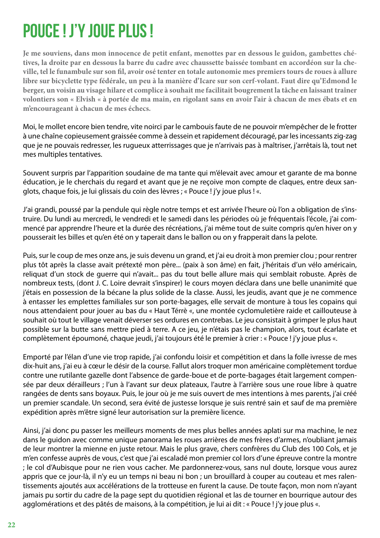#### <span id="page-21-0"></span>POUCE ! J'Y JOUE PLUS !

**Je me souviens, dans mon innocence de petit enfant, menottes par en dessous le guidon, gambettes chétives, la droite par en dessous la barre du cadre avec chaussette baissée tombant en accordéon sur la cheville, tel le funambule sur son fil, avoir osé tenter en totale autonomie mes premiers tours de roues à allure libre sur bicyclette type fédérale, un peu à la manière d'Icare sur son cerf-volant. Faut dire qu'Edmond le berger, un voisin au visage hilare et complice à souhait me facilitait bougrement la tâche en laissant traîner volontiers son « Elvish « à portée de ma main, en rigolant sans en avoir l'air à chacun de mes ébats et en m'encourageant à chacun de mes échecs.**

Moi, le mollet encore bien tendre, vite noirci par le cambouis faute de ne pouvoir m'empêcher de le frotter à une chaîne copieusement graissée comme à dessein et rapidement découragé, par les incessants zig-zag que je ne pouvais redresser, les rugueux atterrissages que je n'arrivais pas à maîtriser, j'arrêtais là, tout net mes multiples tentatives.

Souvent surpris par l'apparition soudaine de ma tante qui m'élevait avec amour et garante de ma bonne éducation, je le cherchais du regard et avant que je ne reçoive mon compte de claques, entre deux sanglots, chaque fois, je lui glissais du coin des lèvres ; « Pouce ! j'y joue plus ! «.

J'ai grandi, poussé par la pendule qui règle notre temps et est arrivée l'heure où l'on a obligation de s'instruire. Du lundi au mercredi, le vendredi et le samedi dans les périodes où je fréquentais l'école, j'ai commencé par apprendre l'heure et la durée des récréations, j'ai même tout de suite compris qu'en hiver on y pousserait les billes et qu'en été on y taperait dans le ballon ou on y frapperait dans la pelote.

Puis, sur le coup de mes onze ans, je suis devenu un grand, et j'ai eu droit à mon premier clou ; pour rentrer plus tôt après la classe avait prétexté mon père... (paix à son âme) en fait, j'héritais d'un vélo américain, reliquat d'un stock de guerre qui n'avait... pas du tout belle allure mais qui semblait robuste. Après de nombreux tests, (dont J. C. Loire devrait s'inspirer) le cours moyen déclara dans une belle unanimité que j'étais en possession de la bécane la plus solide de la classe. Aussi, les jeudis, avant que je ne commence à entasser les emplettes familiales sur son porte-bagages, elle servait de monture à tous les copains qui nous attendaient pour jouer au bas du « Haut Térrè «, une montée cyclomuletière raide et caillouteuse à souhait où tout le village venait déverser ses ordures en contrebas. Le jeu consistait à grimper le plus haut possible sur la butte sans mettre pied à terre. A ce jeu, je n'étais pas le champion, alors, tout écarlate et complètement époumoné, chaque jeudi, j'ai toujours été le premier à crier : « Pouce ! j'y joue plus «.

Emporté par l'élan d'une vie trop rapide, j'ai confondu loisir et compétition et dans la folle ivresse de mes dix-huit ans, j'ai eu à cœur le désir de la course. Fallut alors troquer mon américaine complètement tordue contre une rutilante gazelle dont l'absence de garde-boue et de porte-bagages était largement compensée par deux dérailleurs ; l'un à l'avant sur deux plateaux, l'autre à l'arrière sous une roue libre à quatre rangées de dents sans boyaux. Puis, le jour où je me suis ouvert de mes intentions à mes parents, j'ai créé un premier scandale. Un second, sera évité de justesse lorsque je suis rentré sain et sauf de ma première expédition après m'être signé leur autorisation sur la première licence.

Ainsi, j'ai donc pu passer les meilleurs moments de mes plus belles années aplati sur ma machine, le nez dans le guidon avec comme unique panorama les roues arrières de mes frères d'armes, n'oubliant jamais de leur montrer la mienne en juste retour. Mais le plus grave, chers confrères du Club des 100 Cols, et je m'en confesse auprès de vous, c'est que j'ai escaladé mon premier col lors d'une épreuve contre la montre ; le col d'Aubisque pour ne rien vous cacher. Me pardonnerez-vous, sans nul doute, lorsque vous aurez appris que ce jour-là, il n'y eu un temps ni beau ni bon ; un brouillard à couper au couteau et mes ralentissements ajoutés aux accélérations de la trotteuse en furent la cause. De toute façon, mon nom n'ayant jamais pu sortir du cadre de la page sept du quotidien régional et las de tourner en bourrique autour des agglomérations et des pâtés de maisons, à la compétition, je lui ai dit : « Pouce ! j'y joue plus «.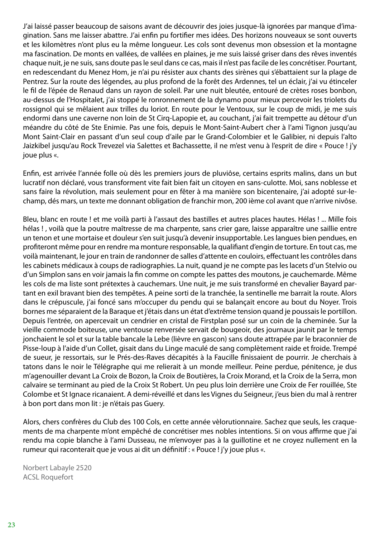J'ai laissé passer beaucoup de saisons avant de découvrir des joies jusque-là ignorées par manque d'imagination. Sans me laisser abattre. J'ai enfin pu fortifier mes idées. Des horizons nouveaux se sont ouverts et les kilomètres n'ont plus eu la même longueur. Les cols sont devenus mon obsession et la montagne ma fascination. De monts en vallées, de vallées en plaines, je me suis laissé griser dans des rêves inventés chaque nuit, je ne suis, sans doute pas le seul dans ce cas, mais il n'est pas facile de les concrétiser. Pourtant, en redescendant du Menez Hom, je n'ai pu résister aux chants des sirènes qui s'ébattaient sur la plage de Pentrez. Sur la route des légendes, au plus profond de la forêt des Ardennes, tel un éclair, j'ai vu étinceler le fil de l'épée de Renaud dans un rayon de soleil. Par une nuit bleutée, entouré de crètes roses bonbon, au-dessus de l'Hospitalet, j'ai stoppé le ronronnement de la dynamo pour mieux percevoir les triolets du rossignol qui se mêlaient aux trilles du loriot. En route pour le Ventoux, sur le coup de midi, je me suis endormi dans une caverne non loin de St Cirq-Lapopie et, au couchant, j'ai fait trempette au détour d'un méandre du côté de Ste Enimie. Pas une fois, depuis le Mont-Saint-Aubert cher à l'ami Tignon jusqu'au Mont Saint-Clair en passant d'un seul coup d'aile par le Grand-Colombier et le Galibier, ni depuis l'alto Jaizkibel jusqu'au Rock Trevezel via Salettes et Bachassette, il ne m'est venu à l'esprit de dire « Pouce ! j'y joue plus «.

Enfin, est arrivée l'année folle où dès les premiers jours de pluviôse, certains esprits malins, dans un but lucratif non déclaré, vous transforment vite fait bien fait un citoyen en sans-culotte. Moi, sans noblesse et sans faire la révolution, mais seulement pour en fêter à ma manière son bicentenaire, j'ai adopté sur-lechamp, dés mars, un texte me donnant obligation de franchir mon, 200 ième col avant que n'arrive nivôse.

Bleu, blanc en route ! et me voilà parti à l'assaut des bastilles et autres places hautes. Hélas ! ... Mille fois hélas ! , voilà que la poutre maîtresse de ma charpente, sans crier gare, laisse apparaître une saillie entre un tenon et une mortaise et douleur s'en suit jusqu'à devenir insupportable. Les langues bien pendues, en profiteront même pour en rendre ma monture responsable, la qualifiant d'engin de torture. En tout cas, me voilà maintenant, le jour en train de randonner de salles d'attente en couloirs, effectuant les contrôles dans les cabinets médicaux à coups de radiographies. La nuit, quand je ne compte pas les lacets d'un Stelvio ou d'un Simplon sans en voir jamais la fin comme on compte les pattes des moutons, je cauchemarde. Même les cols de ma liste sont prétextes à cauchemars. Une nuit, je me suis transformé en chevalier Bayard partant en exil bravant bien des tempêtes. A peine sorti de la tranchée, la sentinelle me barrait la route. Alors dans le crépuscule, j'ai foncé sans m'occuper du pendu qui se balançait encore au bout du Noyer. Trois bornes me séparaient de la Baraque et j'étais dans un état d'extrême tension quand je poussais le portillon. Depuis l'entrée, on apercevait un cendrier en cristal de Firstplan posé sur un coin de la cheminée. Sur la vieille commode boiteuse, une ventouse renversée servait de bougeoir, des journaux jaunit par le temps jonchaient le sol et sur la table bancale la Lebe (lièvre en gascon) sans doute attrapée par le braconnier de Pisse-loup à l'aide d'un Collet, gisait dans du Linge maculé de sang complètement raide et froide. Trempé de sueur, je ressortais, sur le Prés-des-Raves décapités à la Faucille finissaient de pourrir. Je cherchais à tatons dans le noir le Télégraphe qui me relierait à un monde meilleur. Peine perdue, pénitence, je dus m'agenouiller devant La Croix de Bozon, la Croix de Boutières, la Croix Morand, et la Croix de la Serra, mon calvaire se terminant au pied de la Croix St Robert. Un peu plus loin derrière une Croix de Fer rouillée, Ste Colombe et St Ignace ricanaient. A demi-réveillé et dans les Vignes du Seigneur, j'eus bien du mal à rentrer à bon port dans mon lit : je n'étais pas Guery.

Alors, chers confrères du Club des 100 Cols, en cette année vèlorutionnaire. Sachez que seuls, les craquements de ma charpente m'ont empêché de concrétiser mes nobles intentions. Si on vous affirme que j'ai rendu ma copie blanche à l'ami Dusseau, ne m'envoyer pas à la guillotine et ne croyez nullement en la rumeur qui raconterait que je vous ai dit un définitif : « Pouce ! j'y joue plus «.

Norbert Labayle 2520 ACSL Roquefort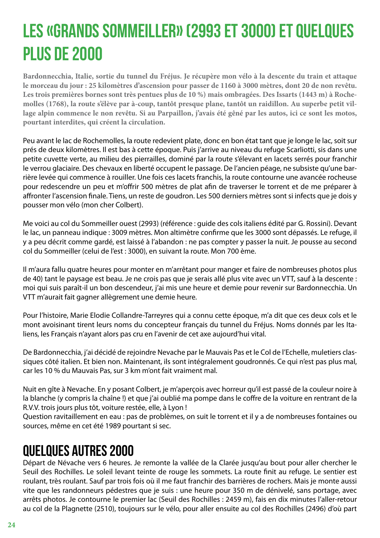## <span id="page-23-0"></span>LES «GRANDS SOMMEILLER» (2993 ET 3000) ET QUELQUES PLUS DE 2000

**Bardonnecchia, Italie, sortie du tunnel du Fréjus. Je récupère mon vélo à la descente du train et attaque le morceau du jour : 25 kilomètres d'ascension pour passer de 1160 à 3000 mètres, dont 20 de non revêtu. Les trois premières bornes sont très pentues plus de 10 %) mais ombragées. Des Issarts (1443 m) à Rochemolles (1768), la route s'élève par à-coup, tantôt presque plane, tantôt un raidillon. Au superbe petit village alpin commence le non revêtu. Si au Parpaillon, j'avais été gêné par les autos, ici ce sont les motos, pourtant interdites, qui créent la circulation.**

Peu avant le lac de Rochemolles, la route redevient plate, donc en bon état tant que je longe le lac, soit sur prés de deux kilomètres. Il est bas à cette époque. Puis j'arrive au niveau du refuge Scarliotti, sis dans une petite cuvette verte, au milieu des pierrailles, dominé par la route s'élevant en lacets serrés pour franchir le verrou glaciaire. Des chevaux en liberté occupent le passage. De l'ancien péage, ne subsiste qu'une barrière levée qui commence à rouiller. Une fois ces lacets franchis, la route contourne une avancée rocheuse pour redescendre un peu et m'offrir 500 mètres de plat afin de traverser le torrent et de me préparer à affronter l'ascension finale. Tiens, un reste de goudron. Les 500 derniers mètres sont si infects que je dois y pousser mon vélo (mon cher Colbert).

Me voici au col du Sommeiller ouest (2993) (référence : guide des cols italiens édité par G. Rossini). Devant le lac, un panneau indique : 3009 mètres. Mon altimètre confirme que les 3000 sont dépassés. Le refuge, il y a peu décrit comme gardé, est laissé à l'abandon : ne pas compter y passer la nuit. Je pousse au second col du Sommeiller (celui de l'est : 3000), en suivant la route. Mon 700 ème.

Il m'aura fallu quatre heures pour monter en m'arrêtant pour manger et faire de nombreuses photos plus de 40) tant le paysage est beau. Je ne crois pas que je serais allé plus vite avec un VTT, sauf à la descente : moi qui suis paraît-il un bon descendeur, j'ai mis une heure et demie pour revenir sur Bardonnecchia. Un VTT m'aurait fait gagner allègrement une demie heure.

Pour l'histoire, Marie Elodie Collandre-Tarreyres qui a connu cette époque, m'a dit que ces deux cols et le mont avoisinant tirent leurs noms du concepteur français du tunnel du Fréjus. Noms donnés par les Italiens, les Français n'ayant alors pas cru en l'avenir de cet axe aujourd'hui vital.

De Bardonnecchia, j'ai décidé de rejoindre Nevache par le Mauvais Pas et le Col de l'Echelle, muletiers classiques côté italien. Et bien non. Maintenant, ils sont intégralement goudronnés. Ce qui n'est pas plus mal, car les 10 % du Mauvais Pas, sur 3 km m'ont fait vraiment mal.

Nuit en gîte à Nevache. En y posant Colbert, je m'aperçois avec horreur qu'il est passé de la couleur noire à la blanche (y compris la chaîne !) et que j'ai oublié ma pompe dans le coffre de la voiture en rentrant de la R.V.V. trois jours plus tôt, voiture restée, elle, à Lyon !

Question ravitaillement en eau : pas de problèmes, on suit le torrent et il y a de nombreuses fontaines ou sources, même en cet été 1989 pourtant si sec.

#### Quelques autres 2000

Départ de Névache vers 6 heures. Je remonte la vallée de la Clarée jusqu'au bout pour aller chercher le Seuil des Rochilles. Le soleil levant teinte de rouge les sommets. La route finit au refuge. Le sentier est roulant, très roulant. Sauf par trois fois où il me faut franchir des barrières de rochers. Mais je monte aussi vite que les randonneurs pédestres que je suis : une heure pour 350 m de dénivelé, sans portage, avec arrêts photos. Je contourne le premier lac (Seuil des Rochilles : 2459 m), fais en dix minutes l'aller-retour au col de la Plagnette (2510), toujours sur le vélo, pour aller ensuite au col des Rochilles (2496) d'où part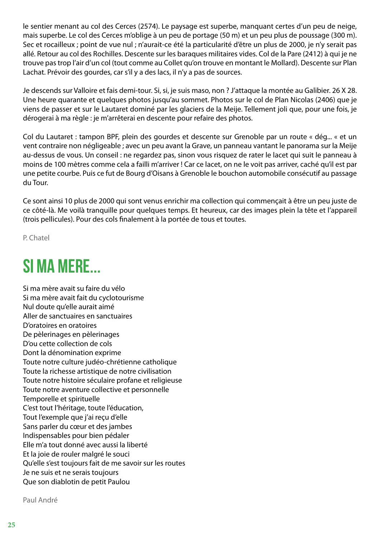<span id="page-24-0"></span>le sentier menant au col des Cerces (2574). Le paysage est superbe, manquant certes d'un peu de neige, mais superbe. Le col des Cerces m'oblige à un peu de portage (50 m) et un peu plus de poussage (300 m). Sec et rocailleux ; point de vue nul ; n'aurait-ce été la particularité d'être un plus de 2000, je n'y serait pas allé. Retour au col des Rochilles. Descente sur les baraques militaires vides. Col de la Pare (2412) à qui je ne trouve pas trop l'air d'un col (tout comme au Collet qu'on trouve en montant le Mollard). Descente sur Plan Lachat. Prévoir des gourdes, car s'il y a des lacs, il n'y a pas de sources.

Je descends sur Valloire et fais demi-tour. Si, si, je suis maso, non ? J'attaque la montée au Galibier. 26 X 28. Une heure quarante et quelques photos jusqu'au sommet. Photos sur le col de Plan Nicolas (2406) que je viens de passer et sur le Lautaret dominé par les glaciers de la Meije. Tellement joli que, pour une fois, je dérogerai à ma règle : je m'arrêterai en descente pour refaire des photos.

Col du Lautaret : tampon BPF, plein des gourdes et descente sur Grenoble par un route « dég... « et un vent contraire non négligeable ; avec un peu avant la Grave, un panneau vantant le panorama sur la Meije au-dessus de vous. Un conseil : ne regardez pas, sinon vous risquez de rater le lacet qui suit le panneau à moins de 100 mètres comme cela a failli m'arriver ! Car ce lacet, on ne le voit pas arriver, caché qu'il est par une petite courbe. Puis ce fut de Bourg d'Oisans à Grenoble le bouchon automobile consécutif au passage du Tour.

Ce sont ainsi 10 plus de 2000 qui sont venus enrichir ma collection qui commençait à être un peu juste de ce côté-là. Me voilà tranquille pour quelques temps. Et heureux, car des images plein la tête et l'appareil (trois pellicules). Pour des cols finalement à la portée de tous et toutes.

P. Chatel

#### SI MA MERE...

Si ma mère avait su faire du vélo Si ma mère avait fait du cyclotourisme Nul doute qu'elle aurait aimé Aller de sanctuaires en sanctuaires D'oratoires en oratoires De pèlerinages en pèlerinages D'ou cette collection de cols Dont la dénomination exprime Toute notre culture judéo-chrétienne catholique Toute la richesse artistique de notre civilisation Toute notre histoire séculaire profane et religieuse Toute notre aventure collective et personnelle Temporelle et spirituelle C'est tout l'héritage, toute l'éducation, Tout l'exemple que j'ai reçu d'elle Sans parler du cœur et des jambes Indispensables pour bien pédaler Elle m'a tout donné avec aussi la liberté Et la joie de rouler malgré le souci Qu'elle s'est toujours fait de me savoir sur les routes Je ne suis et ne serais toujours Que son diablotin de petit Paulou

Paul André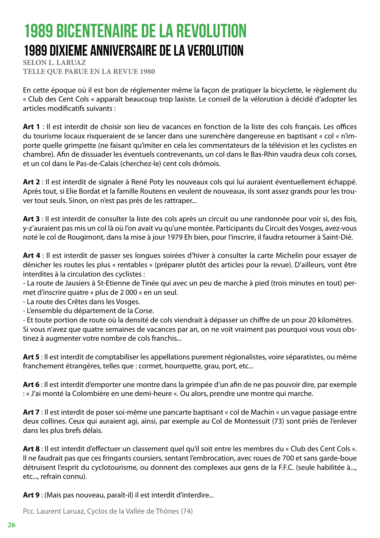#### <span id="page-25-0"></span>1989 BICENTENAIRE DE LA REVOLUTION 1989 DIXIEME ANNIVERSAIRE DE LA VEROLUTION

**SELON L. LARUAZ TELLE QUE PARUE EN LA REVUE 1980**

En cette époque où il est bon de réglementer même la façon de pratiquer la bicyclette, le règlement du « Club des Cent Cols « apparaît beaucoup trop laxiste. Le conseil de la vélorution à décidé d'adopter les articles modificatifs suivants :

**Art 1** : Il est interdit de choisir son lieu de vacances en fonction de la liste des cols français. Les offices du tourisme locaux risqueraient de se lancer dans une surenchère dangereuse en baptisant « col « n'importe quelle grimpette (ne faisant qu'imiter en cela les commentateurs de la télévision et les cyclistes en chambre). Afin de dissuader les éventuels contrevenants, un col dans le Bas-Rhin vaudra deux cols corses, et un col dans le Pas-de-Calais (cherchez-le) cent cols drômois.

**Art 2** : Il est interdit de signaler à René Poty les nouveaux cols qui lui auraient éventuellement échappé. Après tout, si Elie Bordat et la famille Routens en veulent de nouveaux, ils sont assez grands pour les trouver tout seuls. Sinon, on n'est pas prés de les rattraper...

**Art 3** : Il est interdit de consulter la liste des cols après un circuit ou une randonnée pour voir si, des fois, y-z'auraient pas mis un col là où l'on avait vu qu'une montée. Participants du Circuit des Vosges, avez-vous noté le col de Rougimont, dans la mise à jour 1979 Eh bien, pour l'inscrire, il faudra retourner à Saint-Dié.

**Art 4** : Il est interdit de passer ses longues soirées d'hiver à consulter la carte Michelin pour essayer de dénicher les routes les plus « rentables « (préparer plutôt des articles pour la revue). D'ailleurs, vont être interdites à la circulation des cyclistes :

- La route de Jausiers à St-Etienne de Tinée qui avec un peu de marche à pied (trois minutes en tout) permet d'inscrire quatre « plus de 2 000 « en un seul.

- La route des Crêtes dans les Vosges.

- L'ensemble du département de la Corse.

- Et toute portion de route où la densité de cols viendrait à dépasser un chiffre de un pour 20 kilomètres. Si vous n'avez que quatre semaines de vacances par an, on ne voit vraiment pas pourquoi vous vous obstinez à augmenter votre nombre de cols franchis...

**Art 5** : Il est interdit de comptabiliser les appellations purement régionalistes, voire séparatistes, ou même franchement étrangères, telles que : cormet, hourquette, grau, port, etc...

**Art 6** : Il est interdit d'emporter une montre dans la grimpée d'un afin de ne pas pouvoir dire, par exemple : « J'ai monté la Colombière en une demi-heure «. Ou alors, prendre une montre qui marche.

**Art 7** : Il est interdit de poser soi-même une pancarte baptisant « col de Machin « un vague passage entre deux collines. Ceux qui auraient agi, ainsi, par exemple au Col de Montessuit (73) sont priés de l'enlever dans les plus brefs délais.

**Art 8** : Il est interdit d'effectuer un classement quel qu'il soit entre les membres du « Club des Cent Cols «. Il ne faudrait pas que ces fringants coursiers, sentant l'embrocation, avec roues de 700 et sans garde-boue détruisent l'esprit du cyclotourisme, ou donnent des complexes aux gens de la F.F.C. (seule habilitée à..., etc..., refrain connu).

**Art 9** : (Mais pas nouveau, paraît-il) il est interdit d'interdire...

Pcc. Laurent Laruaz, Cyclos de la Vallée de Thônes (74)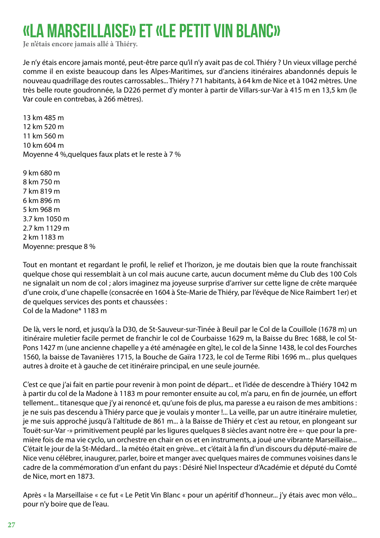#### <span id="page-26-0"></span>«LA MARSEILLAISE» ET «LE PETIT VIN BLANC»

**Je n'étais encore jamais allé à Thiéry.**

Je n'y étais encore jamais monté, peut-être parce qu'il n'y avait pas de col. Thiéry ? Un vieux village perché comme il en existe beaucoup dans les Alpes-Maritimes, sur d'anciens itinéraires abandonnés depuis le nouveau quadrillage des routes carrossables... Thiéry ? 71 habitants, à 64 km de Nice et à 1042 mètres. Une très belle route goudronnée, la D226 permet d'y monter à partir de Villars-sur-Var à 415 m en 13,5 km (le Var coule en contrebas, à 266 mètres).

13 km 485 m 12 km 520 m 11 km 560 m 10 km 604 m Moyenne 4 %,quelques faux plats et le reste à 7 %

9 km 680 m 8 km 750 m 7 km 819 m 6 km 896 m 5 km 968 m 3.7 km 1050 m 2.7 km 1129 m 2 km 1183 m Moyenne: presque 8 %

Tout en montant et regardant le profil, le relief et l'horizon, je me doutais bien que la route franchissait quelque chose qui ressemblait à un col mais aucune carte, aucun document même du Club des 100 Cols ne signalait un nom de col ; alors imaginez ma joyeuse surprise d'arriver sur cette ligne de crête marquée d'une croix, d'une chapelle (consacrée en 1604 à Ste-Marie de Thiéry, par l'évêque de Nice Raimbert 1er) et de quelques services des ponts et chaussées : Col de la Madone\* 1183 m

De là, vers le nord, et jusqu'à la D30, de St-Sauveur-sur-Tinée à Beuil par le Col de la Couillole (1678 m) un itinéraire muletier facile permet de franchir le col de Courbaisse 1629 m, la Baisse du Brec 1688, le col St-Pons 1427 m (une ancienne chapelle y a été aménagée en gîte), le col de la Sinne 1438, le col des Fourches 1560, la baisse de Tavanières 1715, la Bouche de Gaïra 1723, le col de Terme Ribi 1696 m... plus quelques autres à droite et à gauche de cet itinéraire principal, en une seule journée.

C'est ce que j'ai fait en partie pour revenir à mon point de départ... et l'idée de descendre à Thiéry 1042 m à partir du col de la Madone à 1183 m pour remonter ensuite au col, m'a paru, en fin de journée, un effort tellement... titanesque que j'y ai renoncé et, qu'une fois de plus, ma paresse a eu raison de mes ambitions : je ne suis pas descendu à Thiéry parce que je voulais y monter !... La veille, par un autre itinéraire muletier, je me suis approché jusqu'à l'altitude de 861 m... à la Baisse de Thiéry et c'est au retour, en plongeant sur Touët-sur-Var -» primitivement peuplé par les ligures quelques 8 siècles avant notre ère «- que pour la première fois de ma vie cyclo, un orchestre en chair en os et en instruments, a joué une vibrante Marseillaise... C'était le jour de la St-Médard... la météo était en grève... et c'était à la fin d'un discours du député-maire de Nice venu célébrer, inaugurer, parler, boire et manger avec quelques maires de communes voisines dans le cadre de la commémoration d'un enfant du pays : Désiré Niel Inspecteur d'Académie et député du Comté de Nice, mort en 1873.

Après « la Marseillaise « ce fut « Le Petit Vin Blanc « pour un apéritif d'honneur... j'y étais avec mon vélo... pour n'y boire que de l'eau.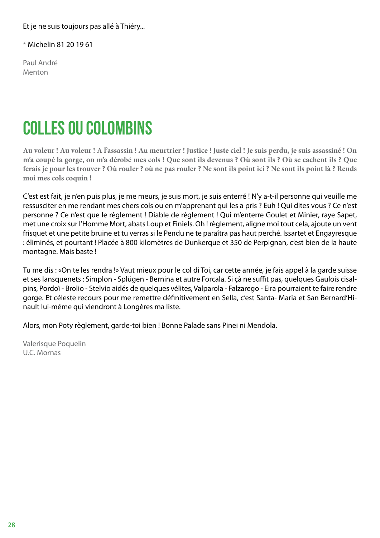<span id="page-27-0"></span>Et je ne suis toujours pas allé à Thiéry...

\* Michelin 81 20 19 61

Paul André Menton

#### COLLES OU COLOMBINS

**Au voleur ! Au voleur ! A l'assassin ! Au meurtrier ! Justice ! Juste ciel ! Je suis perdu, je suis assassiné ! On m'a coupé la gorge, on m'a dérobé mes cols ! Que sont ils devenus ? Où sont ils ? Où se cachent ils ? Que ferais je pour les trouver ? Où rouler ? où ne pas rouler ? Ne sont ils point ici ? Ne sont ils point là ? Rends moi mes cols coquin !**

C'est est fait, je n'en puis plus, je me meurs, je suis mort, je suis enterré ! N'y a-t-il personne qui veuille me ressusciter en me rendant mes chers cols ou en m'apprenant qui les a pris ? Euh ! Qui dites vous ? Ce n'est personne ? Ce n'est que le règlement ! Diable de règlement ! Qui m'enterre Goulet et Minier, raye Sapet, met une croix sur l'Homme Mort, abats Loup et Finiels. Oh ! règlement, aligne moi tout cela, ajoute un vent frisquet et une petite bruine et tu verras si le Pendu ne te paraîtra pas haut perché. Issartet et Engayresque : éliminés, et pourtant ! Placée à 800 kilomètres de Dunkerque et 350 de Perpignan, c'est bien de la haute montagne. Mais baste !

Tu me dis : «On te les rendra !» Vaut mieux pour le col di Toi, car cette année, je fais appel à la garde suisse et ses lansquenets : Simplon - Splügen - Bernina et autre Forcala. Si çà ne suffit pas, quelques Gaulois cisalpins, Pordoï - Brolio - Stelvio aidés de quelques vélites, Valparola - Falzarego - Eira pourraient te faire rendre gorge. Et céleste recours pour me remettre définitivement en Sella, c'est Santa- Maria et San Bernard'Hinault lui-même qui viendront à Longères ma liste.

Alors, mon Poty règlement, garde-toi bien ! Bonne Palade sans Pinei ni Mendola.

Valerisque Poquelin U.C. Mornas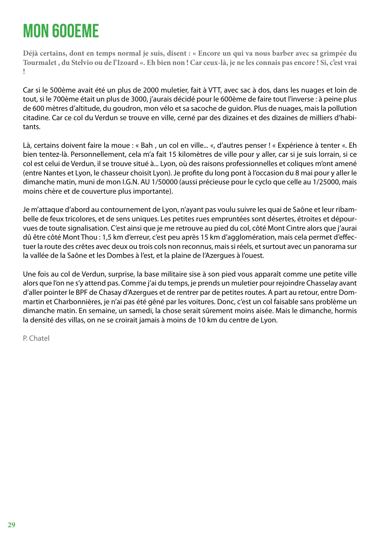## <span id="page-28-0"></span>MON 600eme

**Déjà certains, dont en temps normal je suis, disent : « Encore un qui va nous barber avec sa grimpée du Tourmalet , du Stelvio ou de l'Izoard «. Eh bien non ! Car ceux-là, je ne les connais pas encore ! Si, c'est vrai !**

Car si le 500ème avait été un plus de 2000 muletier, fait à VTT, avec sac à dos, dans les nuages et loin de tout, si le 700ème était un plus de 3000, j'aurais décidé pour le 600ème de faire tout l'inverse : à peine plus de 600 mètres d'altitude, du goudron, mon vélo et sa sacoche de guidon. Plus de nuages, mais la pollution citadine. Car ce col du Verdun se trouve en ville, cerné par des dizaines et des dizaines de milliers d'habitants.

Là, certains doivent faire la moue : « Bah , un col en ville... «, d'autres penser ! « Expérience à tenter «. Eh bien tentez-là. Personnellement, cela m'a fait 15 kilomètres de ville pour y aller, car si je suis lorrain, si ce col est celui de Verdun, il se trouve situé à... Lyon, où des raisons professionnelles et coliques m'ont amené (entre Nantes et Lyon, le chasseur choisit Lyon). Je profite du long pont à l'occasion du 8 mai pour y aller le dimanche matin, muni de mon I.G.N. AU 1/50000 (aussi précieuse pour le cyclo que celle au 1/25000, mais moins chère et de couverture plus importante).

Je m'attaque d'abord au contournement de Lyon, n'ayant pas voulu suivre les quai de Saône et leur ribambelle de feux tricolores, et de sens uniques. Les petites rues empruntées sont désertes, étroites et dépourvues de toute signalisation. C'est ainsi que je me retrouve au pied du col, côté Mont Cintre alors que j'aurai dû être côté Mont Thou : 1,5 km d'erreur, c'est peu après 15 km d'agglomération, mais cela permet d'effectuer la route des crêtes avec deux ou trois cols non reconnus, mais si réels, et surtout avec un panorama sur la vallée de la Saône et les Dombes à l'est, et la plaine de l'Azergues à l'ouest.

Une fois au col de Verdun, surprise, la base militaire sise à son pied vous apparaît comme une petite ville alors que l'on ne s'y attend pas. Comme j'ai du temps, je prends un muletier pour rejoindre Chasselay avant d'aller pointer le BPF de Chasay d'Azergues et de rentrer par de petites routes. A part au retour, entre Dommartin et Charbonnières, je n'ai pas été gêné par les voitures. Donc, c'est un col faisable sans problème un dimanche matin. En semaine, un samedi, la chose serait sûrement moins aisée. Mais le dimanche, hormis la densité des villas, on ne se croirait jamais à moins de 10 km du centre de Lyon.

P. Chatel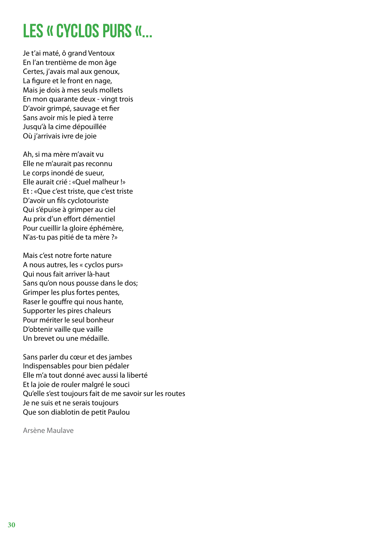#### <span id="page-29-0"></span>LES « CYCLOS PURS «...

Je t'ai maté, ô grand Ventoux En l'an trentième de mon âge Certes, j'avais mal aux genoux, La figure et le front en nage, Mais je dois à mes seuls mollets En mon quarante deux - vingt trois D'avoir grimpé, sauvage et fier Sans avoir mis le pied à terre Jusqu'à la cime dépouillée Où j'arrivais ivre de joie

Ah, si ma mère m'avait vu Elle ne m'aurait pas reconnu Le corps inondé de sueur, Elle aurait crié : «Quel malheur !» Et : «Que c'est triste, que c'est triste D'avoir un fils cyclotouriste Qui s'épuise à grimper au ciel Au prix d'un effort démentiel Pour cueillir la gloire éphémère, N'as-tu pas pitié de ta mère ?»

Mais c'est notre forte nature A nous autres, les « cyclos purs» Qui nous fait arriver là-haut Sans qu'on nous pousse dans le dos; Grimper les plus fortes pentes, Raser le gouffre qui nous hante, Supporter les pires chaleurs Pour mériter le seul bonheur D'obtenir vaille que vaille Un brevet ou une médaille.

Sans parler du cœur et des jambes Indispensables pour bien pédaler Elle m'a tout donné avec aussi la liberté Et la joie de rouler malgré le souci Qu'elle s'est toujours fait de me savoir sur les routes Je ne suis et ne serais toujours Que son diablotin de petit Paulou

Arsène Maulave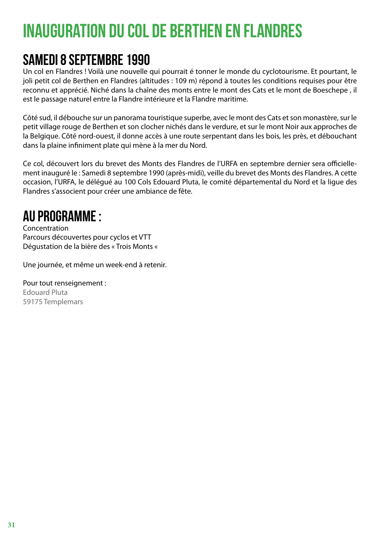## <span id="page-30-0"></span>INAUGURATION DU COL DE BERTHEN EN FLANDRES

#### Samedi 8 Septembre 1990

Un col en Flandres ! Voilà une nouvelle qui pourrait é tonner le monde du cyclotourisme. Et pourtant, le joli petit col de Berthen en Flandres (altitudes : 109 m) répond à toutes les conditions requises pour être reconnu et apprécié. Niché dans la chaîne des monts entre le mont des Cats et le mont de Boeschepe , il est le passage naturel entre la Flandre intérieure et la Flandre maritime.

Côté sud, il débouche sur un panorama touristique superbe, avec le mont des Cats et son monastère, sur le petit village rouge de Berthen et son clocher nichés dans le verdure, et sur le mont Noir aux approches de la Belgique. Côté nord-ouest, il donne accès à une route serpentant dans les bois, les près, et débouchant dans la plaine infiniment plate qui mène à la mer du Nord.

Ce col, découvert lors du brevet des Monts des Flandres de l'URFA en septembre dernier sera officiellement inauguré le : Samedi 8 septembre 1990 (après-midi), veille du brevet des Monts des Flandres. A cette occasion, l'URFA, le délégué au 100 Cols Edouard Pluta, le comité départemental du Nord et la ligue des Flandres s'associent pour créer une ambiance de fête.

#### Au programme :

Concentration Parcours découvertes pour cyclos et VTT Dégustation de la bière des « Trois Monts «

Une journée, et même un week-end à retenir.

Pour tout renseignement : Edouard Pluta 59175 Templemars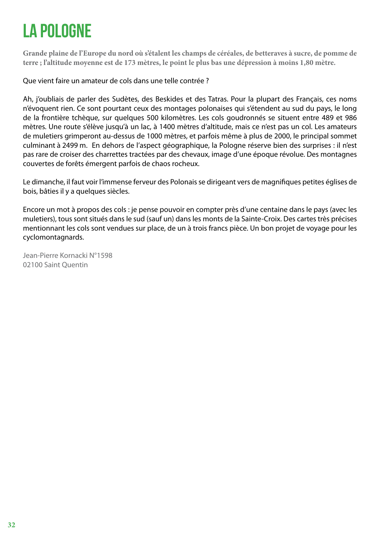## <span id="page-31-0"></span>LA POLOGNE

**Grande plaine de l'Europe du nord où s'étalent les champs de céréales, de betteraves à sucre, de pomme de terre ; l'altitude moyenne est de 173 mètres, le point le plus bas une dépression à moins 1,80 mètre.**

Que vient faire un amateur de cols dans une telle contrée ?

Ah, j'oubliais de parler des Sudètes, des Beskides et des Tatras. Pour la plupart des Français, ces noms n'évoquent rien. Ce sont pourtant ceux des montages polonaises qui s'étendent au sud du pays, le long de la frontière tchèque, sur quelques 500 kilomètres. Les cols goudronnés se situent entre 489 et 986 mètres. Une route s'élève jusqu'à un lac, à 1400 mètres d'altitude, mais ce n'est pas un col. Les amateurs de muletiers grimperont au-dessus de 1000 mètres, et parfois même à plus de 2000, le principal sommet culminant à 2499 m. En dehors de l'aspect géographique, la Pologne réserve bien des surprises : il n'est pas rare de croiser des charrettes tractées par des chevaux, image d'une époque révolue. Des montagnes couvertes de forêts émergent parfois de chaos rocheux.

Le dimanche, il faut voir l'immense ferveur des Polonais se dirigeant vers de magnifiques petites églises de bois, bâties il y a quelques siècles.

Encore un mot à propos des cols : je pense pouvoir en compter près d'une centaine dans le pays (avec les muletiers), tous sont situés dans le sud (sauf un) dans les monts de la Sainte-Croix. Des cartes très précises mentionnant les cols sont vendues sur place, de un à trois francs pièce. Un bon projet de voyage pour les cyclomontagnards.

Jean-Pierre Kornacki N°1598 02100 Saint Quentin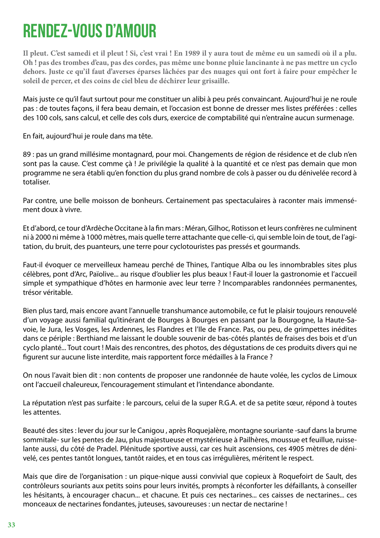#### <span id="page-32-0"></span>RENDEZ-VOUS D'AMOUR

**Il pleut. C'est samedi et il pleut ! Si, c'est vrai ! En 1989 il y aura tout de même eu un samedi où il a plu. Oh ! pas des trombes d'eau, pas des cordes, pas même une bonne pluie lancinante à ne pas mettre un cyclo dehors. Juste ce qu'il faut d'averses éparses lâchées par des nuages qui ont fort à faire pour empêcher le soleil de percer, et des coins de ciel bleu de déchirer leur grisaille.**

Mais juste ce qu'il faut surtout pour me constituer un alibi à peu prés convaincant. Aujourd'hui je ne roule pas : de toutes façons, il fera beau demain, et l'occasion est bonne de dresser mes listes préférées : celles des 100 cols, sans calcul, et celle des cols durs, exercice de comptabilité qui n'entraîne aucun surmenage.

En fait, aujourd'hui je roule dans ma tête.

89 : pas un grand millésime montagnard, pour moi. Changements de région de résidence et de club n'en sont pas la cause. C'est comme çà ! Je privilégie la qualité à la quantité et ce n'est pas demain que mon programme ne sera établi qu'en fonction du plus grand nombre de cols à passer ou du dénivelée record à totaliser.

Par contre, une belle moisson de bonheurs. Certainement pas spectaculaires à raconter mais immensément doux à vivre.

Et d'abord, ce tour d'Ardèche Occitane à la fin mars : Méran, Gilhoc, Rotisson et leurs confrères ne culminent ni à 2000 ni même à 1000 mètres, mais quelle terre attachante que celle-ci, qui semble loin de tout, de l'agitation, du bruit, des puanteurs, une terre pour cyclotouristes pas pressés et gourmands.

Faut-il évoquer ce merveilleux hameau perché de Thines, l'antique Alba ou les innombrables sites plus célèbres, pont d'Arc, Païolive... au risque d'oublier les plus beaux ! Faut-il louer la gastronomie et l'accueil simple et sympathique d'hôtes en harmonie avec leur terre ? Incomparables randonnées permanentes, trésor véritable.

Bien plus tard, mais encore avant l'annuelle transhumance automobile, ce fut le plaisir toujours renouvelé d'un voyage aussi familial qu'itinérant de Bourges à Bourges en passant par la Bourgogne, la Haute-Savoie, le Jura, les Vosges, les Ardennes, les Flandres et l'Ile de France. Pas, ou peu, de grimpettes inédites dans ce périple : Berthiand me laissant le double souvenir de bas-côtés plantés de fraises des bois et d'un cyclo planté... Tout court ! Mais des rencontres, des photos, des dégustations de ces produits divers qui ne figurent sur aucune liste interdite, mais rapportent force médailles à la France ?

On nous l'avait bien dit : non contents de proposer une randonnée de haute volée, les cyclos de Limoux ont l'accueil chaleureux, l'encouragement stimulant et l'intendance abondante.

La réputation n'est pas surfaite : le parcours, celui de la super R.G.A. et de sa petite sœur, répond à toutes les attentes.

Beauté des sites : lever du jour sur le Canigou , après Roquejalère, montagne souriante -sauf dans la brume sommitale- sur les pentes de Jau, plus majestueuse et mystérieuse à Pailhères, moussue et feuillue, ruisselante aussi, du côté de Pradel. Plénitude sportive aussi, car ces huit ascensions, ces 4905 mètres de dénivelé, ces pentes tantôt longues, tantôt raides, et en tous cas irrégulières, méritent le respect.

Mais que dire de l'organisation : un pique-nique aussi convivial que copieux à Roquefoirt de Sault, des contrôleurs souriants aux petits soins pour leurs invités, prompts à réconforter les défaillants, à conseiller les hésitants, à encourager chacun... et chacune. Et puis ces nectarines... ces caisses de nectarines... ces monceaux de nectarines fondantes, juteuses, savoureuses : un nectar de nectarine !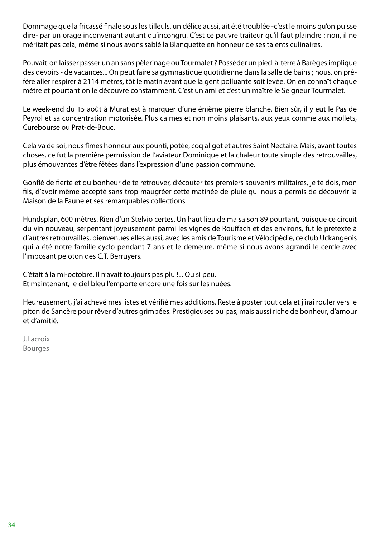Dommage que la fricassé finale sous les tilleuls, un délice aussi, ait été troublée -c'est le moins qu'on puisse dire- par un orage inconvenant autant qu'incongru. C'est ce pauvre traiteur qu'il faut plaindre : non, il ne méritait pas cela, même si nous avons sablé la Blanquette en honneur de ses talents culinaires.

Pouvait-on laisser passer un an sans pèlerinage ou Tourmalet ? Posséder un pied-à-terre à Barèges implique des devoirs - de vacances... On peut faire sa gymnastique quotidienne dans la salle de bains ; nous, on préfère aller respirer à 2114 mètres, tôt le matin avant que la gent polluante soit levée. On en connaît chaque mètre et pourtant on le découvre constamment. C'est un ami et c'est un maître le Seigneur Tourmalet.

Le week-end du 15 août à Murat est à marquer d'une énième pierre blanche. Bien sûr, il y eut le Pas de Peyrol et sa concentration motorisée. Plus calmes et non moins plaisants, aux yeux comme aux mollets, Curebourse ou Prat-de-Bouc.

Cela va de soi, nous fîmes honneur aux pounti, potée, coq aligot et autres Saint Nectaire. Mais, avant toutes choses, ce fut la première permission de l'aviateur Dominique et la chaleur toute simple des retrouvailles, plus émouvantes d'être fêtées dans l'expression d'une passion commune.

Gonflé de fierté et du bonheur de te retrouver, d'écouter tes premiers souvenirs militaires, je te dois, mon fils, d'avoir même accepté sans trop maugréer cette matinée de pluie qui nous a permis de découvrir la Maison de la Faune et ses remarquables collections.

Hundsplan, 600 mètres. Rien d'un Stelvio certes. Un haut lieu de ma saison 89 pourtant, puisque ce circuit du vin nouveau, serpentant joyeusement parmi les vignes de Rouffach et des environs, fut le prétexte à d'autres retrouvailles, bienvenues elles aussi, avec les amis de Tourisme et Vélocipèdie, ce club Uckangeois qui a été notre famille cyclo pendant 7 ans et le demeure, même si nous avons agrandi le cercle avec l'imposant peloton des C.T. Berruyers.

C'était à la mi-octobre. Il n'avait toujours pas plu !... Ou si peu. Et maintenant, le ciel bleu l'emporte encore une fois sur les nuées.

Heureusement, j'ai achevé mes listes et vérifié mes additions. Reste à poster tout cela et j'irai rouler vers le piton de Sancère pour rêver d'autres grimpées. Prestigieuses ou pas, mais aussi riche de bonheur, d'amour et d'amitié.

J.Lacroix Bourges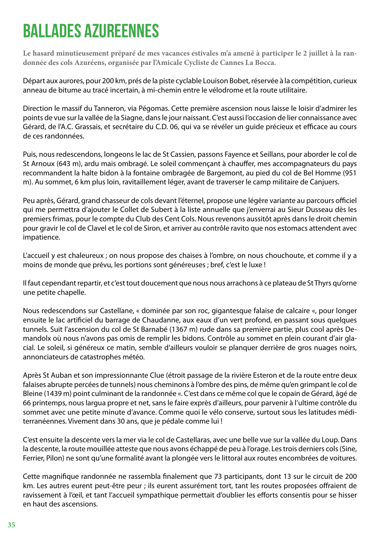## <span id="page-34-0"></span>BALLADES AZUREENNES

**Le hasard minutieusement préparé de mes vacances estivales m'a amené à participer le 2 juillet à la randonnée des cols Azuréens, organisée par l'Amicale Cycliste de Cannes La Bocca.**

Départ aux aurores, pour 200 km, prés de la piste cyclable Louison Bobet, réservée à la compétition, curieux anneau de bitume au tracé incertain, à mi-chemin entre le vélodrome et la route utilitaire.

Direction le massif du Tanneron, via Pégomas. Cette première ascension nous laisse le loisir d'admirer les points de vue sur la vallée de la Siagne, dans le jour naissant. C'est aussi l'occasion de lier connaissance avec Gérard, de l'A.C. Grassais, et secrétaire du C.D. 06, qui va se révéler un guide précieux et efficace au cours de ces randonnées.

Puis, nous redescendons, longeons le lac de St Cassien, passons Fayence et Seillans, pour aborder le col de St Arnoux (643 m), ardu mais ombragé. Le soleil commençant à chauffer, mes accompagnateurs du pays recommandent la halte bidon à la fontaine ombragée de Bargemont, au pied du col de Bel Homme (951 m). Au sommet, 6 km plus loin, ravitaillement léger, avant de traverser le camp militaire de Canjuers.

Peu après, Gérard, grand chasseur de cols devant l'éternel, propose une légère variante au parcours officiel qui me permettra d'ajouter le Collet de Subert à la liste annuelle que j'enverrai au Sieur Dusseau dès les premiers frimas, pour le compte du Club des Cent Cols. Nous revenons aussitôt après dans le droit chemin pour gravir le col de Clavel et le col de Siron, et arriver au contrôle ravito que nos estomacs attendent avec impatience.

L'accueil y est chaleureux ; on nous propose des chaises à l'ombre, on nous chouchoute, et comme il y a moins de monde que prévu, les portions sont généreuses ; bref, c'est le luxe !

Il faut cependant repartir, et c'est tout doucement que nous nous arrachons à ce plateau de St Thyrs qu'orne une petite chapelle.

Nous redescendons sur Castellane, « dominée par son roc, gigantesque falaise de calcaire «, pour longer ensuite le lac artificiel du barrage de Chaudanne, aux eaux d'un vert profond, en passant sous quelques tunnels. Suit l'ascension du col de St Barnabé (1367 m) rude dans sa première partie, plus cool après Demandolx où nous n'avons pas omis de remplir les bidons. Contrôle au sommet en plein courant d'air glacial. Le soleil, si généreux ce matin, semble d'ailleurs vouloir se planquer derrière de gros nuages noirs, annonciateurs de catastrophes météo.

Après St Auban et son impressionnante Clue (étroit passage de la rivière Esteron et de la route entre deux falaises abrupte percées de tunnels) nous cheminons à l'ombre des pins, de même qu'en grimpant le col de Bleine (1439 m) point culminant de la randonnée «. C'est dans ce même col que le copain de Gérard, âgé de 66 printemps, nous largua propre et net, sans le faire exprès d'ailleurs, pour parvenir à l'ultime contrôle du sommet avec une petite minute d'avance. Comme quoi le vélo conserve, surtout sous les latitudes méditerranéennes. Vivement dans 30 ans, que je pédale comme lui !

C'est ensuite la descente vers la mer via le col de Castellaras, avec une belle vue sur la vallée du Loup. Dans la descente, la route mouillée atteste que nous avons échappé de peu à l'orage. Les trois derniers cols (Sine, Ferrier, Pilon) ne sont qu'une formalité avant la plongée vers le littoral aux routes encombrées de voitures.

Cette magnifique randonnée ne rassembla finalement que 73 participants, dont 13 sur le circuit de 200 km. Les autres eurent peut-être peur ; ils eurent assurément tort, tant les routes proposées offraient de ravissement à l'œil, et tant l'accueil sympathique permettait d'oublier les efforts consentis pour se hisser en haut des ascensions.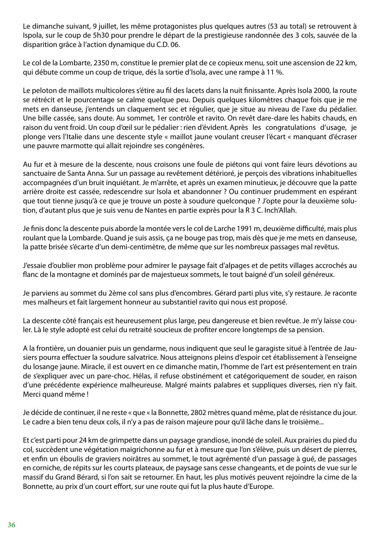Le dimanche suivant, 9 juillet, les même protagonistes plus quelques autres (53 au total) se retrouvent à Ispola, sur le coup de 5h30 pour prendre le départ de la prestigieuse randonnée des 3 cols, sauvée de la disparition grâce à l'action dynamique du C.D. 06.

Le col de la Lombarte, 2350 m, constitue le premier plat de ce copieux menu, soit une ascension de 22 km, qui débute comme un coup de trique, dés la sortie d'Isola, avec une rampe à 11 %.

Le peloton de maillots multicolores s'étire au fil des lacets dans la nuit finissante. Après Isola 2000, la route se rétrécit et le pourcentage se calme quelque peu. Depuis quelques kilomètres chaque fois que je me mets en danseuse, j'entends un claquement sec et régulier, que je situe au niveau de l'axe du pédalier. Une bille cassée, sans doute. Au sommet, 1er contrôle et ravito. On revêt dare-dare les habits chauds, en raison du vent froid. Un coup d'œil sur le pédalier : rien d'évident. Après les congratulations d'usage, je plonge vers l'Italie dans une descente style « maillot jaune voulant creuser l'écart « manquant d'écraser une pauvre marmotte qui allait rejoindre ses congénères.

Au fur et à mesure de la descente, nous croisons une foule de piétons qui vont faire leurs dévotions au sanctuaire de Santa Anna. Sur un passage au revêtement détérioré, je perçois des vibrations inhabituelles accompagnées d'un bruit inquiétant. Je m'arrête, et après un examen minutieux, je découvre que la patte arrière droite est cassée, redescendre sur Isola et abandonner ? Ou continuer prudemment en espérant que tout tienne jusqu'à ce que je trouve un poste à soudure quelconque ? J'opte pour la deuxième solution, d'autant plus que je suis venu de Nantes en partie exprès pour la R 3 C. Inch'Allah.

Je finis donc la descente puis aborde la montée vers le col de Larche 1991 m, deuxième difficulté, mais plus roulant que la Lombarde. Quand je suis assis, ça ne bouge pas trop, mais dès que je me mets en danseuse, la patte brisée s'écarte d'un demi-centimètre, de même que sur les nombreux passages mal revêtus.

J'essaie d'oublier mon problème pour admirer le paysage fait d'alpages et de petits villages accrochés au flanc de la montagne et dominés par de majestueux sommets, le tout baigné d'un soleil généreux.

Je parviens au sommet du 2ème col sans plus d'encombres. Gérard parti plus vite, s'y restaure. Je raconte mes malheurs et fait largement honneur au substantiel ravito qui nous est proposé.

La descente côté français est heureusement plus large, peu dangereuse et bien revêtue. Je m'y laisse couler. Là le style adopté est celui du retraité soucieux de profiter encore longtemps de sa pension.

A la frontière, un douanier puis un gendarme, nous indiquent que seul le garagiste situé à l'entrée de Jausiers pourra effectuer la soudure salvatrice. Nous atteignons pleins d'espoir cet établissement à l'enseigne du losange jaune. Miracle, il est ouvert en ce dimanche matin, l'homme de l'art est présentement en train de s'expliquer avec un pare-choc. Hélas, il refuse obstinément et catégoriquement de souder, en raison d'une précédente expérience malheureuse. Malgré maints palabres et suppliques diverses, rien n'y fait. Merci quand même !

Je décide de continuer, il ne reste « que « la Bonnette, 2802 mètres quand même, plat de résistance du jour. Le cadre a bien tenu deux cols, il n'y a pas de raison majeure pour qu'il lâche dans le troisième...

Et c'est parti pour 24 km de grimpette dans un paysage grandiose, inondé de soleil. Aux prairies du pied du col, succèdent une végétation maigrichonne au fur et à mesure que l'on s'élève, puis un désert de pierres, et enfin un éboulis de graviers noirâtres au sommet, le tout agrémenté d'un passage à gué, de passages en corniche, de répits sur les courts plateaux, de paysage sans cesse changeants, et de points de vue sur le massif du Grand Bérard, si l'on sait se retourner. En haut, les plus motivés peuvent rejoindre la cime de la Bonnette, au prix d'un court effort, sur une route qui fut la plus haute d'Europe.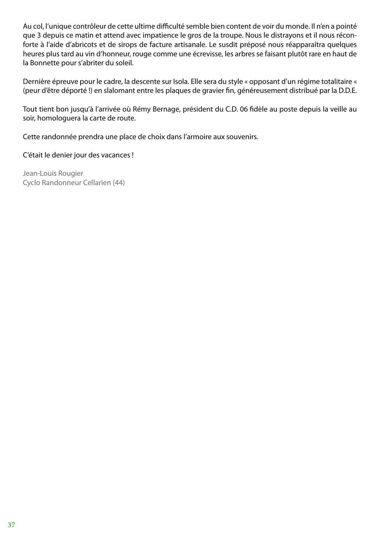Au col, l'unique contrôleur de cette ultime difficulté semble bien content de voir du monde. Il n'en a pointé que 3 depuis ce matin et attend avec impatience le gros de la troupe. Nous le distrayons et il nous réconforte à l'aide d'abricots et de sirops de facture artisanale. Le susdit préposé nous réapparaîtra quelques heures plus tard au vin d'honneur, rouge comme une écrevisse, les arbres se faisant plutôt rare en haut de la Bonnette pour s'abriter du soleil.

Dernière épreuve pour le cadre, la descente sur Isola. Elle sera du style « opposant d'un régime totalitaire « (peur d'être déporté !) en slalomant entre les plaques de gravier fin, généreusement distribué par la D.D.E.

Tout tient bon jusqu'à l'arrivée où Rémy Bernage, président du C.D. 06 fidèle au poste depuis la veille au soir, homologuera la carte de route.

Cette randonnée prendra une place de choix dans l'armoire aux souvenirs.

C'était le denier jour des vacances !

Jean-Louis Rougier Cyclo Randonneur Cellarien (44)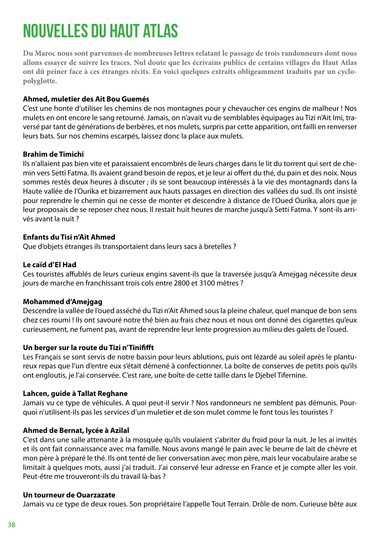# NOUVELLES DU HAUT ATLAS

**Du Maroc nous sont parvenues de nombreuses lettres relatant le passage de trois randonneurs dont nous allons essayer de suivre les traces. Nul doute que les écrivains publics de certains villages du Haut Atlas ont dû peiner face à ces étranges récits. En voici quelques extraits obligeamment traduits par un cyclopolyglotte.**

### **Ahmed, muletier des Ait Bou Guemés**

C'est une honte d'utiliser les chemins de nos montagnes pour y chevaucher ces engins de malheur ! Nos mulets en ont encore le sang retourné. Jamais, on n'avait vu de semblables équipages au Tizi n'Ait Imi, traversé par tant de générations de berbères, et nos mulets, surpris par cette apparition, ont failli en renverser leurs bats. Sur nos chemins escarpés, laissez donc la place aux mulets.

#### **Brahim de Timichi**

Ils n'allaient pas bien vite et paraissaient encombrés de leurs charges dans le lit du torrent qui sert de chemin vers Setti Fatma. Ils avaient grand besoin de repos, et je leur ai offert du thé, du pain et des noix. Nous sommes restés deux heures à discuter ; ils se sont beaucoup intéressés à la vie des montagnards dans la Haute vallée de l'Ourika et bizarrement aux hauts passages en direction des vallées du sud. Ils ont insisté pour reprendre le chemin qui ne cesse de monter et descendre à distance de l'Oued Ourika, alors que je leur proposais de se reposer chez nous. Il restait huit heures de marche jusqu'à Setti Fatma. Y sont-ils arrivés avant la nuit ?

### **Enfants du Tisi n'Ait Ahmed**

Que d'objets étranges ils transportaient dans leurs sacs à bretelles ?

### **Le caïd d'El Had**

Ces touristes affublés de leurs curieux engins savent-ils que la traversée jusqu'à Amejgag nécessite deux jours de marche en franchissant trois cols entre 2800 et 3100 mètres ?

#### **Mohammed d'Amejgag**

Descendre la vallée de l'oued asséché du Tizi n'Ait Ahmed sous la pleine chaleur, quel manque de bon sens chez ces roumi ! Ils ont savouré notre thé bien au frais chez nous et nous ont donné des cigarettes qu'eux curieusement, ne fument pas, avant de reprendre leur lente progression au milieu des galets de l'oued.

#### **Un berger sur la route du Tizi n'Tinififft**

Les Français se sont servis de notre bassin pour leurs ablutions, puis ont lézardé au soleil après le plantureux repas que l'un d'entre eux s'était démené à confectionner. La boîte de conserves de petits pois qu'ils ont engloutis, je l'ai conservée. C'est rare, une boîte de cette taille dans le Djebel Tifernine.

#### **Lahcen, guide à Tallat Reghane**

Jamais vu ce type de véhicules. A quoi peut-il servir ? Nos randonneurs ne semblent pas démunis. Pourquoi n'utilisent-ils pas les services d'un muletier et de son mulet comme le font tous les touristes ?

#### **Ahmed de Bernat, lycée à Azilal**

C'est dans une salle attenante à la mosquée qu'ils voulaient s'abriter du froid pour la nuit. Je les ai invités et ils ont fait connaissance avec ma famille. Nous avons mangé le pain avec le beurre de lait de chèvre et mon père à préparé le thé. Ils ont tenté de lier conversation avec mon père, mais leur vocabulaire arabe se limitait à quelques mots, aussi j'ai traduit. J'ai conservé leur adresse en France et je compte aller les voir. Peut-être me trouveront-ils du travail là-bas ?

#### **Un tourneur de Ouarzazate**

Jamais vu ce type de deux roues. Son propriétaire l'appelle Tout Terrain. Drôle de nom. Curieuse bête aux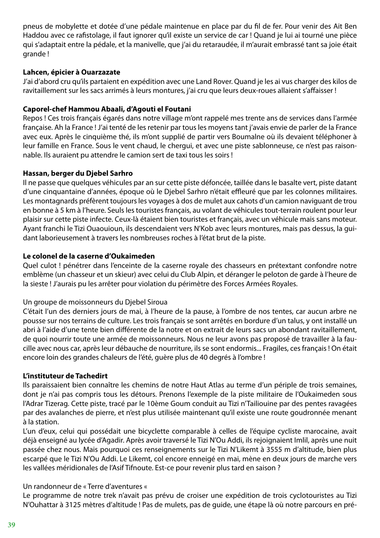pneus de mobylette et dotée d'une pédale maintenue en place par du fil de fer. Pour venir des Ait Ben Haddou avec ce rafistolage, il faut ignorer qu'il existe un service de car ! Quand je lui ai tourné une pièce qui s'adaptait entre la pédale, et la manivelle, que j'ai du retaraudée, il m'aurait embrassé tant sa joie était grande !

### **Lahcen, épicier à Ouarzazate**

J'ai d'abord cru qu'ils partaient en expédition avec une Land Rover. Quand je les ai vus charger des kilos de ravitaillement sur les sacs arrimés à leurs montures, j'ai cru que leurs deux-roues allaient s'affaisser !

#### **Caporel-chef Hammou Abaali, d'Agouti el Foutani**

Repos ! Ces trois français égarés dans notre village m'ont rappelé mes trente ans de services dans l'armée française. Ah la France ! J'ai tenté de les retenir par tous les moyens tant j'avais envie de parler de la France avec eux. Après le cinquième thé, ils m'ont supplié de partir vers Boumalne où ils devaient téléphoner à leur famille en France. Sous le vent chaud, le chergui, et avec une piste sablonneuse, ce n'est pas raisonnable. Ils auraient pu attendre le camion sert de taxi tous les soirs !

#### **Hassan, berger du Djebel Sarhro**

Il ne passe que quelques véhicules par an sur cette piste défoncée, taillée dans le basalte vert, piste datant d'une cinquantaine d'années, époque où le Djebel Sarhro n'était effleuré que par les colonnes militaires. Les montagnards préfèrent toujours les voyages à dos de mulet aux cahots d'un camion naviguant de trou en bonne à 5 km à l'heure. Seuls les touristes français, au volant de véhicules tout-terrain roulent pour leur plaisir sur cette piste infecte. Ceux-là étaient bien touristes et français, avec un véhicule mais sans moteur. Ayant franchi le Tizi Ouaouioun, ils descendaient vers N'Kob avec leurs montures, mais pas dessus, la guidant laborieusement à travers les nombreuses roches à l'état brut de la piste.

#### **Le colonel de la caserne d'Oukaimeden**

Quel culot ! pénétrer dans l'enceinte de la caserne royale des chasseurs en prétextant confondre notre emblème (un chasseur et un skieur) avec celui du Club Alpin, et déranger le peloton de garde à l'heure de la sieste ! J'aurais pu les arrêter pour violation du périmètre des Forces Armées Royales.

#### Un groupe de moissonneurs du Djebel Siroua

C'était l'un des derniers jours de mai, à l'heure de la pause, à l'ombre de nos tentes, car aucun arbre ne pousse sur nos terrains de culture. Les trois français se sont arrêtés en bordure d'un talus, y ont installé un abri à l'aide d'une tente bien différente de la notre et on extrait de leurs sacs un abondant ravitaillement, de quoi nourrir toute une armée de moissonneurs. Nous ne leur avons pas proposé de travailler à la faucille avec nous car, après leur débauche de nourriture, ils se sont endormis... Fragiles, ces français ! On était encore loin des grandes chaleurs de l'été, guère plus de 40 degrés à l'ombre !

#### **L'instituteur de Tachedirt**

Ils paraissaient bien connaître les chemins de notre Haut Atlas au terme d'un périple de trois semaines, dont je n'ai pas compris tous les détours. Prenons l'exemple de la piste militaire de l'Oukaimeden sous l'Adrar Tizerag. Cette piste, tracé par le 10ème Goum conduit au Tizi n'Tailiouine par des pentes ravagées par des avalanches de pierre, et n'est plus utilisée maintenant qu'il existe une route goudronnée menant à la station.

L'un d'eux, celui qui possédait une bicyclette comparable à celles de l'équipe cycliste marocaine, avait déjà enseigné au lycée d'Agadir. Après avoir traversé le Tizi N'Ou Addi, ils rejoignaient Imlil, après une nuit passée chez nous. Mais pourquoi ces renseignements sur le Tizi N'Likemt à 3555 m d'altitude, bien plus escarpé que le Tizi N'Ou Addi. Le Likemt, col encore enneigé en mai, mène en deux jours de marche vers les vallées méridionales de l'Asif Tifnoute. Est-ce pour revenir plus tard en saison ?

#### Un randonneur de « Terre d'aventures «

Le programme de notre trek n'avait pas prévu de croiser une expédition de trois cyclotouristes au Tizi N'Ouhattar à 3125 mètres d'altitude ! Pas de mulets, pas de guide, une étape là où notre parcours en pré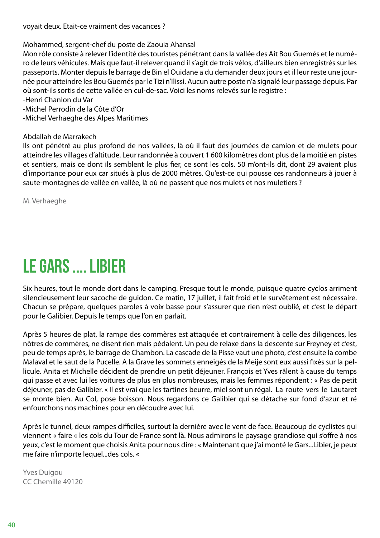voyait deux. Etait-ce vraiment des vacances ?

Mohammed, sergent-chef du poste de Zaouia Ahansal

Mon rôle consiste à relever l'identité des touristes pénétrant dans la vallée des Ait Bou Guemés et le numéro de leurs véhicules. Mais que faut-il relever quand il s'agit de trois vélos, d'ailleurs bien enregistrés sur les passeports. Monter depuis le barrage de Bin el Ouidane a du demander deux jours et il leur reste une journée pour atteindre les Bou Guemés par le Tizi n'Ilissi. Aucun autre poste n'a signalé leur passage depuis. Par où sont-ils sortis de cette vallée en cul-de-sac. Voici les noms relevés sur le registre :

-Henri Chanlon du Var

-Michel Perrodin de la Côte d'Or

-Michel Verhaeghe des Alpes Maritimes

Abdallah de Marrakech

Ils ont pénétré au plus profond de nos vallées, là où il faut des journées de camion et de mulets pour atteindre les villages d'altitude. Leur randonnée à couvert 1 600 kilomètres dont plus de la moitié en pistes et sentiers, mais ce dont ils semblent le plus fier, ce sont les cols. 50 m'ont-ils dit, dont 29 avaient plus d'importance pour eux car situés à plus de 2000 mètres. Qu'est-ce qui pousse ces randonneurs à jouer à saute-montagnes de vallée en vallée, là où ne passent que nos mulets et nos muletiers ?

M. Verhaeghe

## LE GARS .... LIBIER

Six heures, tout le monde dort dans le camping. Presque tout le monde, puisque quatre cyclos arriment silencieusement leur sacoche de guidon. Ce matin, 17 juillet, il fait froid et le survêtement est nécessaire. Chacun se prépare, quelques paroles à voix basse pour s'assurer que rien n'est oublié, et c'est le départ pour le Galibier. Depuis le temps que l'on en parlait.

Après 5 heures de plat, la rampe des commères est attaquée et contrairement à celle des diligences, les nôtres de commères, ne disent rien mais pédalent. Un peu de relaxe dans la descente sur Freyney et c'est, peu de temps après, le barrage de Chambon. La cascade de la Pisse vaut une photo, c'est ensuite la combe Malaval et le saut de la Pucelle. A la Grave les sommets enneigés de la Meije sont eux aussi fixés sur la pellicule. Anita et Michelle décident de prendre un petit déjeuner. François et Yves râlent à cause du temps qui passe et avec lui les voitures de plus en plus nombreuses, mais les femmes répondent : « Pas de petit déjeuner, pas de Galibier. « Il est vrai que les tartines beurre, miel sont un régal. La route vers le Lautaret se monte bien. Au Col, pose boisson. Nous regardons ce Galibier qui se détache sur fond d'azur et ré enfourchons nos machines pour en découdre avec lui.

Après le tunnel, deux rampes difficiles, surtout la dernière avec le vent de face. Beaucoup de cyclistes qui viennent « faire « les cols du Tour de France sont là. Nous admirons le paysage grandiose qui s'offre à nos yeux, c'est le moment que choisis Anita pour nous dire : « Maintenant que j'ai monté le Gars...Libier, je peux me faire n'importe lequel...des cols. «

Yves Duigou CC Chemille 49120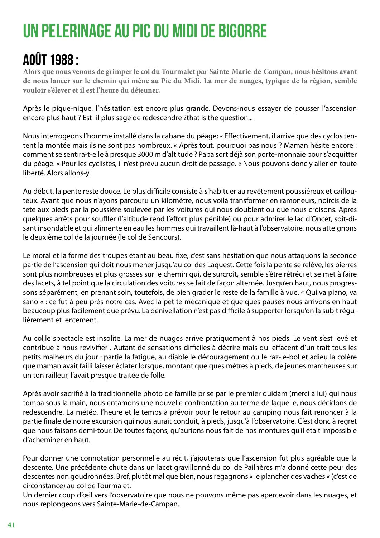# UN PELERINAGE AU PIC DU MIDI DE BIGORRE

### Août 1988 :

**Alors que nous venons de grimper le col du Tourmalet par Sainte-Marie-de-Campan, nous hésitons avant de nous lancer sur le chemin qui mène au Pic du Midi. La mer de nuages, typique de la région, semble vouloir s'élever et il est l'heure du déjeuner.**

Après le pique-nique, l'hésitation est encore plus grande. Devons-nous essayer de pousser l'ascension encore plus haut ? Est -il plus sage de redescendre ?that is the question...

Nous interrogeons l'homme installé dans la cabane du péage; « Effectivement, il arrive que des cyclos tentent la montée mais ils ne sont pas nombreux. « Après tout, pourquoi pas nous ? Maman hésite encore : comment se sentira-t-elle à presque 3000 m d'altitude ? Papa sort déjà son porte-monnaie pour s'acquitter du péage. « Pour les cyclistes, il n'est prévu aucun droit de passage. « Nous pouvons donc y aller en toute liberté. Alors allons-y.

Au début, la pente reste douce. Le plus difficile consiste à s'habituer au revêtement poussiéreux et caillouteux. Avant que nous n'ayons parcouru un kilomètre, nous voilà transformer en ramoneurs, noircis de la tête aux pieds par la poussière soulevée par les voitures qui nous doublent ou que nous croisons. Après quelques arrêts pour souffler (l'altitude rend l'effort plus pénible) ou pour admirer le lac d'Oncet, soit-disant insondable et qui alimente en eau les hommes qui travaillent là-haut à l'observatoire, nous atteignons le deuxième col de la journée (le col de Sencours).

Le moral et la forme des troupes étant au beau fixe, c'est sans hésitation que nous attaquons la seconde partie de l'ascension qui doit nous mener jusqu'au col des Laquest. Cette fois la pente se relève, les pierres sont plus nombreuses et plus grosses sur le chemin qui, de surcroît, semble s'être rétréci et se met à faire des lacets, à tel point que la circulation des voitures se fait de façon alternée. Jusqu'en haut, nous progressons séparément, en prenant soin, toutefois, de bien grader le reste de la famille à vue. « Qui va piano, va sano « : ce fut à peu près notre cas. Avec la petite mécanique et quelques pauses nous arrivons en haut beaucoup plus facilement que prévu. La dénivellation n'est pas difficile à supporter lorsqu'on la subit régulièrement et lentement.

Au col,le spectacle est insolite. La mer de nuages arrive pratiquement à nos pieds. Le vent s'est levé et contribue à nous revivifier . Autant de sensations difficiles à décrire mais qui effacent d'un trait tous les petits malheurs du jour : partie la fatigue, au diable le découragement ou le raz-le-bol et adieu la colère que maman avait failli laisser éclater lorsque, montant quelques mètres à pieds, de jeunes marcheuses sur un ton railleur, l'avait presque traitée de folle.

Après avoir sacrifié à la traditionnelle photo de famille prise par le premier quidam (merci à lui) qui nous tomba sous la main, nous entamons une nouvelle confrontation au terme de laquelle, nous décidons de redescendre. La météo, l'heure et le temps à prévoir pour le retour au camping nous fait renoncer à la partie finale de notre excursion qui nous aurait conduit, à pieds, jusqu'à l'observatoire. C'est donc à regret que nous faisons demi-tour. De toutes façons, qu'aurions nous fait de nos montures qu'il était impossible d'acheminer en haut.

Pour donner une connotation personnelle au récit, j'ajouterais que l'ascension fut plus agréable que la descente. Une précédente chute dans un lacet gravillonné du col de Pailhères m'a donné cette peur des descentes non goudronnées. Bref, plutôt mal que bien, nous regagnons « le plancher des vaches « (c'est de circonstance) au col de Tourmalet.

Un dernier coup d'œil vers l'observatoire que nous ne pouvons même pas apercevoir dans les nuages, et nous replongeons vers Sainte-Marie-de-Campan.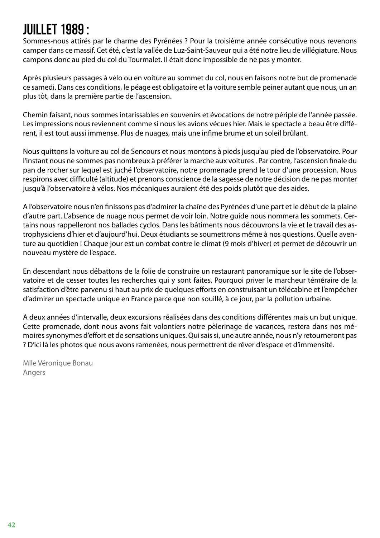### Juillet 1989 :

Sommes-nous attirés par le charme des Pyrénées ? Pour la troisième année consécutive nous revenons camper dans ce massif. Cet été, c'est la vallée de Luz-Saint-Sauveur qui a été notre lieu de villégiature. Nous campons donc au pied du col du Tourmalet. Il était donc impossible de ne pas y monter.

Après plusieurs passages à vélo ou en voiture au sommet du col, nous en faisons notre but de promenade ce samedi. Dans ces conditions, le péage est obligatoire et la voiture semble peiner autant que nous, un an plus tôt, dans la première partie de l'ascension.

Chemin faisant, nous sommes intarissables en souvenirs et évocations de notre périple de l'année passée. Les impressions nous reviennent comme si nous les avions vécues hier. Mais le spectacle a beau être différent, il est tout aussi immense. Plus de nuages, mais une infime brume et un soleil brûlant.

Nous quittons la voiture au col de Sencours et nous montons à pieds jusqu'au pied de l'observatoire. Pour l'instant nous ne sommes pas nombreux à préférer la marche aux voitures . Par contre, l'ascension finale du pan de rocher sur lequel est juché l'observatoire, notre promenade prend le tour d'une procession. Nous respirons avec difficulté (altitude) et prenons conscience de la sagesse de notre décision de ne pas monter jusqu'à l'observatoire à vélos. Nos mécaniques auraient été des poids plutôt que des aides.

A l'observatoire nous n'en finissons pas d'admirer la chaîne des Pyrénées d'une part et le début de la plaine d'autre part. L'absence de nuage nous permet de voir loin. Notre guide nous nommera les sommets. Certains nous rappelleront nos ballades cyclos. Dans les bâtiments nous découvrons la vie et le travail des astrophysiciens d'hier et d'aujourd'hui. Deux étudiants se soumettrons même à nos questions. Quelle aventure au quotidien ! Chaque jour est un combat contre le climat (9 mois d'hiver) et permet de découvrir un nouveau mystère de l'espace.

En descendant nous débattons de la folie de construire un restaurant panoramique sur le site de l'observatoire et de cesser toutes les recherches qui y sont faites. Pourquoi priver le marcheur téméraire de la satisfaction d'être parvenu si haut au prix de quelques efforts en construisant un télécabine et l'empécher d'admirer un spectacle unique en France parce que non souillé, à ce jour, par la pollution urbaine.

A deux années d'intervalle, deux excursions réalisées dans des conditions différentes mais un but unique. Cette promenade, dont nous avons fait volontiers notre pèlerinage de vacances, restera dans nos mémoires synonymes d'effort et de sensations uniques. Qui sais si, une autre année, nous n'y retourneront pas ? D'ici là les photos que nous avons ramenées, nous permettrent de rêver d'espace et d'immensité.

Mlle Véronique Bonau Angers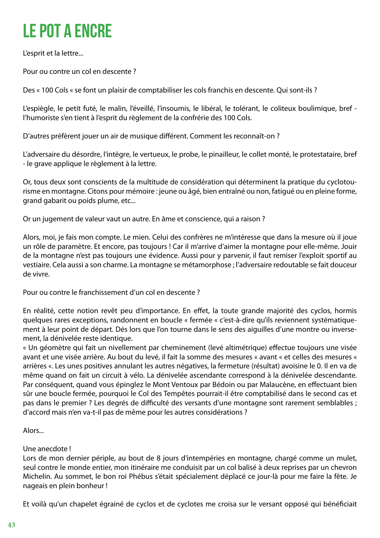# LE POT A ENCRE

L'esprit et la lettre...

Pour ou contre un col en descente ?

Des « 100 Cols « se font un plaisir de comptabiliser les cols franchis en descente. Qui sont-ils ?

L'espiègle, le petit futé, le malin, l'éveillé, l'insoumis, le libéral, le tolérant, le coliteux boulimique, bref l'humoriste s'en tient à l'esprit du règlement de la confrérie des 100 Cols.

D'autres préfèrent jouer un air de musique différent. Comment les reconnaît-on ?

L'adversaire du désordre, l'intègre, le vertueux, le probe, le pinailleur, le collet monté, le protestataire, bref - le grave applique le règlement à la lettre.

Or, tous deux sont conscients de la multitude de considération qui déterminent la pratique du cyclotourisme en montagne. Citons pour mémoire : jeune ou âgé, bien entraîné ou non, fatigué ou en pleine forme, grand gabarit ou poids plume, etc...

Or un jugement de valeur vaut un autre. En âme et conscience, qui a raison ?

Alors, moi, je fais mon compte. Le mien. Celui des confrères ne m'intéresse que dans la mesure où il joue un rôle de paramètre. Et encore, pas toujours ! Car il m'arrive d'aimer la montagne pour elle-même. Jouir de la montagne n'est pas toujours une évidence. Aussi pour y parvenir, il faut remiser l'exploit sportif au vestiaire. Cela aussi a son charme. La montagne se métamorphose ; l'adversaire redoutable se fait douceur de vivre.

Pour ou contre le franchissement d'un col en descente ?

En réalité, cette notion revêt peu d'importance. En effet, la toute grande majorité des cyclos, hormis quelques rares exceptions, randonnent en boucle « fermée « c'est-à-dire qu'ils reviennent systématiquement à leur point de départ. Dés lors que l'on tourne dans le sens des aiguilles d'une montre ou inversement, la dénivelée reste identique.

« Un géomètre qui fait un nivellement par cheminement (levé altimétrique) effectue toujours une visée avant et une visée arrière. Au bout du levé, il fait la somme des mesures « avant « et celles des mesures « arrières «. Les unes positives annulant les autres négatives, la fermeture (résultat) avoisine le 0. Il en va de même quand on fait un circuit à vélo. La dénivelée ascendante correspond à la dénivelée descendante. Par conséquent, quand vous épinglez le Mont Ventoux par Bédoin ou par Malaucène, en effectuant bien sûr une boucle fermée, pourquoi le Col des Tempêtes pourrait-il être comptabilisé dans le second cas et pas dans le premier ? Les degrés de difficulté des versants d'une montagne sont rarement semblables ; d'accord mais n'en va-t-il pas de même pour les autres considérations ?

Alors...

#### Une anecdote !

Lors de mon dernier périple, au bout de 8 jours d'intempéries en montagne, chargé comme un mulet, seul contre le monde entier, mon itinéraire me conduisit par un col balisé à deux reprises par un chevron Michelin. Au sommet, le bon roi Phébus s'était spécialement déplacé ce jour-là pour me faire la fête. Je nageais en plein bonheur !

Et voilà qu'un chapelet égrainé de cyclos et de cyclotes me croisa sur le versant opposé qui bénéficiait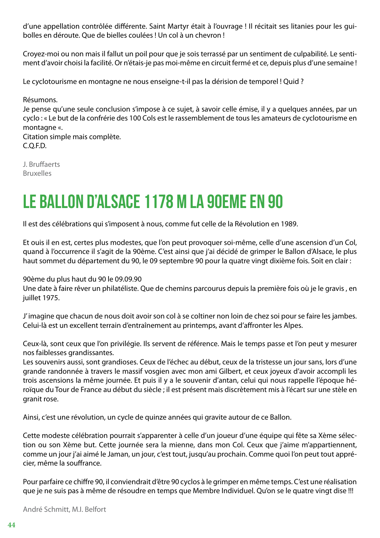d'une appellation contrôlée différente. Saint Martyr était à l'ouvrage ! Il récitait ses litanies pour les guibolles en déroute. Que de bielles coulées ! Un col à un chevron !

Croyez-moi ou non mais il fallut un poil pour que je sois terrassé par un sentiment de culpabilité. Le sentiment d'avoir choisi la facilité. Or n'étais-je pas moi-même en circuit fermé et ce, depuis plus d'une semaine !

Le cyclotourisme en montagne ne nous enseigne-t-il pas la dérision de temporel ! Quid ?

Résumons.

Je pense qu'une seule conclusion s'impose à ce sujet, à savoir celle émise, il y a quelques années, par un cyclo : « Le but de la confrérie des 100 Cols est le rassemblement de tous les amateurs de cyclotourisme en montagne «.

Citation simple mais complète. C.Q.F.D.

J. Bruffaerts Bruxelles

### LE BALLON D'ALSACE 1178 M LA 90EME EN 90

Il est des célébrations qui s'imposent à nous, comme fut celle de la Révolution en 1989.

Et ouis il en est, certes plus modestes, que l'on peut provoquer soi-même, celle d'une ascension d'un Col, quand à l'occurrence il s'agit de la 90ème. C'est ainsi que j'ai décidé de grimper le Ballon d'Alsace, le plus haut sommet du département du 90, le 09 septembre 90 pour la quatre vingt dixième fois. Soit en clair :

90ème du plus haut du 90 le 09.09.90

Une date à faire rêver un philatéliste. Que de chemins parcourus depuis la première fois où je le gravis , en juillet 1975.

J' imagine que chacun de nous doit avoir son col à se coltiner non loin de chez soi pour se faire les jambes. Celui-là est un excellent terrain d'entraînement au printemps, avant d'affronter les Alpes.

Ceux-là, sont ceux que l'on privilégie. Ils servent de référence. Mais le temps passe et l'on peut y mesurer nos faiblesses grandissantes.

Les souvenirs aussi, sont grandioses. Ceux de l'échec au début, ceux de la tristesse un jour sans, lors d'une grande randonnée à travers le massif vosgien avec mon ami Gilbert, et ceux joyeux d'avoir accompli les trois ascensions la même journée. Et puis il y a le souvenir d'antan, celui qui nous rappelle l'époque héroïque du Tour de France au début du siècle ; il est présent mais discrètement mis à l'écart sur une stèle en granit rose.

Ainsi, c'est une révolution, un cycle de quinze années qui gravite autour de ce Ballon.

Cette modeste célébration pourrait s'apparenter à celle d'un joueur d'une équipe qui fête sa Xème sélection ou son Xème but. Cette journée sera la mienne, dans mon Col. Ceux que j'aime m'appartiennent, comme un jour j'ai aimé le Jaman, un jour, c'est tout, jusqu'au prochain. Comme quoi l'on peut tout apprécier, même la souffrance.

Pour parfaire ce chiffre 90, il conviendrait d'être 90 cyclos à le grimper en même temps. C'est une réalisation que je ne suis pas à même de résoudre en temps que Membre Individuel. Qu'on se le quatre vingt dise !!!

André Schmitt, M.I. Belfort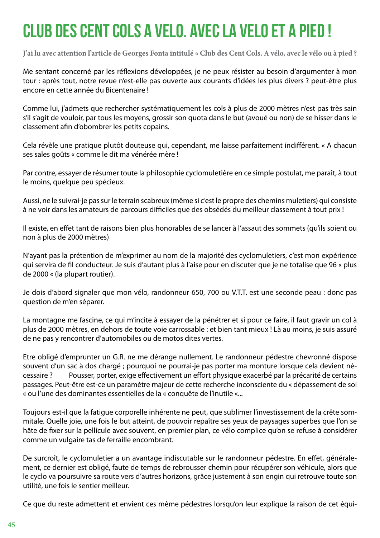# CLUB DES CENT COLS A VELO. AVEC LA VELO ET A PIED !

**J'ai lu avec attention l'article de Georges Fonta intitulé « Club des Cent Cols. A vélo, avec le vélo ou à pied ?**

Me sentant concerné par les réflexions développées, je ne peux résister au besoin d'argumenter à mon tour : après tout, notre revue n'est-elle pas ouverte aux courants d'idées les plus divers ? peut-être plus encore en cette année du Bicentenaire !

Comme lui, j'admets que rechercher systématiquement les cols à plus de 2000 mètres n'est pas très sain s'il s'agit de vouloir, par tous les moyens, grossir son quota dans le but (avoué ou non) de se hisser dans le classement afin d'obombrer les petits copains.

Cela révèle une pratique plutôt douteuse qui, cependant, me laisse parfaitement indifférent. « A chacun ses sales goûts « comme le dit ma vénérée mère !

Par contre, essayer de résumer toute la philosophie cyclomuletière en ce simple postulat, me paraît, à tout le moins, quelque peu spécieux.

Aussi, ne le suivrai-je pas sur le terrain scabreux (même si c'est le propre des chemins muletiers) qui consiste à ne voir dans les amateurs de parcours difficiles que des obsédés du meilleur classement à tout prix !

Il existe, en effet tant de raisons bien plus honorables de se lancer à l'assaut des sommets (qu'ils soient ou non à plus de 2000 mètres)

N'ayant pas la prétention de m'exprimer au nom de la majorité des cyclomuletiers, c'est mon expérience qui servira de fil conducteur. Je suis d'autant plus à l'aise pour en discuter que je ne totalise que 96 « plus de 2000 « (la plupart routier).

Je dois d'abord signaler que mon vélo, randonneur 650, 700 ou V.T.T. est une seconde peau : donc pas question de m'en séparer.

La montagne me fascine, ce qui m'incite à essayer de la pénétrer et si pour ce faire, il faut gravir un col à plus de 2000 mètres, en dehors de toute voie carrossable : et bien tant mieux ! Là au moins, je suis assuré de ne pas y rencontrer d'automobiles ou de motos dites vertes.

Etre obligé d'emprunter un G.R. ne me dérange nullement. Le randonneur pédestre chevronné dispose souvent d'un sac à dos chargé ; pourquoi ne pourrai-je pas porter ma monture lorsque cela devient nécessaire ? Pousser, porter, exige effectivement un effort physique exacerbé par la précarité de certains passages. Peut-être est-ce un paramètre majeur de cette recherche inconsciente du « dépassement de soi « ou l'une des dominantes essentielles de la « conquête de l'inutile «...

Toujours est-il que la fatigue corporelle inhérente ne peut, que sublimer l'investissement de la crête sommitale. Quelle joie, une fois le but atteint, de pouvoir repaître ses yeux de paysages superbes que l'on se hâte de fixer sur la pellicule avec souvent, en premier plan, ce vélo complice qu'on se refuse à considérer comme un vulgaire tas de ferraille encombrant.

De surcroît, le cyclomuletier a un avantage indiscutable sur le randonneur pédestre. En effet, généralement, ce dernier est obligé, faute de temps de rebrousser chemin pour récupérer son véhicule, alors que le cyclo va poursuivre sa route vers d'autres horizons, grâce justement à son engin qui retrouve toute son utilité, une fois le sentier meilleur.

Ce que du reste admettent et envient ces même pédestres lorsqu'on leur explique la raison de cet équi-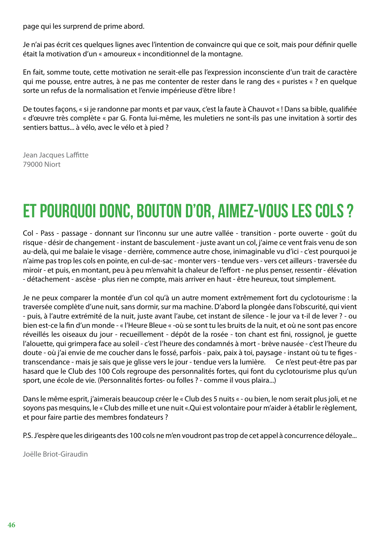page qui les surprend de prime abord.

Je n'ai pas écrit ces quelques lignes avec l'intention de convaincre qui que ce soit, mais pour définir quelle était la motivation d'un « amoureux « inconditionnel de la montagne.

En fait, somme toute, cette motivation ne serait-elle pas l'expression inconsciente d'un trait de caractère qui me pousse, entre autres, à ne pas me contenter de rester dans le rang des « puristes « ? en quelque sorte un refus de la normalisation et l'envie impérieuse d'être libre !

De toutes façons, « si je randonne par monts et par vaux, c'est la faute à Chauvot « ! Dans sa bible, qualifiée « d'œuvre très complète « par G. Fonta lui-même, les muletiers ne sont-ils pas une invitation à sortir des sentiers battus... à vélo, avec le vélo et à pied ?

Jean Jacques Laffitte 79000 Niort

# ET POURQUOI DONC, BOUTON D'OR, AIMEZ-VOUS LES COLS ?

Col - Pass - passage - donnant sur l'inconnu sur une autre vallée - transition - porte ouverte - goût du risque - désir de changement - instant de basculement - juste avant un col, j'aime ce vent frais venu de son au-delà, qui me balaie le visage - derrière, commence autre chose, inimaginable vu d'ici - c'est pourquoi je n'aime pas trop les cols en pointe, en cul-de-sac - monter vers - tendue vers - vers cet ailleurs - traversée du miroir - et puis, en montant, peu à peu m'envahit la chaleur de l'effort - ne plus penser, ressentir - élévation - détachement - ascèse - plus rien ne compte, mais arriver en haut - être heureux, tout simplement.

Je ne peux comparer la montée d'un col qu'à un autre moment extrêmement fort du cyclotourisme : la traversée complète d'une nuit, sans dormir, sur ma machine. D'abord la plongée dans l'obscurité, qui vient - puis, à l'autre extrémité de la nuit, juste avant l'aube, cet instant de silence - le jour va t-il de lever ? - ou bien est-ce la fin d'un monde - « l'Heure Bleue « -où se sont tu les bruits de la nuit, et où ne sont pas encore réveillés les oiseaux du jour - recueillement - dépôt de la rosée - ton chant est fini, rossignol, je guette l'alouette, qui grimpera face au soleil - c'est l'heure des condamnés à mort - brève nausée - c'est l'heure du doute - où j'ai envie de me coucher dans le fossé, parfois - paix, paix à toi, paysage - instant où tu te figes transcendance - mais je sais que je glisse vers le jour - tendue vers la lumière. Ce n'est peut-être pas par hasard que le Club des 100 Cols regroupe des personnalités fortes, qui font du cyclotourisme plus qu'un sport, une école de vie. (Personnalités fortes- ou folles ? - comme il vous plaira...)

Dans le même esprit, j'aimerais beaucoup créer le « Club des 5 nuits « - ou bien, le nom serait plus joli, et ne soyons pas mesquins, le « Club des mille et une nuit «.Qui est volontaire pour m'aider à établir le règlement, et pour faire partie des membres fondateurs ?

P.S. J'espère que les dirigeants des 100 cols ne m'en voudront pas trop de cet appel à concurrence déloyale...

Joëlle Briot-Giraudin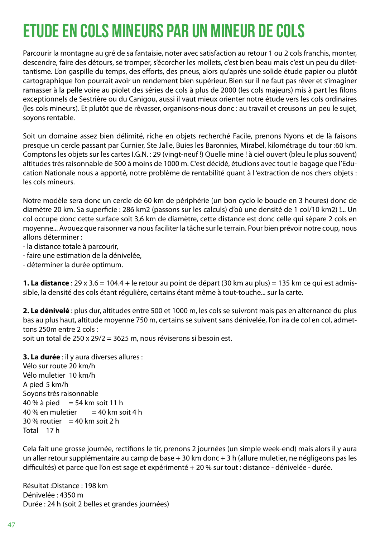## ETUDE EN COLS MINEURS PAR UN MINEUR DE COLS

Parcourir la montagne au gré de sa fantaisie, noter avec satisfaction au retour 1 ou 2 cols franchis, monter, descendre, faire des détours, se tromper, s'écorcher les mollets, c'est bien beau mais c'est un peu du dilettantisme. L'on gaspille du temps, des efforts, des pneus, alors qu'après une solide étude papier ou plutôt cartographique l'on pourrait avoir un rendement bien supérieur. Bien sur il ne faut pas rêver et s'imaginer ramasser à la pelle voire au piolet des séries de cols à plus de 2000 (les cols majeurs) mis à part les filons exceptionnels de Sestrière ou du Canigou, aussi il vaut mieux orienter notre étude vers les cols ordinaires (les cols mineurs). Et plutôt que de rêvasser, organisons-nous donc : au travail et creusons un peu le sujet, soyons rentable.

Soit un domaine assez bien délimité, riche en objets recherché Facile, prenons Nyons et de là faisons presque un cercle passant par Curnier, Ste Jalle, Buies les Baronnies, Mirabel, kilométrage du tour :60 km. Comptons les objets sur les cartes I.G.N. : 29 (vingt-neuf !) Quelle mine ! à ciel ouvert (bleu le plus souvent) altitudes très raisonnable de 500 à moins de 1000 m. C'est décidé, étudions avec tout le bagage que l'Education Nationale nous a apporté, notre problème de rentabilité quant à l 'extraction de nos chers objets : les cols mineurs.

Notre modèle sera donc un cercle de 60 km de périphérie (un bon cyclo le boucle en 3 heures) donc de diamètre 20 km. Sa superficie : 286 km2 (passons sur les calculs) d'où une densité de 1 col/10 km2) !... Un col occupe donc cette surface soit 3,6 km de diamètre, cette distance est donc celle qui sépare 2 cols en moyenne... Avouez que raisonner va nous faciliter la tâche sur le terrain. Pour bien prévoir notre coup, nous allons déterminer :

- la distance totale à parcourir,

- faire une estimation de la dénivelée,
- déterminer la durée optimum.

**1. La distance** : 29 x 3.6 = 104.4 + le retour au point de départ (30 km au plus) = 135 km ce qui est admissible, la densité des cols étant régulière, certains étant même à tout-touche... sur la carte.

**2. Le dénivelé** : plus dur, altitudes entre 500 et 1000 m, les cols se suivront mais pas en alternance du plus bas au plus haut, altitude moyenne 750 m, certains se suivent sans dénivelée, l'on ira de col en col, admettons 250m entre 2 cols :

soit un total de 250 x 29/2 = 3625 m, nous réviserons si besoin est.

**3. La durée** : il y aura diverses allures :

Vélo sur route 20 km/h Vélo muletier 10 km/h A pied 5 km/h Soyons très raisonnable 40 % à pied = 54 km soit 11 h  $40%$  en muletier  $= 40$  km soit 4 h  $30\%$  routier = 40 km soit 2 h Total 17 h

Cela fait une grosse journée, rectifions le tir, prenons 2 journées (un simple week-end) mais alors il y aura un aller retour supplémentaire au camp de base + 30 km donc + 3 h (allure muletier, ne négligeons pas les difficultés) et parce que l'on est sage et expérimenté + 20 % sur tout : distance - dénivelée - durée.

Résultat :Distance : 198 km Dénivelée : 4350 m Durée : 24 h (soit 2 belles et grandes journées)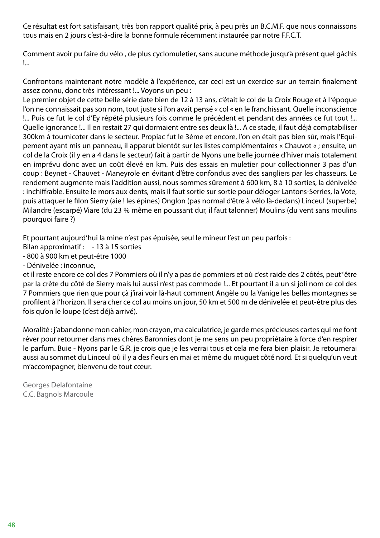Ce résultat est fort satisfaisant, très bon rapport qualité prix, à peu près un B.C.M.F. que nous connaissons tous mais en 2 jours c'est-à-dire la bonne formule récemment instaurée par notre F.F.C.T.

Comment avoir pu faire du vélo , de plus cyclomuletier, sans aucune méthode jusqu'à présent quel gâchis !...

Confrontons maintenant notre modèle à l'expérience, car ceci est un exercice sur un terrain finalement assez connu, donc très intéressant !... Voyons un peu :

Le premier objet de cette belle série date bien de 12 à 13 ans, c'était le col de la Croix Rouge et à l 'époque l'on ne connaissait pas son nom, tout juste si l'on avait pensé « col « en le franchissant. Quelle inconscience !... Puis ce fut le col d'Ey répété plusieurs fois comme le précédent et pendant des années ce fut tout !... Quelle ignorance !... Il en restait 27 qui dormaient entre ses deux là !... A ce stade, il faut déjà comptabiliser 300km à tournicoter dans le secteur. Propiac fut le 3ème et encore, l'on en était pas bien sûr, mais l'Equipement ayant mis un panneau, il apparut bientôt sur les listes complémentaires « Chauvot « ; ensuite, un col de la Croix (il y en a 4 dans le secteur) fait à partir de Nyons une belle journée d'hiver mais totalement en imprévu donc avec un coût élevé en km. Puis des essais en muletier pour collectionner 3 pas d'un coup : Beynet - Chauvet - Maneyrole en évitant d'être confondus avec des sangliers par les chasseurs. Le rendement augmente mais l'addition aussi, nous sommes sûrement à 600 km, 8 à 10 sorties, la dénivelée : inchiffrable. Ensuite le mors aux dents, mais il faut sortie sur sortie pour déloger Lantons-Serries, la Vote, puis attaquer le filon Sierry (aie ! les épines) Onglon (pas normal d'être à vélo là-dedans) Linceul (superbe) Milandre (escarpé) Viare (du 23 % même en poussant dur, il faut talonner) Moulins (du vent sans moulins pourquoi faire ?)

Et pourtant aujourd'hui la mine n'est pas épuisée, seul le mineur l'est un peu parfois :

- Bilan approximatif : 13 à 15 sorties
- 800 à 900 km et peut-être 1000

- Dénivelée : inconnue,

et il reste encore ce col des 7 Pommiers où il n'y a pas de pommiers et où c'est raide des 2 côtés, peut\*être par la crête du côté de Sierry mais lui aussi n'est pas commode !... Et pourtant il a un si joli nom ce col des 7 Pommiers que rien que pour çà j'irai voir là-haut comment Angèle ou la Vanige les belles montagnes se profilent à l'horizon. Il sera cher ce col au moins un jour, 50 km et 500 m de dénivelée et peut-être plus des fois qu'on le loupe (c'est déjà arrivé).

Moralité : j'abandonne mon cahier, mon crayon, ma calculatrice, je garde mes précieuses cartes qui me font rêver pour retourner dans mes chères Baronnies dont je me sens un peu propriétaire à force d'en respirer le parfum. Buie - Nyons par le G.R. je crois que je les verrai tous et cela me fera bien plaisir. Je retournerai aussi au sommet du Linceul où il y a des fleurs en mai et même du muguet côté nord. Et si quelqu'un veut m'accompagner, bienvenu de tout cœur.

Georges Delafontaine C.C. Bagnols Marcoule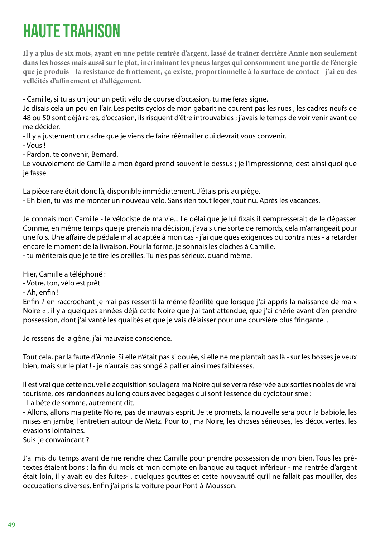# HAUTE TRAHISON

**Il y a plus de six mois, ayant eu une petite rentrée d'argent, lassé de traîner derrière Annie non seulement dans les bosses mais aussi sur le plat, incriminant les pneus larges qui consomment une partie de l'énergie que je produis - la résistance de frottement, ça existe, proportionnelle à la surface de contact - j'ai eu des velléités d'affinement et d'allégement.**

- Camille, si tu as un jour un petit vélo de course d'occasion, tu me feras signe.

Je disais cela un peu en l'air. Les petits cyclos de mon gabarit ne courent pas les rues ; les cadres neufs de 48 ou 50 sont déjà rares, d'occasion, ils risquent d'être introuvables ; j'avais le temps de voir venir avant de me décider.

- Il y a justement un cadre que je viens de faire réémailler qui devrait vous convenir. - Vous !

- Pardon, te convenir, Bernard.

Le vouvoiement de Camille à mon égard prend souvent le dessus ; je l'impressionne, c'est ainsi quoi que je fasse.

La pièce rare était donc là, disponible immédiatement. J'étais pris au piège.

- Eh bien, tu vas me monter un nouveau vélo. Sans rien tout léger ,tout nu. Après les vacances.

Je connais mon Camille - le vélociste de ma vie... Le délai que je lui fixais il s'empresserait de le dépasser. Comme, en même temps que je prenais ma décision, j'avais une sorte de remords, cela m'arrangeait pour une fois. Une affaire de pédale mal adaptée à mon cas - j'ai quelques exigences ou contraintes - a retarder encore le moment de la livraison. Pour la forme, je sonnais les cloches à Camille. - tu mériterais que je te tire les oreilles. Tu n'es pas sérieux, quand même.

Hier, Camille a téléphoné :

- Votre, ton, vélo est prêt

- Ah, enfin !

Enfin ? en raccrochant je n'ai pas ressenti la même fébrilité que lorsque j'ai appris la naissance de ma « Noire « , il y a quelques années déjà cette Noire que j'ai tant attendue, que j'ai chérie avant d'en prendre possession, dont j'ai vanté les qualités et que je vais délaisser pour une coursière plus fringante...

Je ressens de la gêne, j'ai mauvaise conscience.

Tout cela, par la faute d'Annie. Si elle n'était pas si douée, si elle ne me plantait pas là - sur les bosses je veux bien, mais sur le plat ! - je n'aurais pas songé à pallier ainsi mes faiblesses.

Il est vrai que cette nouvelle acquisition soulagera ma Noire qui se verra réservée aux sorties nobles de vrai tourisme, ces randonnées au long cours avec bagages qui sont l'essence du cyclotourisme : - La bête de somme, autrement dit.

- Allons, allons ma petite Noire, pas de mauvais esprit. Je te promets, la nouvelle sera pour la babiole, les mises en jambe, l'entretien autour de Metz. Pour toi, ma Noire, les choses sérieuses, les découvertes, les évasions lointaines.

Suis-je convaincant ?

J'ai mis du temps avant de me rendre chez Camille pour prendre possession de mon bien. Tous les prétextes étaient bons : la fin du mois et mon compte en banque au taquet inférieur - ma rentrée d'argent était loin, il y avait eu des fuites- , quelques gouttes et cette nouveauté qu'il ne fallait pas mouiller, des occupations diverses. Enfin j'ai pris la voiture pour Pont-à-Mousson.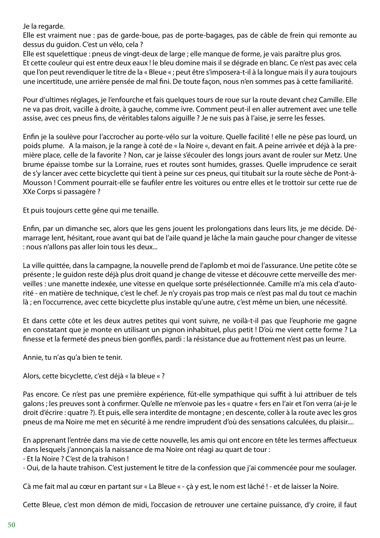Je la regarde.

Elle est vraiment nue : pas de garde-boue, pas de porte-bagages, pas de câble de frein qui remonte au dessus du guidon. C'est un vélo, cela ?

Elle est squelettique : pneus de vingt-deux de large ; elle manque de forme, je vais paraître plus gros. Et cette couleur qui est entre deux eaux ! le bleu domine mais il se dégrade en blanc. Ce n'est pas avec cela que l'on peut revendiquer le titre de la « Bleue « ; peut être s'imposera-t-il à la longue mais il y aura toujours une incertitude, une arrière pensée de mal fini. De toute façon, nous n'en sommes pas à cette familiarité.

Pour d'ultimes réglages, je l'enfourche et fais quelques tours de roue sur la route devant chez Camille. Elle ne va pas droit, vacille à droite, à gauche, comme ivre. Comment peut-il en aller autrement avec une telle assise, avec ces pneus fins, de véritables talons aiguille ? Je ne suis pas à l'aise, je serre les fesses.

Enfin je la soulève pour l'accrocher au porte-vélo sur la voiture. Quelle facilité ! elle ne pèse pas lourd, un poids plume. A la maison, je la range à coté de « la Noire «, devant en fait. A peine arrivée et déjà à la première place, celle de la favorite ? Non, car je laisse s'écouler des longs jours avant de rouler sur Metz. Une brume épaisse tombe sur la Lorraine, rues et routes sont humides, grasses. Quelle imprudence ce serait de s'y lancer avec cette bicyclette qui tient à peine sur ces pneus, qui titubait sur la route sèche de Pont-à-Mousson ! Comment pourrait-elle se faufiler entre les voitures ou entre elles et le trottoir sur cette rue de XXe Corps si passagère ?

Et puis toujours cette gêne qui me tenaille.

Enfin, par un dimanche sec, alors que les gens jouent les prolongations dans leurs lits, je me décide. Démarrage lent, hésitant, roue avant qui bat de l'aile quand je lâche la main gauche pour changer de vitesse : nous n'allons pas aller loin tous les deux...

La ville quittée, dans la campagne, la nouvelle prend de l'aplomb et moi de l'assurance. Une petite côte se présente ; le guidon reste déjà plus droit quand je change de vitesse et découvre cette merveille des merveilles : une manette indexée, une vitesse en quelque sorte présélectionnée. Camille m'a mis cela d'autorité - en matière de technique, c'est le chef. Je n'y croyais pas trop mais ce n'est pas mal du tout ce machin là ; en l'occurrence, avec cette bicyclette plus instable qu'une autre, c'est même un bien, une nécessité.

Et dans cette côte et les deux autres petites qui vont suivre, ne voilà-t-il pas que l'euphorie me gagne en constatant que je monte en utilisant un pignon inhabituel, plus petit ! D'où me vient cette forme ? La finesse et la fermeté des pneus bien gonflés, pardi : la résistance due au frottement n'est pas un leurre.

Annie, tu n'as qu'a bien te tenir.

Alors, cette bicyclette, c'est déjà « la bleue « ?

Pas encore. Ce n'est pas une première expérience, fût-elle sympathique qui suffit à lui attribuer de tels galons ; les preuves sont à confirmer. Qu'elle ne m'envoie pas les « quatre « fers en l'air et l'on verra (ai-je le droit d'écrire : quatre ?). Et puis, elle sera interdite de montagne ; en descente, coller à la route avec les gros pneus de ma Noire me met en sécurité à me rendre imprudent d'où des sensations calculées, du plaisir....

En apprenant l'entrée dans ma vie de cette nouvelle, les amis qui ont encore en tête les termes affectueux dans lesquels j'annonçais la naissance de ma Noire ont réagi au quart de tour :

- Et la Noire ? C'est de la trahison !

- Oui, de la haute trahison. C'est justement le titre de la confession que j'ai commencée pour me soulager.

Cà me fait mal au cœur en partant sur « La Bleue « - çà y est, le nom est lâché ! - et de laisser la Noire.

Cette Bleue, c'est mon démon de midi, l'occasion de retrouver une certaine puissance, d'y croire, il faut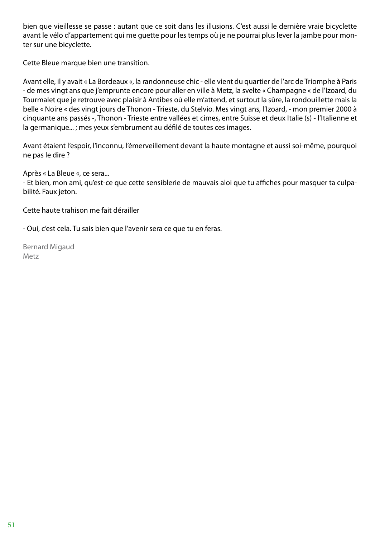bien que vieillesse se passe : autant que ce soit dans les illusions. C'est aussi le dernière vraie bicyclette avant le vélo d'appartement qui me guette pour les temps où je ne pourrai plus lever la jambe pour monter sur une bicyclette.

Cette Bleue marque bien une transition.

Avant elle, il y avait « La Bordeaux «, la randonneuse chic - elle vient du quartier de l'arc de Triomphe à Paris - de mes vingt ans que j'emprunte encore pour aller en ville à Metz, la svelte « Champagne « de l'Izoard, du Tourmalet que je retrouve avec plaisir à Antibes où elle m'attend, et surtout la sûre, la rondouillette mais la belle « Noire « des vingt jours de Thonon - Trieste, du Stelvio. Mes vingt ans, l'Izoard, - mon premier 2000 à cinquante ans passés -, Thonon - Trieste entre vallées et cimes, entre Suisse et deux Italie (s) - l'Italienne et la germanique... ; mes yeux s'embrument au défilé de toutes ces images.

Avant étaient l'espoir, l'inconnu, l'émerveillement devant la haute montagne et aussi soi-même, pourquoi ne pas le dire ?

Après « La Bleue «, ce sera...

- Et bien, mon ami, qu'est-ce que cette sensiblerie de mauvais aloi que tu affiches pour masquer ta culpabilité. Faux jeton.

Cette haute trahison me fait dérailler

- Oui, c'est cela. Tu sais bien que l'avenir sera ce que tu en feras.

Bernard Migaud Metz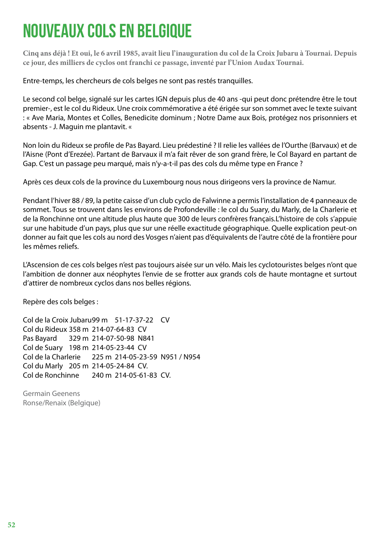# NOUVEAUX COLS EN BELGIQUE

**Cinq ans déjà ! Et oui, le 6 avril 1985, avait lieu l'inauguration du col de la Croix Jubaru à Tournai. Depuis ce jour, des milliers de cyclos ont franchi ce passage, inventé par l'Union Audax Tournai.**

Entre-temps, les chercheurs de cols belges ne sont pas restés tranquilles.

Le second col belge, signalé sur les cartes IGN depuis plus de 40 ans -qui peut donc prétendre être le tout premier-, est le col du Rideux. Une croix commémorative a été érigée sur son sommet avec le texte suivant : « Ave Maria, Montes et Colles, Benedicite dominum ; Notre Dame aux Bois, protégez nos prisonniers et absents - J. Maguin me plantavit. «

Non loin du Rideux se profile de Pas Bayard. Lieu prédestiné ? Il relie les vallées de l'Ourthe (Barvaux) et de l'Aisne (Pont d'Erezée). Partant de Barvaux il m'a fait rêver de son grand frère, le Col Bayard en partant de Gap. C'est un passage peu marqué, mais n'y-a-t-il pas des cols du même type en France ?

Après ces deux cols de la province du Luxembourg nous nous dirigeons vers la province de Namur.

Pendant l'hiver 88 / 89, la petite caisse d'un club cyclo de Falwinne a permis l'installation de 4 panneaux de sommet. Tous se trouvent dans les environs de Profondeville : le col du Suary, du Marly, de la Charlerie et de la Ronchinne ont une altitude plus haute que 300 de leurs confrères français. L'histoire de cols s'appuie sur une habitude d'un pays, plus que sur une réelle exactitude géographique. Quelle explication peut-on donner au fait que les cols au nord des Vosges n'aient pas d'équivalents de l'autre côté de la frontière pour les mêmes reliefs.

L'Ascension de ces cols belges n'est pas toujours aisée sur un vélo. Mais les cyclotouristes belges n'ont que l'ambition de donner aux néophytes l'envie de se frotter aux grands cols de haute montagne et surtout d'attirer de nombreux cyclos dans nos belles régions.

Repère des cols belges :

Col de la Croix Jubaru 99 m 51-17-37-22 CV Col du Rideux 358 m 214-07-64-83 CV Pas Bayard 329 m 214-07-50-98 N841 Col de Suary 198 m 214-05-23-44 CV Col de la Charlerie 225 m 214-05-23-59 N951 / N954 Col du Marly 205 m 214-05-24-84 CV. Col de Ronchinne 240 m 214-05-61-83 CV.

Germain Geenens Ronse/Renaix (Belgique)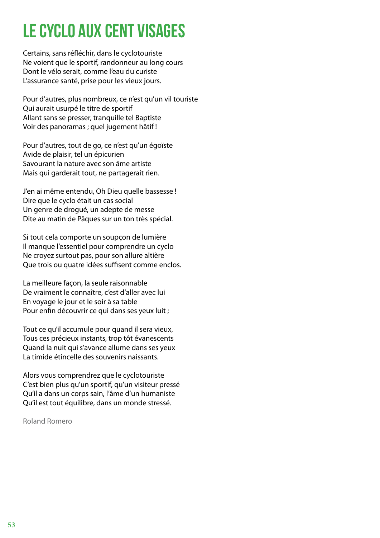# LE CYCLO AUX CENT VISAGES

Certains, sans réfléchir, dans le cyclotouriste Ne voient que le sportif, randonneur au long cours Dont le vélo serait, comme l'eau du curiste L'assurance santé, prise pour les vieux jours.

Pour d'autres, plus nombreux, ce n'est qu'un vil touriste Qui aurait usurpé le titre de sportif Allant sans se presser, tranquille tel Baptiste Voir des panoramas ; quel jugement hâtif !

Pour d'autres, tout de go, ce n'est qu'un égoïste Avide de plaisir, tel un épicurien Savourant la nature avec son âme artiste Mais qui garderait tout, ne partagerait rien.

J'en ai même entendu, Oh Dieu quelle bassesse ! Dire que le cyclo était un cas social Un genre de drogué, un adepte de messe Dite au matin de Pâques sur un ton très spécial.

Si tout cela comporte un soupçon de lumière Il manque l'essentiel pour comprendre un cyclo Ne croyez surtout pas, pour son allure altière Que trois ou quatre idées suffisent comme enclos.

La meilleure façon, la seule raisonnable De vraiment le connaître, c'est d'aller avec lui En voyage le jour et le soir à sa table Pour enfin découvrir ce qui dans ses yeux luit ;

Tout ce qu'il accumule pour quand il sera vieux, Tous ces précieux instants, trop tôt évanescents Quand la nuit qui s'avance allume dans ses yeux La timide étincelle des souvenirs naissants.

Alors vous comprendrez que le cyclotouriste C'est bien plus qu'un sportif, qu'un visiteur pressé Qu'il a dans un corps sain, l'âme d'un humaniste Qu'il est tout équilibre, dans un monde stressé.

Roland Romero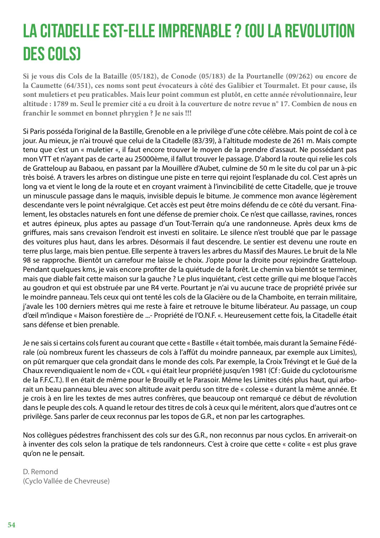# LA CITADELLE EST-ELLE IMPRENABLE ? (OU LA REVOLUTION DES COLS)

**Si je vous dis Cols de la Bataille (05/182), de Conode (05/183) de la Pourtanelle (09/262) ou encore de la Caumette (64/351), ces noms sont peut évocateurs à côté des Galibier et Tourmalet. Et pour cause, ils sont muletiers et peu praticables. Mais leur point commun est plutôt, en cette année révolutionnaire, leur altitude : 1789 m. Seul le premier cité a eu droit à la couverture de notre revue n° 17. Combien de nous en franchir le sommet en bonnet phrygien ? Je ne sais !!!**

Si Paris posséda l'original de la Bastille, Grenoble en a le privilège d'une côte célèbre. Mais point de col à ce jour. Au mieux, je n'ai trouvé que celui de la Citadelle (83/39), à l'altitude modeste de 261 m. Mais compte tenu que c'est un « muletier «, il faut encore trouver le moyen de la prendre d'assaut. Ne possédant pas mon VTT et n'ayant pas de carte au 25000ème, il fallut trouver le passage. D'abord la route qui relie les cols de Gratteloup au Babaou, en passant par la Mouillère d'Aubet, culmine de 50 m le site du col par un à-pic très boisé. A travers les arbres on distingue une piste en terre qui rejoint l'esplanade du col. C'est après un long va et vient le long de la route et en croyant vraiment à l'invincibilité de cette Citadelle, que je trouve un minuscule passage dans le maquis, invisible depuis le bitume. Je commence mon avance légèrement descendante vers le point névralgique. Cet accès est peut être moins défendu de ce côté du versant. Finalement, les obstacles naturels en font une défense de premier choix. Ce n'est que caillasse, ravines, ronces et autres épineux, plus aptes au passage d'un Tout-Terrain qu'a une randonneuse. Après deux kms de griffures, mais sans crevaison l'endroit est investi en solitaire. Le silence n'est troublé que par le passage des voitures plus haut, dans les arbres. Désormais il faut descendre. Le sentier est devenu une route en terre plus large, mais bien pentue. Elle serpente à travers les arbres du Massif des Maures. Le bruit de la Nle 98 se rapproche. Bientôt un carrefour me laisse le choix. J'opte pour la droite pour rejoindre Gratteloup. Pendant quelques kms, je vais encore profiter de la quiétude de la forêt. Le chemin va bientôt se terminer, mais que diable fait cette maison sur la gauche ? Le plus inquiétant, c'est cette grille qui me bloque l'accès au goudron et qui est obstruée par une R4 verte. Pourtant je n'ai vu aucune trace de propriété privée sur le moindre panneau. Tels ceux qui ont tenté les cols de la Glacière ou de la Chamboite, en terrain militaire, j'avale les 100 derniers mètres qui me reste à faire et retrouve le bitume libérateur. Au passage, un coup d'œil m'indique « Maison forestière de ...- Propriété de l'O.N.F. «. Heureusement cette fois, la Citadelle était sans défense et bien prenable.

Je ne sais si certains cols furent au courant que cette « Bastille « était tombée, mais durant la Semaine Fédérale (où nombreux furent les chasseurs de cols à l'affût du moindre panneaux, par exemple aux Limites), on pût remarquer que cela grondait dans le monde des cols. Par exemple, la Croix Trévingt et le Gué de la Chaux revendiquaient le nom de « COL « qui était leur propriété jusqu'en 1981 (Cf : Guide du cyclotourisme de la F.F.C.T.). Il en était de même pour le Brouilly et le Parasoir. Même les Limites cités plus haut, qui arborait un beau panneau bleu avec son altitude avait perdu son titre de « colesse « durant la même année. Et je crois à en lire les textes de mes autres confrères, que beaucoup ont remarqué ce début de révolution dans le peuple des cols. A quand le retour des titres de cols à ceux qui le méritent, alors que d'autres ont ce privilège. Sans parler de ceux reconnus par les topos de G.R., et non par les cartographes.

Nos collègues pédestres franchissent des cols sur des G.R., non reconnus par nous cyclos. En arriverait-on à inventer des cols selon la pratique de tels randonneurs. C'est à croire que cette « colite « est plus grave qu'on ne le pensait.

D. Remond (Cyclo Vallée de Chevreuse)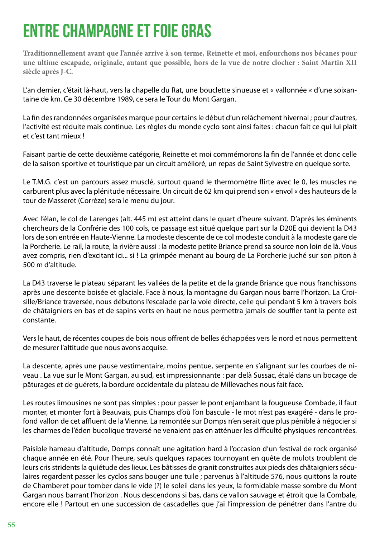## ENTRE CHAMPAGNE ET FOIE GRAS

**Traditionnellement avant que l'année arrive à son terme, Reinette et moi, enfourchons nos bécanes pour une ultime escapade, originale, autant que possible, hors de la vue de notre clocher : Saint Martin XII siècle après J-C.**

L'an dernier, c'était là-haut, vers la chapelle du Rat, une bouclette sinueuse et « vallonnée « d'une soixantaine de km. Ce 30 décembre 1989, ce sera le Tour du Mont Gargan.

La fin des randonnées organisées marque pour certains le début d'un relâchement hivernal ; pour d'autres, l'activité est réduite mais continue. Les règles du monde cyclo sont ainsi faites : chacun fait ce qui lui plait et c'est tant mieux !

Faisant partie de cette deuxième catégorie, Reinette et moi commémorons la fin de l'année et donc celle de la saison sportive et touristique par un circuit amélioré, un repas de Saint Sylvestre en quelque sorte.

Le T.M.G. c'est un parcours assez musclé, surtout quand le thermomètre flirte avec le 0, les muscles ne carburent plus avec la plénitude nécessaire. Un circuit de 62 km qui prend son « envol « des hauteurs de la tour de Masseret (Corrèze) sera le menu du jour.

Avec l'élan, le col de Larenges (alt. 445 m) est atteint dans le quart d'heure suivant. D'après les éminents chercheurs de la Confrérie des 100 cols, ce passage est situé quelque part sur la D20E qui devient la D43 lors de son entrée en Haute-Vienne. La modeste descente de ce col modeste conduit à la modeste gare de la Porcherie. Le rail, la route, la rivière aussi : la modeste petite Briance prend sa source non loin de là. Vous avez compris, rien d'excitant ici... si ! La grimpée menant au bourg de La Porcherie juché sur son piton à 500 m d'altitude.

La D43 traverse le plateau séparant les vallées de la petite et de la grande Briance que nous franchissons après une descente boisée et glaciale. Face à nous, la montagne du Gargan nous barre l'horizon. La Croisille/Briance traversée, nous débutons l'escalade par la voie directe, celle qui pendant 5 km à travers bois de châtaigniers en bas et de sapins verts en haut ne nous permettra jamais de souffler tant la pente est constante.

Vers le haut, de récentes coupes de bois nous offrent de belles échappées vers le nord et nous permettent de mesurer l'altitude que nous avons acquise.

La descente, après une pause vestimentaire, moins pentue, serpente en s'alignant sur les courbes de niveau . La vue sur le Mont Gargan, au sud, est impressionnante : par delà Sussac, étalé dans un bocage de pâturages et de guérets, la bordure occidentale du plateau de Millevaches nous fait face.

Les routes limousines ne sont pas simples : pour passer le pont enjambant la fougueuse Combade, il faut monter, et monter fort à Beauvais, puis Champs d'où l'on bascule - le mot n'est pas exagéré - dans le profond vallon de cet affluent de la Vienne. La remontée sur Domps n'en serait que plus pénible à négocier si les charmes de l'éden bucolique traversé ne venaient pas en atténuer les difficulté physiques rencontrées.

Paisible hameau d'altitude, Domps connaît une agitation hard à l'occasion d'un festival de rock organisé chaque année en été. Pour l'heure, seuls quelques rapaces tournoyant en quête de mulots troublent de leurs cris stridents la quiétude des lieux. Les bâtisses de granit construites aux pieds des châtaigniers séculaires regardent passer les cyclos sans bouger une tuile ; parvenus à l'altitude 576, nous quittons la route de Chamberet pour tomber dans le vide (?) le soleil dans les yeux, la formidable masse sombre du Mont Gargan nous barrant l'horizon . Nous descendons si bas, dans ce vallon sauvage et étroit que la Combale, encore elle ! Partout en une succession de cascadelles que j'ai l'impression de pénétrer dans l'antre du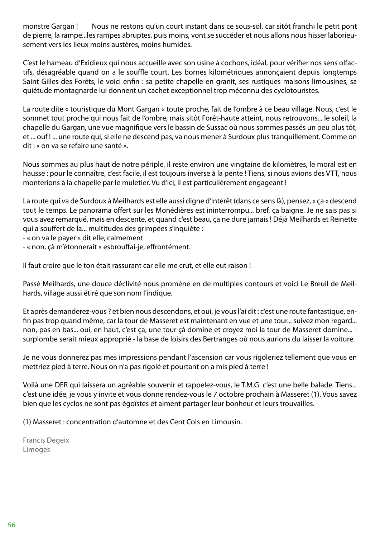monstre Gargan ! Nous ne restons qu'un court instant dans ce sous-sol, car sitôt franchi le petit pont de pierre, la rampe...les rampes abruptes, puis moins, vont se succéder et nous allons nous hisser laborieusement vers les lieux moins austères, moins humides.

C'est le hameau d'Exidieux qui nous accueille avec son usine à cochons, idéal, pour vérifier nos sens olfactifs, désagréable quand on a le souffle court. Les bornes kilométriques annonçaient depuis longtemps Saint Gilles des Forêts, le voici enfin : sa petite chapelle en granit, ses rustiques maisons limousines, sa quiétude montagnarde lui donnent un cachet exceptionnel trop méconnu des cyclotouristes.

La route dite « touristique du Mont Gargan « toute proche, fait de l'ombre à ce beau village. Nous, c'est le sommet tout proche qui nous fait de l'ombre, mais sitôt Forêt-haute atteint, nous retrouvons... le soleil, la chapelle du Gargan, une vue magnifique vers le bassin de Sussac où nous sommes passés un peu plus tôt, et ... ouf ! ... une route qui, si elle ne descend pas, va nous mener à Surdoux plus tranquillement. Comme on dit : « on va se refaire une santé «.

Nous sommes au plus haut de notre périple, il reste environ une vingtaine de kilomètres, le moral est en hausse : pour le connaître, c'est facile, il est toujours inverse à la pente ! Tiens, si nous avions des VTT, nous monterions à la chapelle par le muletier. Vu d'ici, il est particulièrement engageant !

La route qui va de Surdoux à Meilhards est elle aussi digne d'intérêt (dans ce sens là), pensez, « ça « descend tout le temps. Le panorama offert sur les Monédières est ininterrompu... bref, ça baigne. Je ne sais pas si vous avez remarqué, mais en descente, et quand c'est beau, ça ne dure jamais ! Déjà Meilhards et Reinette qui a souffert de la... multitudes des grimpées s'inquiète :

- « on va le payer « dit elle, calmement

- « non, çà m'étonnerait « esbrouffai-je, effrontément.

Il faut croire que le ton était rassurant car elle me crut, et elle eut raison !

Passé Meilhards, une douce déclivité nous promène en de multiples contours et voici Le Breuil de Meilhards, village aussi étiré que son nom l'indique.

Et après demanderez-vous ? et bien nous descendons, et oui, je vous l'ai dit : c'est une route fantastique, enfin pas trop quand même, car la tour de Masseret est maintenant en vue et une tour... suivez mon regard... non, pas en bas... oui, en haut, c'est ça, une tour çà domine et croyez moi la tour de Masseret domine... surplombe serait mieux approprié - la base de loisirs des Bertranges où nous aurions du laisser la voiture.

Je ne vous donnerez pas mes impressions pendant l'ascension car vous rigoleriez tellement que vous en mettriez pied à terre. Nous on n'a pas rigolé et pourtant on a mis pied à terre !

Voilà une DER qui laissera un agréable souvenir et rappelez-vous, le T.M.G. c'est une belle balade. Tiens... c'est une idée, je vous y invite et vous donne rendez-vous le 7 octobre prochain à Masseret (1). Vous savez bien que les cyclos ne sont pas égoïstes et aiment partager leur bonheur et leurs trouvailles.

(1) Masseret : concentration d'automne et des Cent Cols en Limousin.

Francis Degeix Limoges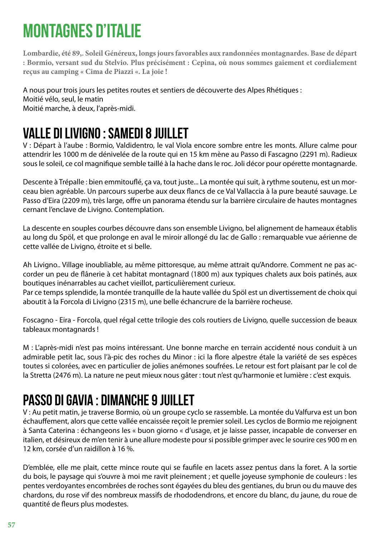# MONTAGNES D'ITALIE

**Lombardie, été 89,. Soleil Généreux, longs jours favorables aux randonnées montagnardes. Base de départ : Bormio, versant sud du Stelvio. Plus précisément : Cepina, où nous sommes gaiement et cordialement reçus au camping « Cima de Piazzi «. La joie !**

A nous pour trois jours les petites routes et sentiers de découverte des Alpes Rhétiques : Moitié vélo, seul, le matin Moitié marche, à deux, l'après-midi.

### Valle di Livigno : samedi 8 juillet

V : Départ à l'aube : Bormio, Valdidentro, le val Viola encore sombre entre les monts. Allure calme pour attendrir les 1000 m de dénivelée de la route qui en 15 km mène au Passo di Fascagno (2291 m). Radieux sous le soleil, ce col magnifique semble taillé à la hache dans le roc. Joli décor pour opérette montagnarde.

Descente à Trépalle : bien emmitouflé, ça va, tout juste... La montée qui suit, à rythme soutenu, est un morceau bien agréable. Un parcours superbe aux deux flancs de ce Val Vallaccia à la pure beauté sauvage. Le Passo d'Eira (2209 m), très large, offre un panorama étendu sur la barrière circulaire de hautes montagnes cernant l'enclave de Livigno. Contemplation.

La descente en souples courbes découvre dans son ensemble Livigno, bel alignement de hameaux établis au long du Spöl, et que prolonge en aval le miroir allongé du lac de Gallo : remarquable vue aérienne de cette vallée de Livigno, étroite et si belle.

Ah Livigno.. Village inoubliable, au même pittoresque, au même attrait qu'Andorre. Comment ne pas accorder un peu de flânerie à cet habitat montagnard (1800 m) aux typiques chalets aux bois patinés, aux boutiques inénarrables au cachet vieillot, particulièrement curieux.

Par ce temps splendide, la montée tranquille de la haute vallée du Spöl est un divertissement de choix qui aboutit à la Forcola di Livigno (2315 m), une belle échancrure de la barrière rocheuse.

Foscagno - Eira - Forcola, quel régal cette trilogie des cols routiers de Livigno, quelle succession de beaux tableaux montagnards !

M : L'après-midi n'est pas moins intéressant. Une bonne marche en terrain accidenté nous conduit à un admirable petit lac, sous l'à-pic des roches du Minor : ici la flore alpestre étale la variété de ses espèces toutes si colorées, avec en particulier de jolies anémones soufrées. Le retour est fort plaisant par le col de la Stretta (2476 m). La nature ne peut mieux nous gâter : tout n'est qu'harmonie et lumière : c'est exquis.

### Passo Di Gavia : dimanche 9 juillet

V : Au petit matin, je traverse Bormio, où un groupe cyclo se rassemble. La montée du Valfurva est un bon échauffement, alors que cette vallée encaissée reçoit le premier soleil. Les cyclos de Bormio me rejoignent à Santa Caterina : échangeons les « buon giorno « d'usage, et je laisse passer, incapable de converser en italien, et désireux de m'en tenir à une allure modeste pour si possible grimper avec le sourire ces 900 m en 12 km, corsée d'un raidillon à 16 %.

D'emblée, elle me plait, cette mince route qui se faufile en lacets assez pentus dans la foret. A la sortie du bois, le paysage qui s'ouvre à moi me ravit pleinement ; et quelle joyeuse symphonie de couleurs : les pentes verdoyantes encombrées de roches sont égayées du bleu des gentianes, du brun ou du mauve des chardons, du rose vif des nombreux massifs de rhododendrons, et encore du blanc, du jaune, du roue de quantité de fleurs plus modestes.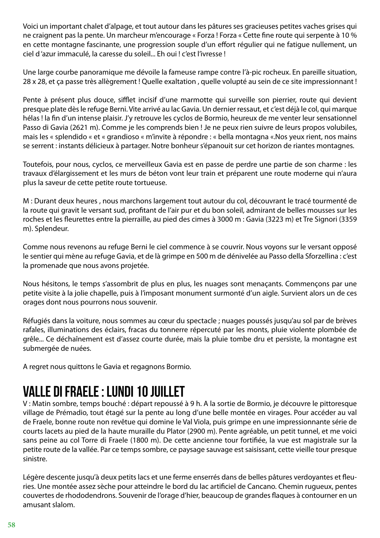Voici un important chalet d'alpage, et tout autour dans les pâtures ses gracieuses petites vaches grises qui ne craignent pas la pente. Un marcheur m'encourage « Forza ! Forza « Cette fine route qui serpente à 10 % en cette montagne fascinante, une progression souple d'un effort régulier qui ne fatigue nullement, un ciel d 'azur immaculé, la caresse du soleil... Eh oui ! c'est l'ivresse !

Une large courbe panoramique me dévoile la fameuse rampe contre l'à-pic rocheux. En pareille situation, 28 x 28, et ça passe très allègrement ! Quelle exaltation , quelle volupté au sein de ce site impressionnant !

Pente à présent plus douce, sifflet incisif d'une marmotte qui surveille son pierrier, route qui devient presque plate dès le refuge Berni. Vite arrivé au lac Gavia. Un dernier ressaut, et c'est déjà le col, qui marque hélas ! la fin d'un intense plaisir. J'y retrouve les cyclos de Bormio, heureux de me venter leur sensationnel Passo di Gavia (2621 m). Comme je les comprends bien ! Je ne peux rien suivre de leurs propos volubiles, mais les « splendido « et « grandioso « m'invite à répondre : « bella montagna «.Nos yeux rient, nos mains se serrent : instants délicieux à partager. Notre bonheur s'épanouit sur cet horizon de riantes montagnes.

Toutefois, pour nous, cyclos, ce merveilleux Gavia est en passe de perdre une partie de son charme : les travaux d'élargissement et les murs de béton vont leur train et préparent une route moderne qui n'aura plus la saveur de cette petite route tortueuse.

M : Durant deux heures , nous marchons largement tout autour du col, découvrant le tracé tourmenté de la route qui gravit le versant sud, profitant de l'air pur et du bon soleil, admirant de belles mousses sur les roches et les fleurettes entre la pierraille, au pied des cimes à 3000 m : Gavia (3223 m) et Tre Signori (3359 m). Splendeur.

Comme nous revenons au refuge Berni le ciel commence à se couvrir. Nous voyons sur le versant opposé le sentier qui mène au refuge Gavia, et de là grimpe en 500 m de dénivelée au Passo della Sforzellina : c'est la promenade que nous avons projetée.

Nous hésitons, le temps s'assombrit de plus en plus, les nuages sont menaçants. Commençons par une petite visite à la jolie chapelle, puis à l'imposant monument surmonté d'un aigle. Survient alors un de ces orages dont nous pourrons nous souvenir.

Réfugiés dans la voiture, nous sommes au cœur du spectacle ; nuages poussés jusqu'au sol par de brèves rafales, illuminations des éclairs, fracas du tonnerre répercuté par les monts, pluie violente plombée de grêle... Ce déchaînement est d'assez courte durée, mais la pluie tombe dru et persiste, la montagne est submergée de nuées.

A regret nous quittons le Gavia et regagnons Bormio.

### Valle di Fraele : lundi 10 juillet

V : Matin sombre, temps bouché : départ repoussé à 9 h. A la sortie de Bormio, je découvre le pittoresque village de Prémadio, tout étagé sur la pente au long d'une belle montée en virages. Pour accéder au val de Fraele, bonne route non revêtue qui domine le Val Viola, puis grimpe en une impressionnante série de courts lacets au pied de la haute muraille du Plator (2900 m). Pente agréable, un petit tunnel, et me voici sans peine au col Torre di Fraele (1800 m). De cette ancienne tour fortifiée, la vue est magistrale sur la petite route de la vallée. Par ce temps sombre, ce paysage sauvage est saisissant, cette vieille tour presque sinistre.

Légère descente jusqu'à deux petits lacs et une ferme enserrés dans de belles pâtures verdoyantes et fleuries. Une montée assez sèche pour atteindre le bord du lac artificiel de Cancano. Chemin rugueux, pentes couvertes de rhododendrons. Souvenir de l'orage d'hier, beaucoup de grandes flaques à contourner en un amusant slalom.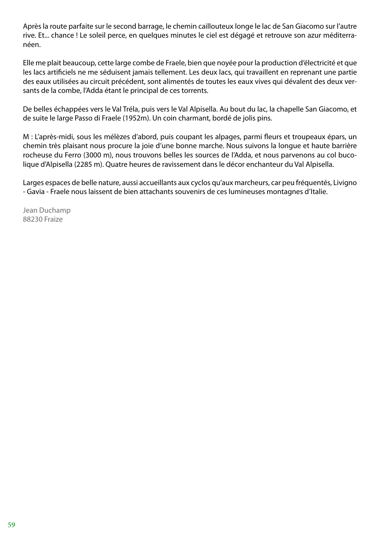Après la route parfaite sur le second barrage, le chemin caillouteux longe le lac de San Giacomo sur l'autre rive. Et... chance ! Le soleil perce, en quelques minutes le ciel est dégagé et retrouve son azur méditerranéen.

Elle me plait beaucoup, cette large combe de Fraele, bien que noyée pour la production d'électricité et que les lacs artificiels ne me séduisent jamais tellement. Les deux lacs, qui travaillent en reprenant une partie des eaux utilisées au circuit précédent, sont alimentés de toutes les eaux vives qui dévalent des deux versants de la combe, l'Adda étant le principal de ces torrents.

De belles échappées vers le Val Tréla, puis vers le Val Alpisella. Au bout du lac, la chapelle San Giacomo, et de suite le large Passo di Fraele (1952m). Un coin charmant, bordé de jolis pins.

M : L'après-midi, sous les mélèzes d'abord, puis coupant les alpages, parmi fleurs et troupeaux épars, un chemin très plaisant nous procure la joie d'une bonne marche. Nous suivons la longue et haute barrière rocheuse du Ferro (3000 m), nous trouvons belles les sources de l'Adda, et nous parvenons au col bucolique d'Alpisella (2285 m). Quatre heures de ravissement dans le décor enchanteur du Val Alpisella.

Larges espaces de belle nature, aussi accueillants aux cyclos qu'aux marcheurs, car peu fréquentés, Livigno - Gavia - Fraele nous laissent de bien attachants souvenirs de ces lumineuses montagnes d'Italie.

Jean Duchamp 88230 Fraize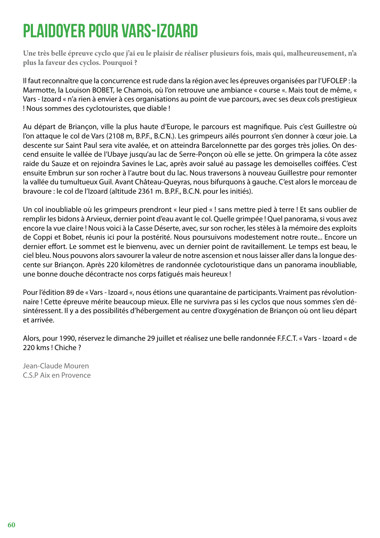# PLAIDOYER POUR VARS-IZOARD

**Une très belle épreuve cyclo que j'ai eu le plaisir de réaliser plusieurs fois, mais qui, malheureusement, n'a plus la faveur des cyclos. Pourquoi ?**

Il faut reconnaître que la concurrence est rude dans la région avec les épreuves organisées par l'UFOLEP : la Marmotte, la Louison BOBET, le Chamois, où l'on retrouve une ambiance « course «. Mais tout de même, « Vars - Izoard « n'a rien à envier à ces organisations au point de vue parcours, avec ses deux cols prestigieux ! Nous sommes des cyclotouristes, que diable !

Au départ de Briançon, ville la plus haute d'Europe, le parcours est magnifique. Puis c'est Guillestre où l'on attaque le col de Vars (2108 m, B.P.F., B.C.N.). Les grimpeurs ailés pourront s'en donner à cœur joie. La descente sur Saint Paul sera vite avalée, et on atteindra Barcelonnette par des gorges très jolies. On descend ensuite le vallée de l'Ubaye jusqu'au lac de Serre-Ponçon où elle se jette. On grimpera la côte assez raide du Sauze et on rejoindra Savines le Lac, après avoir salué au passage les demoiselles coiffées. C'est ensuite Embrun sur son rocher à l'autre bout du lac. Nous traversons à nouveau Guillestre pour remonter la vallée du tumultueux Guil. Avant Château-Queyras, nous bifurquons à gauche. C'est alors le morceau de bravoure : le col de l'Izoard (altitude 2361 m. B.P.F., B.C.N. pour les initiés).

Un col inoubliable où les grimpeurs prendront « leur pied « ! sans mettre pied à terre ! Et sans oublier de remplir les bidons à Arvieux, dernier point d'eau avant le col. Quelle grimpée ! Quel panorama, si vous avez encore la vue claire ! Nous voici à la Casse Déserte, avec, sur son rocher, les stèles à la mémoire des exploits de Coppi et Bobet, réunis ici pour la postérité. Nous poursuivons modestement notre route... Encore un dernier effort. Le sommet est le bienvenu, avec un dernier point de ravitaillement. Le temps est beau, le ciel bleu. Nous pouvons alors savourer la valeur de notre ascension et nous laisser aller dans la longue descente sur Briançon. Après 220 kilomètres de randonnée cyclotouristique dans un panorama inoubliable, une bonne douche décontracte nos corps fatigués mais heureux !

Pour l'édition 89 de « Vars - Izoard «, nous étions une quarantaine de participants. Vraiment pas révolutionnaire ! Cette épreuve mérite beaucoup mieux. Elle ne survivra pas si les cyclos que nous sommes s'en désintéressent. Il y a des possibilités d'hébergement au centre d'oxygénation de Briançon où ont lieu départ et arrivée.

Alors, pour 1990, réservez le dimanche 29 juillet et réalisez une belle randonnée F.F.C.T. « Vars - Izoard « de 220 kms ! Chiche ?

Jean-Claude Mouren C.S.P Aix en Provence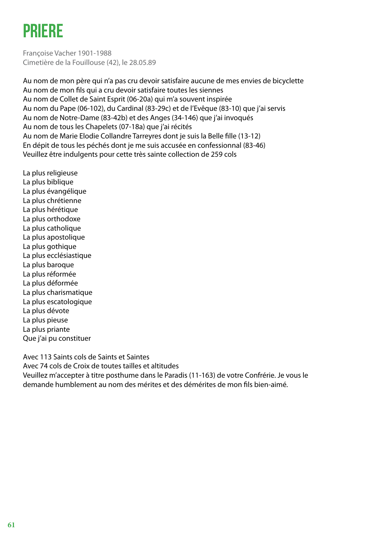# PRIERE

Françoise Vacher 1901-1988 Cimetière de la Fouillouse (42), le 28.05.89

Au nom de mon père qui n'a pas cru devoir satisfaire aucune de mes envies de bicyclette Au nom de mon fils qui a cru devoir satisfaire toutes les siennes Au nom de Collet de Saint Esprit (06-20a) qui m'a souvent inspirée Au nom du Pape (06-102), du Cardinal (83-29c) et de l'Evêque (83-10) que j'ai servis Au nom de Notre-Dame (83-42b) et des Anges (34-146) que j'ai invoqués Au nom de tous les Chapelets (07-18a) que j'ai récités Au nom de Marie Elodie Collandre Tarreyres dont je suis la Belle fille (13-12) En dépit de tous les péchés dont je me suis accusée en confessionnal (83-46) Veuillez être indulgents pour cette très sainte collection de 259 cols

La plus religieuse La plus biblique La plus évangélique La plus chrétienne La plus hérétique La plus orthodoxe La plus catholique La plus apostolique La plus gothique La plus ecclésiastique La plus baroque La plus réformée La plus déformée La plus charismatique La plus escatologique La plus dévote La plus pieuse La plus priante Que j'ai pu constituer

Avec 113 Saints cols de Saints et Saintes

Avec 74 cols de Croix de toutes tailles et altitudes

Veuillez m'accepter à titre posthume dans le Paradis (11-163) de votre Confrérie. Je vous le demande humblement au nom des mérites et des démérites de mon fils bien-aimé.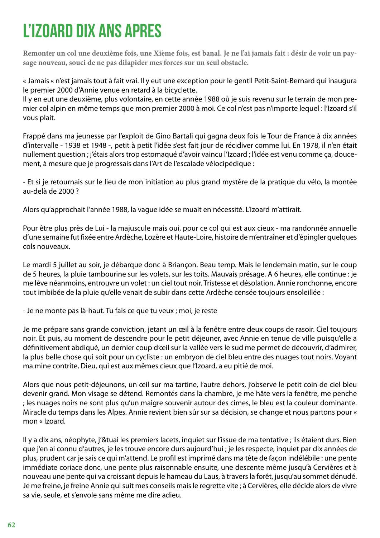# L'IZOARD DIX ANS APRES

**Remonter un col une deuxième fois, une Xième fois, est banal. Je ne l'ai jamais fait : désir de voir un paysage nouveau, souci de ne pas dilapider mes forces sur un seul obstacle.**

« Jamais « n'est jamais tout à fait vrai. Il y eut une exception pour le gentil Petit-Saint-Bernard qui inaugura le premier 2000 d'Annie venue en retard à la bicyclette.

Il y en eut une deuxième, plus volontaire, en cette année 1988 où je suis revenu sur le terrain de mon premier col alpin en même temps que mon premier 2000 à moi. Ce col n'est pas n'importe lequel : l'Izoard s'il vous plait.

Frappé dans ma jeunesse par l'exploit de Gino Bartali qui gagna deux fois le Tour de France à dix années d'intervalle - 1938 et 1948 -, petit à petit l'idée s'est fait jour de récidiver comme lui. En 1978, il n'en était nullement question ; j'étais alors trop estomaqué d'avoir vaincu l'Izoard ; l'idée est venu comme ça, doucement, à mesure que je progressais dans l'Art de l'escalade vélocipédique :

- Et si je retournais sur le lieu de mon initiation au plus grand mystère de la pratique du vélo, la montée au-delà de 2000 ?

Alors qu'approchait l'année 1988, la vague idée se muait en nécessité. L'Izoard m'attirait.

Pour être plus près de Lui - la majuscule mais oui, pour ce col qui est aux cieux - ma randonnée annuelle d'une semaine fut fixée entre Ardèche, Lozère et Haute-Loire, histoire de m'entraîner et d'épingler quelques cols nouveaux.

Le mardi 5 juillet au soir, je débarque donc à Briançon. Beau temp. Mais le lendemain matin, sur le coup de 5 heures, la pluie tambourine sur les volets, sur les toits. Mauvais présage. A 6 heures, elle continue : je me lève néanmoins, entrouvre un volet : un ciel tout noir. Tristesse et désolation. Annie ronchonne, encore tout imbibée de la pluie qu'elle venait de subir dans cette Ardèche censée toujours ensoleillée :

- Je ne monte pas là-haut. Tu fais ce que tu veux ; moi, je reste

Je me prépare sans grande conviction, jetant un œil à la fenêtre entre deux coups de rasoir. Ciel toujours noir. Et puis, au moment de descendre pour le petit déjeuner, avec Annie en tenue de ville puisqu'elle a définitivement abdiqué, un dernier coup d'œil sur la vallée vers le sud me permet de découvrir, d'admirer, la plus belle chose qui soit pour un cycliste : un embryon de ciel bleu entre des nuages tout noirs. Voyant ma mine contrite, Dieu, qui est aux mêmes cieux que l'Izoard, a eu pitié de moi.

Alors que nous petit-déjeunons, un œil sur ma tartine, l'autre dehors, j'observe le petit coin de ciel bleu devenir grand. Mon visage se détend. Remontés dans la chambre, je me hâte vers la fenêtre, me penche ; les nuages noirs ne sont plus qu'un maigre souvenir autour des cimes, le bleu est la couleur dominante. Miracle du temps dans les Alpes. Annie revient bien sûr sur sa décision, se change et nous partons pour « mon « Izoard.

Il y a dix ans, néophyte, j'&tuai les premiers lacets, inquiet sur l'issue de ma tentative ; ils étaient durs. Bien que j'en ai connu d'autres, je les trouve encore durs aujourd'hui ; je les respecte, inquiet par dix années de plus, prudent car je sais ce qui m'attend. Le profil est imprimé dans ma tête de façon indélébile : une pente immédiate coriace donc, une pente plus raisonnable ensuite, une descente même jusqu'à Cervières et à nouveau une pente qui va croissant depuis le hameau du Laus, à travers la forêt, jusqu'au sommet dénudé. Je me freine, je freine Annie qui suit mes conseils mais le regrette vite ; à Cervières, elle décide alors de vivre sa vie, seule, et s'envole sans même me dire adieu.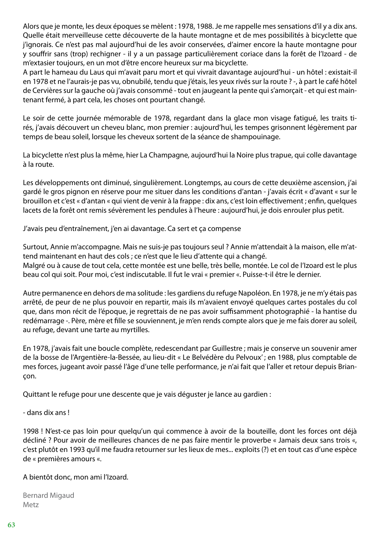Alors que je monte, les deux époques se mèlent : 1978, 1988. Je me rappelle mes sensations d'il y a dix ans. Quelle était merveilleuse cette découverte de la haute montagne et de mes possibilités à bicyclette que j'ignorais. Ce n'est pas mal aujourd'hui de les avoir conservées, d'aimer encore la haute montagne pour y souffrir sans (trop) rechigner - il y a un passage particulièrement coriace dans la forêt de l'Izoard - de m'extasier toujours, en un mot d'être encore heureux sur ma bicyclette.

A part le hameau du Laus qui m'avait paru mort et qui vivrait davantage aujourd'hui - un hôtel : existait-il en 1978 et ne l'aurais-je pas vu, obnubilé, tendu que j'étais, les yeux rivés sur la route ? -, à part le café hôtel de Cervières sur la gauche où j'avais consommé - tout en jaugeant la pente qui s'amorçait - et qui est maintenant fermé, à part cela, les choses ont pourtant changé.

Le soir de cette journée mémorable de 1978, regardant dans la glace mon visage fatigué, les traits tirés, j'avais découvert un cheveu blanc, mon premier : aujourd'hui, les tempes grisonnent légèrement par temps de beau soleil, lorsque les cheveux sortent de la séance de shampouinage.

La bicyclette n'est plus la même, hier La Champagne, aujourd'hui la Noire plus trapue, qui colle davantage à la route.

Les développements ont diminué, singulièrement. Longtemps, au cours de cette deuxième ascension, j'ai gardé le gros pignon en réserve pour me situer dans les conditions d'antan - j'avais écrit « d'avant « sur le brouillon et c'est « d'antan « qui vient de venir à la frappe : dix ans, c'est loin effectivement ; enfin, quelques lacets de la forêt ont remis sévèrement les pendules à l'heure : aujourd'hui, je dois enrouler plus petit.

J'avais peu d'entraînement, j'en ai davantage. Ca sert et ça compense

Surtout, Annie m'accompagne. Mais ne suis-je pas toujours seul ? Annie m'attendait à la maison, elle m'attend maintenant en haut des cols ; ce n'est que le lieu d'attente qui a changé. Malgré ou à cause de tout cela, cette montée est une belle, très belle, montée. Le col de l'Izoard est le plus beau col qui soit. Pour moi, c'est indiscutable. Il fut le vrai « premier «. Puisse-t-il être le dernier.

Autre permanence en dehors de ma solitude : les gardiens du refuge Napoléon. En 1978, je ne m'y étais pas arrêté, de peur de ne plus pouvoir en repartir, mais ils m'avaient envoyé quelques cartes postales du col que, dans mon récit de l'époque, je regrettais de ne pas avoir suffisamment photographié - la hantise du redémarrage -. Père, mère et fille se souviennent, je m'en rends compte alors que je me fais dorer au soleil, au refuge, devant une tarte au myrtilles.

En 1978, j'avais fait une boucle complète, redescendant par Guillestre ; mais je conserve un souvenir amer de la bosse de l'Argentière-la-Bessée, au lieu-dit « Le Belvédère du Pelvoux' ; en 1988, plus comptable de mes forces, jugeant avoir passé l'âge d'une telle performance, je n'ai fait que l'aller et retour depuis Briançon.

Quittant le refuge pour une descente que je vais déguster je lance au gardien :

- dans dix ans !

1998 ! N'est-ce pas loin pour quelqu'un qui commence à avoir de la bouteille, dont les forces ont déjà décliné ? Pour avoir de meilleures chances de ne pas faire mentir le proverbe « Jamais deux sans trois «, c'est plutôt en 1993 qu'il me faudra retourner sur les lieux de mes... exploits (?) et en tout cas d'une espèce de « premières amours «.

A bientôt donc, mon ami l'Izoard.

Bernard Migaud Metz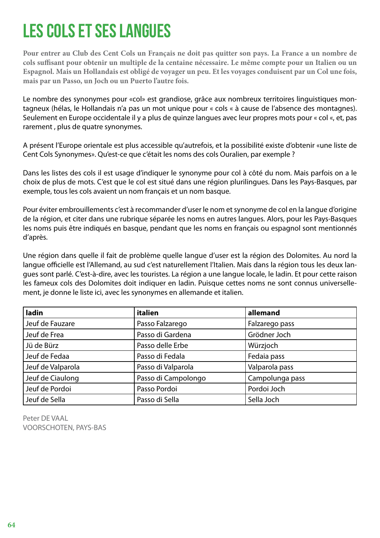### LES COLS ET SES LANGUES

**Pour entrer au Club des Cent Cols un Français ne doit pas quitter son pays. La France a un nombre de cols suffisant pour obtenir un multiple de la centaine nécessaire. Le même compte pour un Italien ou un Espagnol. Mais un Hollandais est obligé de voyager un peu. Et les voyages conduisent par un Col une fois, mais par un Passo, un Joch ou un Puerto l'autre fois.**

Le nombre des synonymes pour «col» est grandiose, grâce aux nombreux territoires linguistiques montagneux (hélas, le Hollandais n'a pas un mot unique pour « cols « à cause de l'absence des montagnes). Seulement en Europe occidentale il y a plus de quinze langues avec leur propres mots pour « col «, et, pas rarement , plus de quatre synonymes.

A présent l'Europe orientale est plus accessible qu'autrefois, et la possibilité existe d'obtenir «une liste de Cent Cols Synonymes». Qu'est-ce que c'était les noms des cols Ouralien, par exemple ?

Dans les listes des cols il est usage d'indiquer le synonyme pour col à côté du nom. Mais parfois on a le choix de plus de mots. C'est que le col est situé dans une région plurilingues. Dans les Pays-Basques, par exemple, tous les cols avaient un nom français et un nom basque.

Pour éviter embrouillements c'est à recommander d'user le nom et synonyme de col en la langue d'origine de la région, et citer dans une rubrique séparée les noms en autres langues. Alors, pour les Pays-Basques les noms puis être indiqués en basque, pendant que les noms en français ou espagnol sont mentionnés d'après.

Une région dans quelle il fait de problème quelle langue d'user est la région des Dolomites. Au nord la langue officielle est l'Allemand, au sud c'est naturellement l'Italien. Mais dans la région tous les deux langues sont parlé. C'est-à-dire, avec les touristes. La région a une langue locale, le ladin. Et pour cette raison les fameux cols des Dolomites doit indiquer en ladin. Puisque cettes noms ne sont connus universellement, je donne le liste ici, avec les synonymes en allemande et italien.

| ladin             | italien             | allemand        |
|-------------------|---------------------|-----------------|
| Jeuf de Fauzare   | Passo Falzarego     | Falzarego pass  |
| Jeuf de Frea      | Passo di Gardena    | Grödner Joch    |
| Jü de Bürz        | Passo delle Erbe    | Würzjoch        |
| Jeuf de Fedaa     | Passo di Fedala     | Fedaia pass     |
| Jeuf de Valparola | Passo di Valparola  | Valparola pass  |
| Jeuf de Ciaulong  | Passo di Campolongo | Campolunga pass |
| Jeuf de Pordoi    | Passo Pordoi        | Pordoi Joch     |
| Jeuf de Sella     | Passo di Sella      | Sella Joch      |

Peter DE VAAL VOORSCHOTEN, PAYS-BAS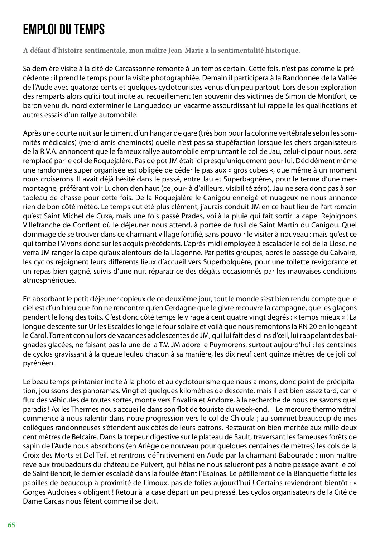### Emploi du temps

**A défaut d'histoire sentimentale, mon maître Jean-Marie a la sentimentalité historique.**

Sa dernière visite à la cité de Carcassonne remonte à un temps certain. Cette fois, n'est pas comme la précédente : il prend le temps pour la visite photographiée. Demain il participera à la Randonnée de la Vallée de l'Aude avec quatorze cents et quelques cyclotouristes venus d'un peu partout. Lors de son exploration des remparts alors qu'ici tout incite au recueillement (en souvenir des victimes de Simon de Montfort, ce baron venu du nord exterminer le Languedoc) un vacarme assourdissant lui rappelle les qualifications et autres essais d'un rallye automobile.

Après une courte nuit sur le ciment d'un hangar de gare (très bon pour la colonne vertébrale selon les sommités médicales) (merci amis cheminots) quelle n'est pas sa stupéfaction lorsque les chers organisateurs de la R.V.A. annoncent que le fameux rallye automobile empruntant le col de Jau, celui-ci pour nous, sera remplacé par le col de Roquejalère. Pas de pot JM était ici presqu'uniquement pour lui. Décidément même une randonnée super organisée est obligée de céder le pas aux « gros cubes «, que même à un moment nous croiserons. Il avait déjà hésité dans le passé, entre Jau et Superbagnères, pour le terme d'une mermontagne, préférant voir Luchon d'en haut (ce jour-là d'ailleurs, visibilité zéro). Jau ne sera donc pas à son tableau de chasse pour cette fois. De la Roquejalère le Canigou enneigé et nuageux ne nous annonce rien de bon côté météo. Le temps eut été plus clément, j'aurais conduit JM en ce haut lieu de l'art romain qu'est Saint Michel de Cuxa, mais une fois passé Prades, voilà la pluie qui fait sortir la cape. Rejoignons Villefranche de Conflent où le déjeuner nous attend, à portée de fusil de Saint Martin du Canigou. Quel dommage de se trouver dans ce charmant village fortifié, sans pouvoir le visiter à nouveau : mais qu'est ce qui tombe ! Vivons donc sur les acquis précédents. L'après-midi employée à escalader le col de la Llose, ne verra JM ranger la cape qu'aux alentours de la Llagonne. Par petits groupes, après le passage du Calvaire, les cyclos rejoignent leurs différents lieux d'accueil vers Superbolquère, pour une toilette revigorante et un repas bien gagné, suivis d'une nuit réparatrice des dégâts occasionnés par les mauvaises conditions atmosphériques.

En absorbant le petit déjeuner copieux de ce deuxième jour, tout le monde s'est bien rendu compte que le ciel est d'un bleu que l'on ne rencontre qu'en Cerdagne que le givre recouvre la campagne, que les glaçons pendent le long des toits. C 'est donc côté temps le virage à cent quatre vingt degrés : « temps mieux « ! La longue descente sur Ur les Escaldes longe le four solaire et voilà que nous remontons la RN 20 en longeant le Carol. Torrent connu lors de vacances adolescentes de JM, qui lui fait des clins d'œil, lui rappelant des baignades glacées, ne faisant pas la une de la T.V. JM adore le Puymorens, surtout aujourd'hui : les centaines de cyclos gravissant à la queue leuleu chacun à sa manière, les dix neuf cent quinze mètres de ce joli col pyrénéen.

Le beau temps printanier incite à la photo et au cyclotourisme que nous aimons, donc point de précipitation, jouissons des panoramas. Vingt et quelques kilomètres de descente, mais il est bien assez tard, car le flux des véhicules de toutes sortes, monte vers Envalira et Andorre, à la recherche de nous ne savons quel paradis ! Ax les Thermes nous accueille dans son flot de touriste du week-end. Le mercure thermométral commence à nous ralentir dans notre progression vers le col de Chioula ; au sommet beaucoup de mes collègues randonneuses s'étendent aux côtés de leurs patrons. Restauration bien méritée aux mille deux cent mètres de Belcaire. Dans la torpeur digestive sur le plateau de Sault, traversant les fameuses forêts de sapin de l'Aude nous absorbons (en Ariège de nouveau pour quelques centaines de mètres) les cols de la Croix des Morts et Del Teil, et rentrons définitivement en Aude par la charmant Babourade ; mon maître rêve aux troubadours du château de Puivert, qui hélas ne nous salueront pas à notre passage avant le col de Saint Benoît, le dernier escaladé dans la foulée étant l'Espinas. Le pétillement de la Blanquette flatte les papilles de beaucoup à proximité de Limoux, pas de folies aujourd'hui ! Certains reviendront bientôt : « Gorges Audoises « obligent ! Retour à la case départ un peu pressé. Les cyclos organisateurs de la Cité de Dame Carcas nous fêtent comme il se doit.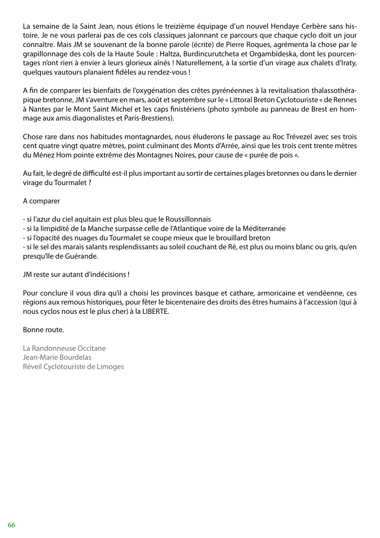La semaine de la Saint Jean, nous étions le treizième équipage d'un nouvel Hendaye Cerbère sans histoire. Je ne vous parlerai pas de ces cols classiques jalonnant ce parcours que chaque cyclo doit un jour connaître. Mais JM se souvenant de la bonne parole (écrite) de Pierre Roques, agrémenta la chose par le grapillonnage des cols de la Haute Soule : Haltza, Burdincurutcheta et Orgambideska, dont les pourcentages n'ont rien à envier à leurs glorieux aînés ! Naturellement, à la sortie d'un virage aux chalets d'Iraty, quelques vautours planaient fidèles au rendez-vous !

A fin de comparer les bienfaits de l'oxygénation des crêtes pyrénéennes à la revitalisation thalassothérapique bretonne, JM s'aventure en mars, août et septembre sur le « Littoral Breton Cyclotouriste « de Rennes à Nantes par le Mont Saint Michel et les caps finistériens (photo symbole au panneau de Brest en hommage aux amis diagonalistes et Paris-Brestiens).

Chose rare dans nos habitudes montagnardes, nous éluderons le passage au Roc Trévezel avec ses trois cent quatre vingt quatre mètres, point culminant des Monts d'Arrée, ainsi que les trois cent trente mètres du Ménez Hom pointe extrême des Montagnes Noires, pour cause de « purée de pois «.

Au fait, le degré de difficulté est-il plus important au sortir de certaines plages bretonnes ou dans le dernier virage du Tourmalet ?

### A comparer

- si l'azur du ciel aquitain est plus bleu que le Roussillonnais

- si la limpidité de la Manche surpasse celle de l'Atlantique voire de la Méditerranée

- si l'opacité des nuages du Tourmalet se coupe mieux que le brouillard breton

- si le sel des marais salants resplendissants au soleil couchant de Ré, est plus ou moins blanc ou gris, qu'en presqu'île de Guérande.

JM reste sur autant d'indécisions !

Pour conclure il vous dira qu'il a choisi les provinces basque et cathare, armoricaine et vendéenne, ces régions aux remous historiques, pour fêter le bicentenaire des droits des êtres humains à l'accession (qui à nous cyclos nous est le plus cher) à la LIBERTE.

#### Bonne route.

La Randonneuse Occitane Jean-Marie Bourdelas Réveil Cyclotouriste de Limoges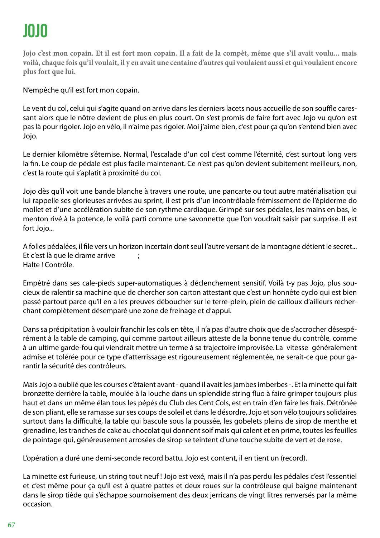# JOJO

**Jojo c'est mon copain. Et il est fort mon copain. Il a fait de la compèt, même que s'il avait voulu... mais voilà, chaque fois qu'il voulait, il y en avait une centaine d'autres qui voulaient aussi et qui voulaient encore plus fort que lui.**

N'empêche qu'il est fort mon copain.

Le vent du col, celui qui s'agite quand on arrive dans les derniers lacets nous accueille de son souffle caressant alors que le nôtre devient de plus en plus court. On s'est promis de faire fort avec Jojo vu qu'on est pas là pour rigoler. Jojo en vélo, il n'aime pas rigoler. Moi j'aime bien, c'est pour ça qu'on s'entend bien avec Jojo.

Le dernier kilomètre s'éternise. Normal, l'escalade d'un col c'est comme l'éternité, c'est surtout long vers la fin. Le coup de pédale est plus facile maintenant. Ce n'est pas qu'on devient subitement meilleurs, non, c'est la route qui s'aplatit à proximité du col.

Jojo dès qu'il voit une bande blanche à travers une route, une pancarte ou tout autre matérialisation qui lui rappelle ses glorieuses arrivées au sprint, il est pris d'un incontrôlable frémissement de l'épiderme do mollet et d'une accélération subite de son rythme cardiaque. Grimpé sur ses pédales, les mains en bas, le menton rivé à la potence, le voilà parti comme une savonnette que l'on voudrait saisir par surprise. Il est fort Jojo...

A folles pédalées, il file vers un horizon incertain dont seul l'autre versant de la montagne détient le secret... Et c'est là que le drame arrive ; Halte ! Contrôle.

Empêtré dans ses cale-pieds super-automatiques à déclenchement sensitif. Voilà t-y pas Jojo, plus soucieux de ralentir sa machine que de chercher son carton attestant que c'est un honnête cyclo qui est bien passé partout parce qu'il en a les preuves déboucher sur le terre-plein, plein de cailloux d'ailleurs recherchant complètement désemparé une zone de freinage et d'appui.

Dans sa précipitation à vouloir franchir les cols en tête, il n'a pas d'autre choix que de s'accrocher désespérément à la table de camping, qui comme partout ailleurs atteste de la bonne tenue du contrôle, comme à un ultime garde-fou qui viendrait mettre un terme à sa trajectoire improvisée. La vitesse généralement admise et tolérée pour ce type d'atterrissage est rigoureusement réglementée, ne serait-ce que pour garantir la sécurité des contrôleurs.

Mais Jojo a oublié que les courses c'étaient avant - quand il avait les jambes imberbes -. Et la minette qui fait bronzette derrière la table, moulée à la louche dans un splendide string fluo à faire grimper toujours plus haut et dans un même élan tous les pépés du Club des Cent Cols, est en train d'en faire les frais. Détrônée de son pliant, elle se ramasse sur ses coups de soleil et dans le désordre, Jojo et son vélo toujours solidaires surtout dans la difficulté, la table qui bascule sous la poussée, les gobelets pleins de sirop de menthe et grenadine, les tranches de cake au chocolat qui donnent soif mais qui calent et en prime, toutes les feuilles de pointage qui, généreusement arrosées de sirop se teintent d'une touche subite de vert et de rose.

L'opération a duré une demi-seconde record battu. Jojo est content, il en tient un (record).

La minette est furieuse, un string tout neuf ! Jojo est vexé, mais il n'a pas perdu les pédales c'est l'essentiel et c'est même pour ça qu'il est à quatre pattes et deux roues sur la contrôleuse qui baigne maintenant dans le sirop tiède qui s'échappe sournoisement des deux jerricans de vingt litres renversés par la même occasion.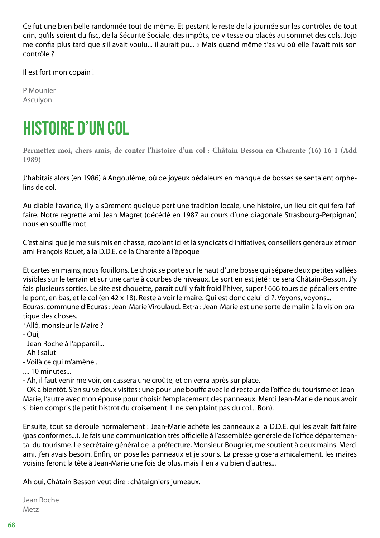Ce fut une bien belle randonnée tout de même. Et pestant le reste de la journée sur les contrôles de tout crin, qu'ils soient du fisc, de la Sécurité Sociale, des impôts, de vitesse ou placés au sommet des cols. Jojo me confia plus tard que s'il avait voulu... il aurait pu... « Mais quand même t'as vu où elle l'avait mis son contrôle ?

Il est fort mon copain !

P Mounier Asculyon

### HISTOIRE D'UN COL

**Permettez-moi, chers amis, de conter l'histoire d'un col : Châtain-Besson en Charente (16) 16-1 (Add 1989)**

J'habitais alors (en 1986) à Angoulême, où de joyeux pédaleurs en manque de bosses se sentaient orphelins de col.

Au diable l'avarice, il y a sûrement quelque part une tradition locale, une histoire, un lieu-dit qui fera l'affaire. Notre regretté ami Jean Magret (décédé en 1987 au cours d'une diagonale Strasbourg-Perpignan) nous en souffle mot.

C'est ainsi que je me suis mis en chasse, racolant ici et là syndicats d'initiatives, conseillers généraux et mon ami François Rouet, à la D.D.E. de la Charente à l'époque

Et cartes en mains, nous fouillons. Le choix se porte sur le haut d'une bosse qui sépare deux petites vallées visibles sur le terrain et sur une carte à courbes de niveaux. Le sort en est jeté : ce sera Châtain-Besson. J'y fais plusieurs sorties. Le site est chouette, paraît qu'il y fait froid l'hiver, super ! 666 tours de pédaliers entre le pont, en bas, et le col (en 42 x 18). Reste à voir le maire. Qui est donc celui-ci ?. Voyons, voyons... Ecuras, commune d'Ecuras : Jean-Marie Viroulaud. Extra : Jean-Marie est une sorte de malin à la vision pratique des choses.

\*Allô, monsieur le Maire ?

- Oui,
- Jean Roche à l'appareil...
- Ah ! salut
- Voilà ce qui m'amène...
- .... 10 minutes...

- Ah, il faut venir me voir, on cassera une croûte, et on verra après sur place.

- OK à bientôt. S'en suive deux visites : une pour une bouffe avec le directeur de l'office du tourisme et Jean-Marie, l'autre avec mon épouse pour choisir l'emplacement des panneaux. Merci Jean-Marie de nous avoir si bien compris (le petit bistrot du croisement. Il ne s'en plaint pas du col... Bon).

Ensuite, tout se déroule normalement : Jean-Marie achète les panneaux à la D.D.E. qui les avait fait faire (pas conformes...). Je fais une communication très officielle à l'assemblée générale de l'office départemental du tourisme. Le secrétaire général de la préfecture, Monsieur Bougrier, me soutient à deux mains. Merci ami, j'en avais besoin. Enfin, on pose les panneaux et je souris. La presse glosera amicalement, les maires voisins feront la tête à Jean-Marie une fois de plus, mais il en a vu bien d'autres...

Ah oui, Châtain Besson veut dire : châtaigniers jumeaux.

Jean Roche Metz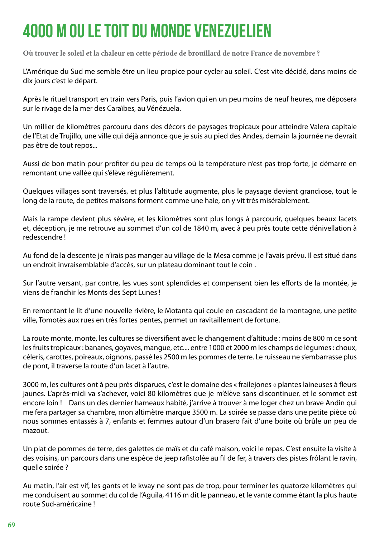# 4000 M OU LE TOIT DU MONDE VENEZUELIEN

**Où trouver le soleil et la chaleur en cette période de brouillard de notre France de novembre ?**

L'Amérique du Sud me semble être un lieu propice pour cycler au soleil. C'est vite décidé, dans moins de dix jours c'est le départ.

Après le rituel transport en train vers Paris, puis l'avion qui en un peu moins de neuf heures, me déposera sur le rivage de la mer des Caraïbes, au Vénézuela.

Un millier de kilomètres parcouru dans des décors de paysages tropicaux pour atteindre Valera capitale de l'Etat de Trujillo, une ville qui déjà annonce que je suis au pied des Andes, demain la journée ne devrait pas être de tout repos...

Aussi de bon matin pour profiter du peu de temps où la température n'est pas trop forte, je démarre en remontant une vallée qui s'élève régulièrement.

Quelques villages sont traversés, et plus l'altitude augmente, plus le paysage devient grandiose, tout le long de la route, de petites maisons forment comme une haie, on y vit très misérablement.

Mais la rampe devient plus sévère, et les kilomètres sont plus longs à parcourir, quelques beaux lacets et, déception, je me retrouve au sommet d'un col de 1840 m, avec à peu près toute cette dénivellation à redescendre !

Au fond de la descente je n'irais pas manger au village de la Mesa comme je l'avais prévu. Il est situé dans un endroit invraisemblable d'accès, sur un plateau dominant tout le coin .

Sur l'autre versant, par contre, les vues sont splendides et compensent bien les efforts de la montée, je viens de franchir les Monts des Sept Lunes !

En remontant le lit d'une nouvelle rivière, le Motanta qui coule en cascadant de la montagne, une petite ville, Tomotès aux rues en très fortes pentes, permet un ravitaillement de fortune.

La route monte, monte, les cultures se diversifient avec le changement d'altitude : moins de 800 m ce sont les fruits tropicaux : bananes, goyaves, mangue, etc.... entre 1000 et 2000 m les champs de légumes : choux, céleris, carottes, poireaux, oignons, passé les 2500 m les pommes de terre. Le ruisseau ne s'embarrasse plus de pont, il traverse la route d'un lacet à l'autre.

3000 m, les cultures ont à peu près disparues, c'est le domaine des « frailejones « plantes laineuses à fleurs jaunes. L'après-midi va s'achever, voici 80 kilomètres que je m'élève sans discontinuer, et le sommet est encore loin ! Dans un des dernier hameaux habité, j'arrive à trouver à me loger chez un brave Andin qui me fera partager sa chambre, mon altimètre marque 3500 m. La soirée se passe dans une petite pièce où nous sommes entassés à 7, enfants et femmes autour d'un brasero fait d'une boite où brûle un peu de mazout.

Un plat de pommes de terre, des galettes de maïs et du café maison, voici le repas. C'est ensuite la visite à des voisins, un parcours dans une espèce de jeep rafistolée au fil de fer, à travers des pistes frôlant le ravin, quelle soirée ?

Au matin, l'air est vif, les gants et le kway ne sont pas de trop, pour terminer les quatorze kilomètres qui me conduisent au sommet du col de l'Aguila, 4116 m dit le panneau, et le vante comme étant la plus haute route Sud-américaine !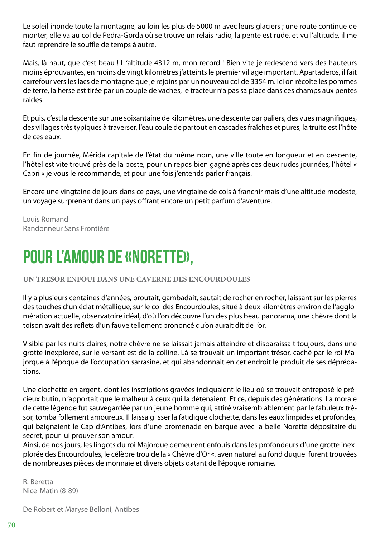Le soleil inonde toute la montagne, au loin les plus de 5000 m avec leurs glaciers ; une route continue de monter, elle va au col de Pedra-Gorda où se trouve un relais radio, la pente est rude, et vu l'altitude, il me faut reprendre le souffle de temps à autre.

Mais, là-haut, que c'est beau ! L 'altitude 4312 m, mon record ! Bien vite je redescend vers des hauteurs moins éprouvantes, en moins de vingt kilomètres j'atteints le premier village important, Apartaderos, il fait carrefour vers les lacs de montagne que je rejoins par un nouveau col de 3354 m. Ici on récolte les pommes de terre, la herse est tirée par un couple de vaches, le tracteur n'a pas sa place dans ces champs aux pentes raides.

Et puis, c'est la descente sur une soixantaine de kilomètres, une descente par paliers, des vues magnifiques, des villages très typiques à traverser, l'eau coule de partout en cascades fraîches et pures, la truite est l'hôte de ces eaux.

En fin de journée, Mérida capitale de l'état du même nom, une ville toute en longueur et en descente, l'hôtel est vite trouvé près de la poste, pour un repos bien gagné après ces deux rudes journées, l'hôtel « Capri « je vous le recommande, et pour une fois j'entends parler français.

Encore une vingtaine de jours dans ce pays, une vingtaine de cols à franchir mais d'une altitude modeste, un voyage surprenant dans un pays offrant encore un petit parfum d'aventure.

Louis Romand Randonneur Sans Frontière

### POUR L'AMOUR DE «NORETTE»,

#### **UN TRESOR ENFOUI DANS UNE CAVERNE DES ENCOURDOULES**

Il y a plusieurs centaines d'années, broutait, gambadait, sautait de rocher en rocher, laissant sur les pierres des touches d'un éclat métallique, sur le col des Encourdoules, situé à deux kilomètres environ de l'agglomération actuelle, observatoire idéal, d'où l'on découvre l'un des plus beau panorama, une chèvre dont la toison avait des reflets d'un fauve tellement prononcé qu'on aurait dit de l'or.

Visible par les nuits claires, notre chèvre ne se laissait jamais atteindre et disparaissait toujours, dans une grotte inexplorée, sur le versant est de la colline. Là se trouvait un important trésor, caché par le roi Majorque à l'époque de l'occupation sarrasine, et qui abandonnait en cet endroit le produit de ses déprédations.

Une clochette en argent, dont les inscriptions gravées indiquaient le lieu où se trouvait entreposé le précieux butin, n 'apportait que le malheur à ceux qui la détenaient. Et ce, depuis des générations. La morale de cette légende fut sauvegardée par un jeune homme qui, attiré vraisemblablement par le fabuleux trésor, tomba follement amoureux. Il laissa glisser la fatidique clochette, dans les eaux limpides et profondes, qui baignaient le Cap d'Antibes, lors d'une promenade en barque avec la belle Norette dépositaire du secret, pour lui prouver son amour.

Ainsi, de nos jours, les lingots du roi Majorque demeurent enfouis dans les profondeurs d'une grotte inexplorée des Encourdoules, le célèbre trou de la « Chèvre d'Or «, aven naturel au fond duquel furent trouvées de nombreuses pièces de monnaie et divers objets datant de l'époque romaine.

R. Beretta Nice-Matin (8-89)

De Robert et Maryse Belloni, Antibes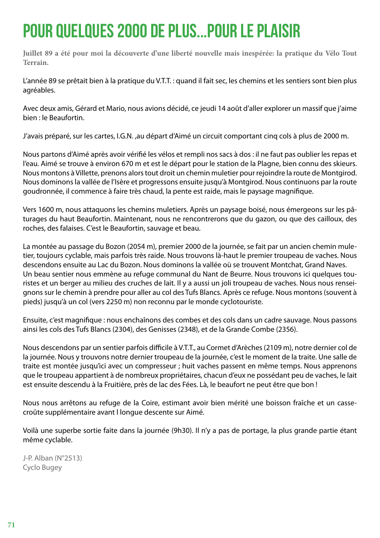### POUR QUELQUES 2000 DE PLUS...POUR LE PLAISIR

**Juillet 89 a été pour moi la découverte d'une liberté nouvelle mais inespérée: la pratique du Vélo Tout Terrain.**

L'année 89 se prêtait bien à la pratique du V.T.T. : quand il fait sec, les chemins et les sentiers sont bien plus agréables.

Avec deux amis, Gérard et Mario, nous avions décidé, ce jeudi 14 août d'aller explorer un massif que j'aime bien : le Beaufortin.

J'avais préparé, sur les cartes, I.G.N. ,au départ d'Aimé un circuit comportant cinq cols à plus de 2000 m.

Nous partons d'Aimé après avoir vérifié les vélos et rempli nos sacs à dos : il ne faut pas oublier les repas et l'eau. Aimé se trouve à environ 670 m et est le départ pour le station de la Plagne, bien connu des skieurs. Nous montons à Villette, prenons alors tout droit un chemin muletier pour rejoindre la route de Montgirod. Nous dominons la vallée de l'Isère et progressons ensuite jusqu'à Montgirod. Nous continuons par la route goudronnée, il commence à faire très chaud, la pente est raide, mais le paysage magnifique.

Vers 1600 m, nous attaquons les chemins muletiers. Après un paysage boisé, nous émergeons sur les pâturages du haut Beaufortin. Maintenant, nous ne rencontrerons que du gazon, ou que des cailloux, des roches, des falaises. C'est le Beaufortin, sauvage et beau.

La montée au passage du Bozon (2054 m), premier 2000 de la journée, se fait par un ancien chemin muletier, toujours cyclable, mais parfois très raide. Nous trouvons là-haut le premier troupeau de vaches. Nous descendons ensuite au Lac du Bozon. Nous dominons la vallée où se trouvent Montchat, Grand Naves. Un beau sentier nous emmène au refuge communal du Nant de Beurre. Nous trouvons ici quelques touristes et un berger au milieu des cruches de lait. Il y a aussi un joli troupeau de vaches. Nous nous renseignons sur le chemin à prendre pour aller au col des Tufs Blancs. Après ce refuge. Nous montons (souvent à pieds) jusqu'à un col (vers 2250 m) non reconnu par le monde cyclotouriste.

Ensuite, c'est magnifique : nous enchaînons des combes et des cols dans un cadre sauvage. Nous passons ainsi les cols des Tufs Blancs (2304), des Genisses (2348), et de la Grande Combe (2356).

Nous descendons par un sentier parfois difficile à V.T.T., au Cormet d'Arèches (2109 m), notre dernier col de la journée. Nous y trouvons notre dernier troupeau de la journée, c'est le moment de la traite. Une salle de traite est montée jusqu'ici avec un compresseur ; huit vaches passent en même temps. Nous apprenons que le troupeau appartient à de nombreux propriétaires, chacun d'eux ne possédant peu de vaches, le lait est ensuite descendu à la Fruitière, près de lac des Fées. Là, le beaufort ne peut être que bon !

Nous nous arrêtons au refuge de la Coire, estimant avoir bien mérité une boisson fraîche et un cassecroûte supplémentaire avant l longue descente sur Aimé.

Voilà une superbe sortie faite dans la journée (9h30). Il n'y a pas de portage, la plus grande partie étant même cyclable.

J-P. Alban (N°2513) Cyclo Bugey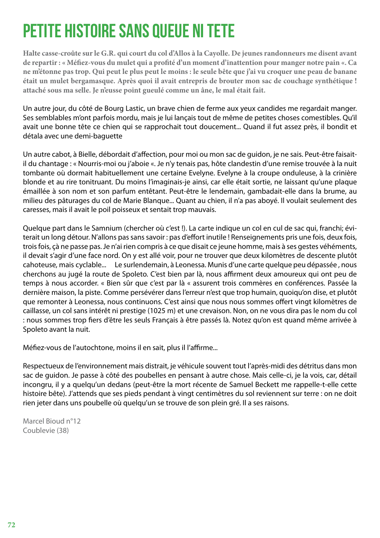# PETITE HISTOIRE SANS QUEUE NI TETE

**Halte casse-croûte sur le G.R. qui court du col d'Allos à la Cayolle. De jeunes randonneurs me disent avant de repartir : « Méfiez-vous du mulet qui a profité d'un moment d'inattention pour manger notre pain «. Ca ne m'étonne pas trop. Qui peut le plus peut le moins : le seule bête que j'ai vu croquer une peau de banane était un mulet bergamasque. Après quoi il avait entrepris de brouter mon sac de couchage synthétique ! attaché sous ma selle. Je n'eusse point gueulé comme un âne, le mal était fait.**

Un autre jour, du côté de Bourg Lastic, un brave chien de ferme aux yeux candides me regardait manger. Ses semblables m'ont parfois mordu, mais je lui lançais tout de même de petites choses comestibles. Qu'il avait une bonne tête ce chien qui se rapprochait tout doucement... Quand il fut assez près, il bondit et détala avec une demi-baguette

Un autre cabot, à Bielle, débordait d'affection, pour moi ou mon sac de guidon, je ne sais. Peut-être faisaitil du chantage : « Nourris-moi ou j'aboie «. Je n'y tenais pas, hôte clandestin d'une remise trouvée à la nuit tombante où dormait habituellement une certaine Evelyne. Evelyne à la croupe onduleuse, à la crinière blonde et au rire tonitruant. Du moins l'imaginais-je ainsi, car elle était sortie, ne laissant qu'une plaque émaillée à son nom et son parfum entêtant. Peut-être le lendemain, gambadait-elle dans la brume, au milieu des pâturages du col de Marie Blanque... Quant au chien, il n'a pas aboyé. Il voulait seulement des caresses, mais il avait le poil poisseux et sentait trop mauvais.

Quelque part dans le Samnium (chercher où c'est !). La carte indique un col en cul de sac qui, franchi; éviterait un long détour. N'allons pas sans savoir : pas d'effort inutile ! Renseignements pris une fois, deux fois, trois fois, çà ne passe pas. Je n'ai rien compris à ce que disait ce jeune homme, mais à ses gestes véhéments, il devait s'agir d'une face nord. On y est allé voir, pour ne trouver que deux kilomètres de descente plutôt cahoteuse, mais cyclable... Le surlendemain, à Leonessa. Munis d'une carte quelque peu dépassée , nous cherchons au jugé la route de Spoleto. C'est bien par là, nous affirment deux amoureux qui ont peu de temps à nous accorder. « Bien sûr que c'est par là « assurent trois commères en conférences. Passée la dernière maison, la piste. Comme persévérer dans l'erreur n'est que trop humain, quoiqu'on dise, et plutôt que remonter à Leonessa, nous continuons. C'est ainsi que nous nous sommes offert vingt kilomètres de caillasse, un col sans intérêt ni prestige (1025 m) et une crevaison. Non, on ne vous dira pas le nom du col : nous sommes trop fiers d'être les seuls Français à être passés là. Notez qu'on est quand même arrivée à Spoleto avant la nuit.

Méfiez-vous de l'autochtone, moins il en sait, plus il l'affirme...

Respectueux de l'environnement mais distrait, je véhicule souvent tout l'après-midi des détritus dans mon sac de guidon. Je passe à côté des poubelles en pensant à autre chose. Mais celle-ci, je la vois, car, détail incongru, il y a quelqu'un dedans (peut-être la mort récente de Samuel Beckett me rappelle-t-elle cette histoire bête). J'attends que ses pieds pendant à vingt centimètres du sol reviennent sur terre : on ne doit rien jeter dans uns poubelle où quelqu'un se trouve de son plein gré. Il a ses raisons.

Marcel Bioud n°12 Coublevie (38)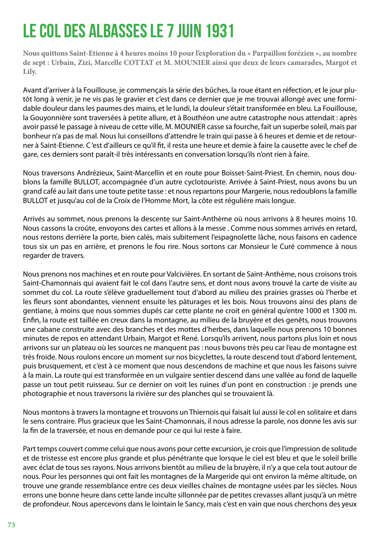## LE COL DES ALBASSES LE 7 JUIN 1931

**Nous quittons Saint-Etienne à 4 heures moins 10 pour l'exploration du « Parpaillon forézien «, au nombre de sept : Urbain, Zizi, Marcelle COTTAT et M. MOUNIER ainsi que deux de leurs camarades, Margot et Lily.**

Avant d'arriver à la Fouillouse, je commençais la série des bûches, la roue étant en réfection, et le jour plutôt long à venir, je ne vis pas le gravier et c'est dans ce dernier que je me trouvai allongé avec une formidable douleur dans les paumes des mains, et le lundi, la douleur s'était transformée en bleu. La Fouillouse, la Gouyonnière sont traversées à petite allure, et à Bouthéon une autre catastrophe nous attendait : après avoir passé le passage à niveau de cette ville, M. MOUNIER casse sa fourche, fait un superbe soleil, mais par bonheur n'a pas de mal. Nous lui conseillons d'attendre le train qui passe à 6 heures et demie et de retourner à Saint-Etienne. C 'est d'ailleurs ce qu'il fit, il resta une heure et demie à faire la causette avec le chef de gare, ces derniers sont paraît-il très intéressants en conversation lorsqu'ils n'ont rien à faire.

Nous traversons Andrézieux, Saint-Marcellin et en route pour Boisset-Saint-Priest. En chemin, nous doublons la famille BULLOT, accompagnée d'un autre cyclotouriste. Arrivée à Saint-Priest, nous avons bu un grand café au lait dans une toute petite tasse : et nous repartons pour Margerie, nous redoublons la famille BULLOT et jusqu'au col de la Croix de l'Homme Mort, la côte est régulière mais longue.

Arrivés au sommet, nous prenons la descente sur Saint-Anthème où nous arrivons à 8 heures moins 10. Nous cassons la croûte, envoyons des cartes et allons à la messe . Comme nous sommes arrivés en retard, nous restons derrière la porte, bien calés, mais subitement l'espagnolette lâche, nous faisons en cadence tous six un pas en arrière, et prenons le fou rire. Nous sortons car Monsieur le Curé commence à nous regarder de travers.

Nous prenons nos machines et en route pour Valcivières. En sortant de Saint-Anthème, nous croisons trois Saint-Chamonnais qui avaient fait le col dans l'autre sens, et dont nous avons trouvé la carte de visite au sommet du col. La route s'élève graduellement tout d'abord au milieu des prairies grasses où l'herbe et les fleurs sont abondantes, viennent ensuite les pâturages et les bois. Nous trouvons ainsi des plans de gentiane, à moins que nous sommes dupés car cette plante ne croit en général qu'entre 1000 et 1300 m. Enfin, la route est taillée en creux dans la montagne, au milieu de la bruyère et des genêts, nous trouvons une cabane construite avec des branches et des mottes d'herbes, dans laquelle nous prenons 10 bonnes minutes de repos en attendant Urbain, Margot et René. Lorsqu'ils arrivent, nous partons plus loin et nous arrivons sur un plateau où les sources ne manquent pas : nous buvons très peu car l'eau de montagne est très froide. Nous roulons encore un moment sur nos bicyclettes, la route descend tout d'abord lentement, puis brusquement, et c'est à ce moment que nous descendons de machine et que nous les faisons suivre à la main. La route qui est transformée en un vulgaire sentier descend dans une vallée au fond de laquelle passe un tout petit ruisseau. Sur ce dernier on voit les ruines d'un pont en construction : je prends une photographie et nous traversons la rivière sur des planches qui se trouvaient là.

Nous montons à travers la montagne et trouvons un Thiernois qui faisait lui aussi le col en solitaire et dans le sens contraire. Plus gracieux que les Saint-Chamonnais, il nous adresse la parole, nos donne les avis sur la fin de la traversée, et nous en demande pour ce qui lui reste à faire.

Part temps couvert comme celui que nous avons pour cette excursion, je crois que l'impression de solitude et de tristesse est encore plus grande et plus pénétrante que lorsque le ciel est bleu et que le soleil brille avec éclat de tous ses rayons. Nous arrivons bientôt au milieu de la bruyère, il n'y a que cela tout autour de nous. Pour les personnes qui ont fait les montagnes de la Margeride qui ont environ la même altitude, on trouve une grande ressemblance entre ces deux vieilles chaînes de montagne usées par les siècles. Nous errons une bonne heure dans cette lande inculte sillonnée par de petites crevasses allant jusqu'à un mètre de profondeur. Nous apercevons dans le lointain le Sancy, mais c'est en vain que nous cherchons des yeux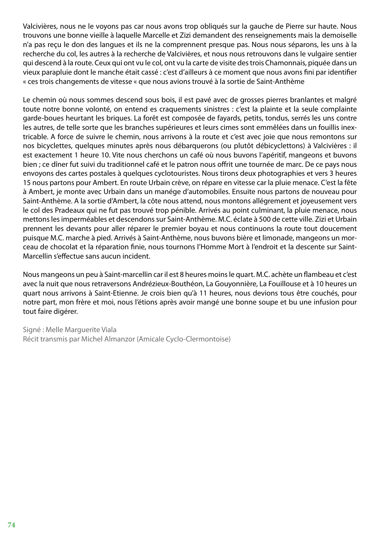Valcivières, nous ne le voyons pas car nous avons trop obliqués sur la gauche de Pierre sur haute. Nous trouvons une bonne vieille à laquelle Marcelle et Zizi demandent des renseignements mais la demoiselle n'a pas reçu le don des langues et ils ne la comprennent presque pas. Nous nous séparons, les uns à la recherche du col, les autres à la recherche de Valcivières, et nous nous retrouvons dans le vulgaire sentier qui descend à la route. Ceux qui ont vu le col, ont vu la carte de visite des trois Chamonnais, piquée dans un vieux parapluie dont le manche était cassé : c'est d'ailleurs à ce moment que nous avons fini par identifier « ces trois changements de vitesse « que nous avions trouvé à la sortie de Saint-Anthème

Le chemin où nous sommes descend sous bois, il est pavé avec de grosses pierres branlantes et malgré toute notre bonne volonté, on entend es craquements sinistres : c'est la plainte et la seule complainte garde-boues heurtant les briques. La forêt est composée de fayards, petits, tondus, serrés les uns contre les autres, de telle sorte que les branches supérieures et leurs cimes sont emmêlées dans un fouillis inextricable. A force de suivre le chemin, nous arrivons à la route et c'est avec joie que nous remontons sur nos bicyclettes, quelques minutes après nous débarquerons (ou plutôt débicyclettons) à Valcivières : il est exactement 1 heure 10. Vite nous cherchons un café où nous buvons l'apéritif, mangeons et buvons bien ; ce dîner fut suivi du traditionnel café et le patron nous offrit une tournée de marc. De ce pays nous envoyons des cartes postales à quelques cyclotouristes. Nous tirons deux photographies et vers 3 heures 15 nous partons pour Ambert. En route Urbain crève, on répare en vitesse car la pluie menace. C'est la fête à Ambert, je monte avec Urbain dans un manége d'automobiles. Ensuite nous partons de nouveau pour Saint-Anthème. A la sortie d'Ambert, la côte nous attend, nous montons allégrement et joyeusement vers le col des Pradeaux qui ne fut pas trouvé trop pénible. Arrivés au point culminant, la pluie menace, nous mettons les imperméables et descendons sur Saint-Anthème. M.C. éclate à 500 de cette ville. Zizi et Urbain prennent les devants pour aller réparer le premier boyau et nous continuons la route tout doucement puisque M.C. marche à pied. Arrivés à Saint-Anthème, nous buvons bière et limonade, mangeons un morceau de chocolat et la réparation finie, nous tournons l'Homme Mort à l'endroit et la descente sur Saint-Marcellin s'effectue sans aucun incident.

Nous mangeons un peu à Saint-marcellin car il est 8 heures moins le quart. M.C. achète un flambeau et c'est avec la nuit que nous retraversons Andrézieux-Bouthéon, La Gouyonnière, La Fouillouse et à 10 heures un quart nous arrivons à Saint-Etienne. Je crois bien qu'à 11 heures, nous devions tous être couchés, pour notre part, mon frère et moi, nous l'étions après avoir mangé une bonne soupe et bu une infusion pour tout faire digérer.

Signé : Melle Marguerite Viala Récit transmis par Michel Almanzor (Amicale Cyclo-Clermontoise)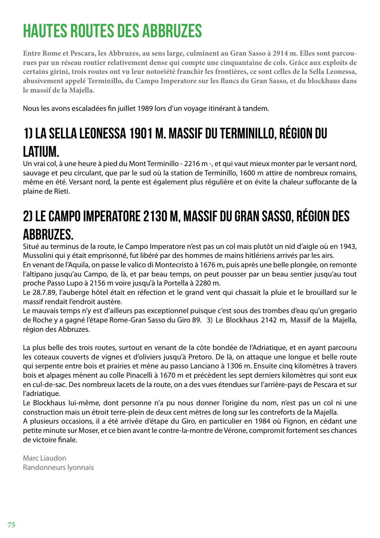# HAUTES ROUTES DES ABBRUZES

**Entre Rome et Pescara, les Abbruzes, au sens large, culminent au Gran Sasso à 2914 m. Elles sont parcourues par un réseau routier relativement dense qui compte une cinquantaine de cols. Grâce aux exploits de certains girini, trois routes ont vu leur notoriété franchir les frontières, ce sont celles de la Sella Leonessa, abusivement appelé Terminillo, du Campo Imperatore sur les flancs du Gran Sasso, et du blockhaus dans le massif de la Majella.**

Nous les avons escaladées fin juillet 1989 lors d'un voyage itinérant à tandem.

### 1) La sella Leonessa 1901 m. Massif du Terminillo, région du Latium.

Un vrai col, à une heure à pied du Mont Terminillo - 2216 m -, et qui vaut mieux monter par le versant nord, sauvage et peu circulant, que par le sud où la station de Terminillo, 1600 m attire de nombreux romains, même en été. Versant nord, la pente est également plus régulière et on évite la chaleur suffocante de la plaine de Rieti.

#### 2) Le Campo Imperatore 2130 m, Massif du Gran Sasso, région des **ABBRUZES.**

Situé au terminus de la route, le Campo Imperatore n'est pas un col mais plutôt un nid d'aigle où en 1943, Mussolini qui y était emprisonné, fut libéré par des hommes de mains hitlériens arrivés par les airs.

En venant de l'Aquila, on passe le valico di Montecristo à 1676 m, puis après une belle plongée, on remonte l'altipano jusqu'au Campo, de là, et par beau temps, on peut pousser par un beau sentier jusqu'au tout proche Passo Lupo à 2156 m voire jusqu'à la Portella à 2280 m.

Le 28.7.89, l'auberge hôtel était en réfection et le grand vent qui chassait la pluie et le brouillard sur le massif rendait l'endroit austère.

Le mauvais temps n'y est d'ailleurs pas exceptionnel puisque c'est sous des trombes d'eau qu'un gregario de Roche y a gagné l'étape Rome-Gran Sasso du Giro 89. 3) Le Blockhaus 2142 m, Massif de la Majella, région des Abbruzes.

La plus belle des trois routes, surtout en venant de la côte bondée de l'Adriatique, et en ayant parcouru les coteaux couverts de vignes et d'oliviers jusqu'à Pretoro. De là, on attaque une longue et belle route qui serpente entre bois et prairies et mène au passo Lanciano à 1306 m. Ensuite cinq kilomètres à travers bois et alpages mènent au colle Pinacelli à 1670 m et précèdent les sept derniers kilomètres qui sont eux en cul-de-sac. Des nombreux lacets de la route, on a des vues étendues sur l'arrière-pays de Pescara et sur l'adriatique.

Le Blockhaus lui-même, dont personne n'a pu nous donner l'origine du nom, n'est pas un col ni une construction mais un étroit terre-plein de deux cent mètres de long sur les contreforts de la Majella.

A plusieurs occasions, il a été arrivée d'étape du Giro, en particulier en 1984 où Fignon, en cédant une petite minute sur Moser, et ce bien avant le contre-la-montre de Vérone, compromit fortement ses chances de victoire finale.

Marc Liaudon Randonneurs lyonnais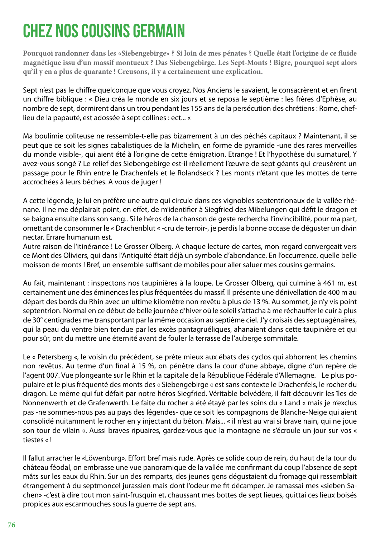## CHEZ NOS COUSINS GERMAIN

**Pourquoi randonner dans les «Siebengebirge» ? Si loin de mes pénates ? Quelle était l'origine de ce fluide magnétique issu d'un massif montueux ? Das Siebengebirge. Les Sept-Monts ! Bigre, pourquoi sept alors qu'il y en a plus de quarante ! Creusons, il y a certainement une explication.**

Sept n'est pas le chiffre quelconque que vous croyez. Nos Anciens le savaient, le consacrèrent et en firent un chiffre biblique : « Dieu créa le monde en six jours et se reposa le septième : les frères d'Ephèse, au nombre de sept, dormirent dans un trou pendant les 155 ans de la persécution des chrétiens : Rome, cheflieu de la papauté, est adossée à sept collines : ect... «

Ma boulimie coliteuse ne ressemble-t-elle pas bizarrement à un des péchés capitaux ? Maintenant, il se peut que ce soit les signes cabalistiques de la Michelin, en forme de pyramide -une des rares merveilles du monde visible-, qui aient été à l'origine de cette émigration. Etrange ! Et l'hypothèse du surnaturel, Y avez-vous songé ? Le relief des Siebengebirge est-il réellement l'œuvre de sept géants qui creusèrent un passage pour le Rhin entre le Drachenfels et le Rolandseck ? Les monts n'étant que les mottes de terre accrochées à leurs bêches. A vous de juger !

A cette légende, je lui en préfère une autre qui circule dans ces vignobles septentrionaux de la vallée rhénane. Il ne me déplairait point, en effet, de m'identifier à Siegfried des Mibelungen qui défit le dragon et se baigna ensuite dans son sang.. Si le héros de la chanson de geste rechercha l'invincibilité, pour ma part, omettant de consommer le « Drachenblut « -cru de terroir-, je perdis la bonne occase de déguster un divin nectar. Errare humanum est.

Autre raison de l'itinérance ! Le Grosser Olberg. A chaque lecture de cartes, mon regard convergeait vers ce Mont des Oliviers, qui dans l'Antiquité était déjà un symbole d'abondance. En l'occurrence, quelle belle moisson de monts ! Bref, un ensemble suffisant de mobiles pour aller saluer mes cousins germains.

Au fait, maintenant : inspectons nos taupinières à la loupe. Le Grosser Olberg, qui culmine à 461 m, est certainement une des éminences les plus fréquentées du massif. Il présente une dénivellation de 400 m au départ des bords du Rhin avec un ultime kilomètre non revêtu à plus de 13 %. Au sommet, je n'y vis point septentrion. Normal en ce début de belle journée d'hiver où le soleil s'attacha à me réchauffer le cuir à plus de 30° centigrades me transportant par la même occasion au septième ciel. J'y croisais des septuagénaires, qui la peau du ventre bien tendue par les excès pantagruéliques, ahanaient dans cette taupinière et qui pour sûr, ont du mettre une éternité avant de fouler la terrasse de l'auberge sommitale.

Le « Petersberg «, le voisin du précédent, se prête mieux aux ébats des cyclos qui abhorrent les chemins non revêtus. Au terme d'un final à 15 %, on pénètre dans la cour d'une abbaye, digne d'un repère de l'agent 007. Vue plongeante sur le Rhin et la capitale de la République Fédérale d'Allemagne. Le plus populaire et le plus fréquenté des monts des « Siebengebirge « est sans contexte le Drachenfels, le rocher du dragon. Le même qui fut défait par notre héros Siegfried. Véritable belvédère, il fait découvrir les îles de Nonnenwerth et de Grafenwerth. Le faite du rocher a été étayé par les soins du « Land « mais je n'exclus pas -ne sommes-nous pas au pays des légendes- que ce soit les compagnons de Blanche-Neige qui aient consolidé nuitamment le rocher en y injectant du béton. Mais... « il n'est au vrai si brave nain, qui ne joue son tour de vilain «. Aussi braves ripuaires, gardez-vous que la montagne ne s'écroule un jour sur vos « tiestes « !

Il fallut arracher le «Löwenburg». Effort bref mais rude. Après ce solide coup de rein, du haut de la tour du château féodal, on embrasse une vue panoramique de la vallée me confirmant du coup l'absence de sept mâts sur les eaux du Rhin. Sur un des remparts, des jeunes gens dégustaient du fromage qui ressemblait étrangement à du septmoncel jurassien mais dont l'odeur me fit décamper. Je ramassai mes «sieben Sachen» -c'est à dire tout mon saint-frusquin et, chaussant mes bottes de sept lieues, quittai ces lieux boisés propices aux escarmouches sous la guerre de sept ans.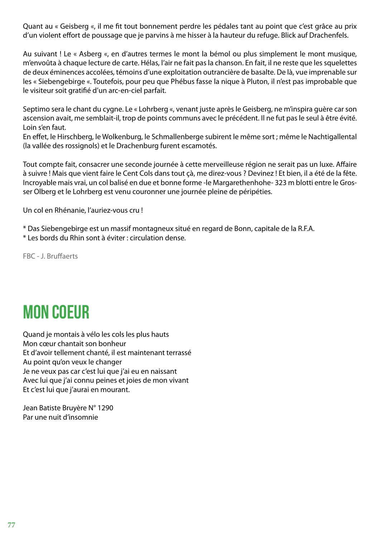Quant au « Geisberg «, il me fit tout bonnement perdre les pédales tant au point que c'est grâce au prix d'un violent effort de poussage que je parvins à me hisser à la hauteur du refuge. Blick auf Drachenfels.

Au suivant ! Le « Asberg «, en d'autres termes le mont la bémol ou plus simplement le mont musique, m'envoûta à chaque lecture de carte. Hélas, l'air ne fait pas la chanson. En fait, il ne reste que les squelettes de deux éminences accolées, témoins d'une exploitation outrancière de basalte. De là, vue imprenable sur les « Siebengebirge «. Toutefois, pour peu que Phébus fasse la nique à Pluton, il n'est pas improbable que le visiteur soit gratifié d'un arc-en-ciel parfait.

Septimo sera le chant du cygne. Le « Lohrberg «, venant juste après le Geisberg, ne m'inspira guère car son ascension avait, me semblait-il, trop de points communs avec le précédent. Il ne fut pas le seul à être évité. Loin s'en faut.

En effet, le Hirschberg, le Wolkenburg, le Schmallenberge subirent le même sort ; même le Nachtigallental (la vallée des rossignols) et le Drachenburg furent escamotés.

Tout compte fait, consacrer une seconde journée à cette merveilleuse région ne serait pas un luxe. Affaire à suivre ! Mais que vient faire le Cent Cols dans tout çà, me direz-vous ? Devinez ! Et bien, il a été de la fête. Incroyable mais vrai, un col balisé en due et bonne forme -le Margarethenhohe- 323 m blotti entre le Grosser Olberg et le Lohrberg est venu couronner une journée pleine de péripéties.

Un col en Rhénanie, l'auriez-vous cru !

\* Das Siebengebirge est un massif montagneux situé en regard de Bonn, capitale de la R.F.A.

\* Les bords du Rhin sont à éviter : circulation dense.

FBC - J. Bruffaerts

## MON COEUR

Quand je montais à vélo les cols les plus hauts Mon cœur chantait son bonheur Et d'avoir tellement chanté, il est maintenant terrassé Au point qu'on veux le changer Je ne veux pas car c'est lui que j'ai eu en naissant Avec lui que j'ai connu peines et joies de mon vivant Et c'est lui que j'aurai en mourant.

Jean Batiste Bruyère N° 1290 Par une nuit d'insomnie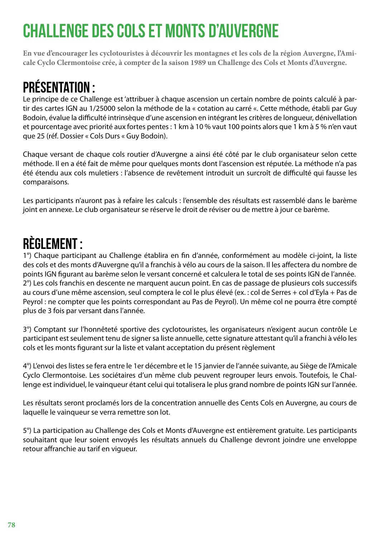# CHALLENGE DES COLS ET MONTS D'AUVERGNE

**En vue d'encourager les cyclotouristes à découvrir les montagnes et les cols de la région Auvergne, l'Amicale Cyclo Clermontoise crée, à compter de la saison 1989 un Challenge des Cols et Monts d'Auvergne.**

### Présentation :

Le principe de ce Challenge est 'attribuer à chaque ascension un certain nombre de points calculé à partir des cartes IGN au 1/25000 selon la méthode de la « cotation au carré «. Cette méthode, établi par Guy Bodoin, évalue la difficulté intrinsèque d'une ascension en intégrant les critères de longueur, dénivellation et pourcentage avec priorité aux fortes pentes : 1 km à 10 % vaut 100 points alors que 1 km à 5 % n'en vaut que 25 (réf. Dossier « Cols Durs « Guy Bodoin).

Chaque versant de chaque cols routier d'Auvergne a ainsi été côté par le club organisateur selon cette méthode. Il en a été fait de même pour quelques monts dont l'ascension est réputée. La méthode n'a pas été étendu aux cols muletiers : l'absence de revêtement introduit un surcroît de difficulté qui fausse les comparaisons.

Les participants n'auront pas à refaire les calculs : l'ensemble des résultats est rassemblé dans le barème joint en annexe. Le club organisateur se réserve le droit de réviser ou de mettre à jour ce barème.

#### Règlement :

1°) Chaque participant au Challenge établira en fin d'année, conformément au modèle ci-joint, la liste des cols et des monts d'Auvergne qu'il a franchis à vélo au cours de la saison. Il les affectera du nombre de points IGN figurant au barème selon le versant concerné et calculera le total de ses points IGN de l'année. 2°) Les cols franchis en descente ne marquent aucun point. En cas de passage de plusieurs cols successifs au cours d'une même ascension, seul comptera le col le plus élevé (ex. : col de Serres + col d'Eyla + Pas de Peyrol : ne compter que les points correspondant au Pas de Peyrol). Un même col ne pourra être compté plus de 3 fois par versant dans l'année.

3°) Comptant sur l'honnêteté sportive des cyclotouristes, les organisateurs n'exigent aucun contrôle Le participant est seulement tenu de signer sa liste annuelle, cette signature attestant qu'il a franchi à vélo les cols et les monts figurant sur la liste et valant acceptation du présent règlement

4°) L'envoi des listes se fera entre le 1er décembre et le 15 janvier de l'année suivante, au Siège de l'Amicale Cyclo Clermontoise. Les sociétaires d'un même club peuvent regrouper leurs envois. Toutefois, le Challenge est individuel, le vainqueur étant celui qui totalisera le plus grand nombre de points IGN sur l'année.

Les résultats seront proclamés lors de la concentration annuelle des Cents Cols en Auvergne, au cours de laquelle le vainqueur se verra remettre son lot.

5°) La participation au Challenge des Cols et Monts d'Auvergne est entièrement gratuite. Les participants souhaitant que leur soient envoyés les résultats annuels du Challenge devront joindre une enveloppe retour affranchie au tarif en vigueur.